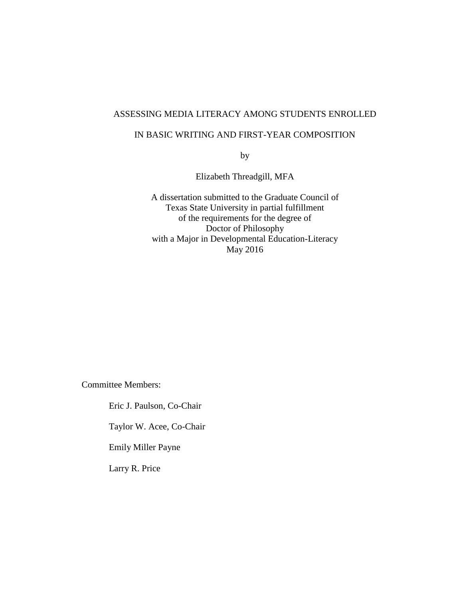### ASSESSING MEDIA LITERACY AMONG STUDENTS ENROLLED

### IN BASIC WRITING AND FIRST-YEAR COMPOSITION

by

Elizabeth Threadgill, MFA

A dissertation submitted to the Graduate Council of Texas State University in partial fulfillment of the requirements for the degree of Doctor of Philosophy with a Major in Developmental Education-Literacy May 2016

Committee Members:

Eric J. Paulson, Co-Chair

Taylor W. Acee, Co-Chair

Emily Miller Payne

Larry R. Price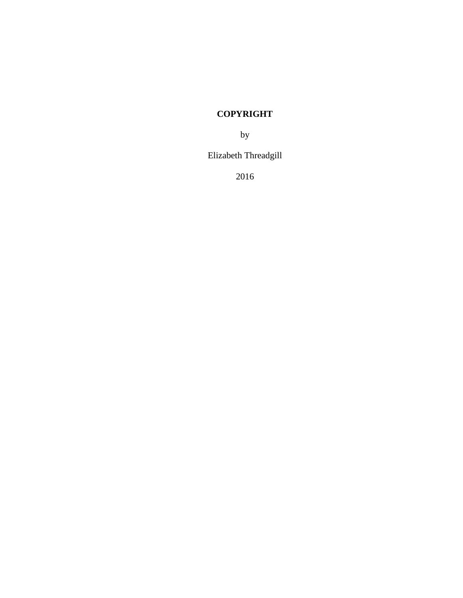# **COPYRIGHT**

by

Elizabeth Threadgill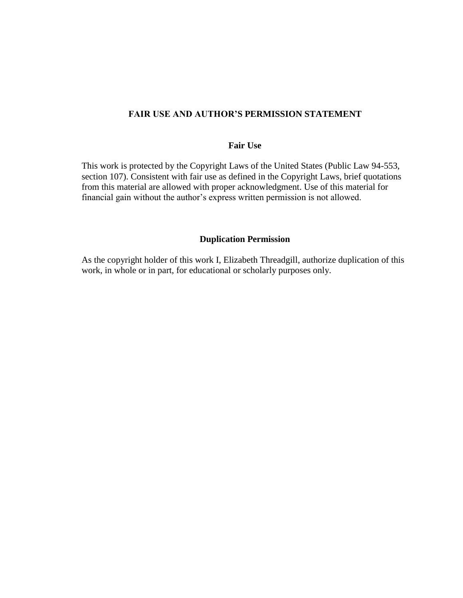### **FAIR USE AND AUTHOR'S PERMISSION STATEMENT**

### **Fair Use**

This work is protected by the Copyright Laws of the United States (Public Law 94-553, section 107). Consistent with fair use as defined in the Copyright Laws, brief quotations from this material are allowed with proper acknowledgment. Use of this material for financial gain without the author's express written permission is not allowed.

#### **Duplication Permission**

As the copyright holder of this work I, Elizabeth Threadgill, authorize duplication of this work, in whole or in part, for educational or scholarly purposes only.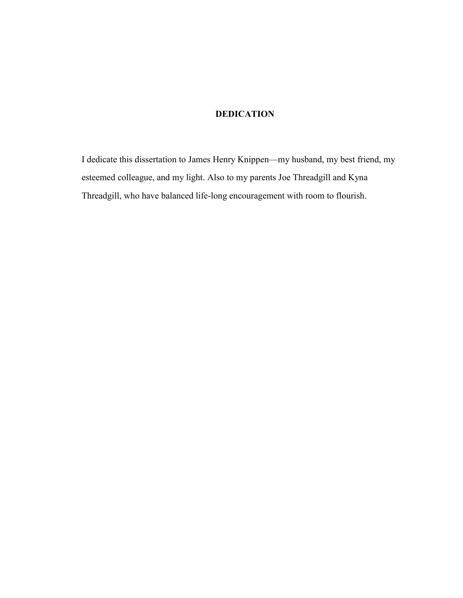# **DEDICATION**

I dedicate this dissertation to James Henry Knippen—my husband, my best friend, my esteemed colleague, and my light. Also to my parents Joe Threadgill and Kyna Threadgill, who have balanced life-long encouragement with room to flourish.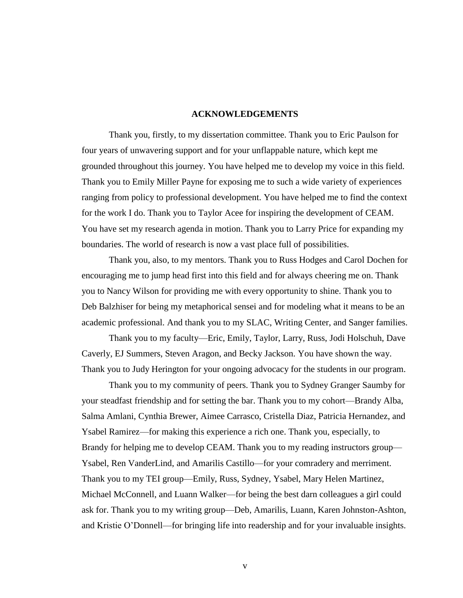#### **ACKNOWLEDGEMENTS**

Thank you, firstly, to my dissertation committee. Thank you to Eric Paulson for four years of unwavering support and for your unflappable nature, which kept me grounded throughout this journey. You have helped me to develop my voice in this field. Thank you to Emily Miller Payne for exposing me to such a wide variety of experiences ranging from policy to professional development. You have helped me to find the context for the work I do. Thank you to Taylor Acee for inspiring the development of CEAM. You have set my research agenda in motion. Thank you to Larry Price for expanding my boundaries. The world of research is now a vast place full of possibilities.

Thank you, also, to my mentors. Thank you to Russ Hodges and Carol Dochen for encouraging me to jump head first into this field and for always cheering me on. Thank you to Nancy Wilson for providing me with every opportunity to shine. Thank you to Deb Balzhiser for being my metaphorical sensei and for modeling what it means to be an academic professional. And thank you to my SLAC, Writing Center, and Sanger families.

Thank you to my faculty—Eric, Emily, Taylor, Larry, Russ, Jodi Holschuh, Dave Caverly, EJ Summers, Steven Aragon, and Becky Jackson. You have shown the way. Thank you to Judy Herington for your ongoing advocacy for the students in our program.

Thank you to my community of peers. Thank you to Sydney Granger Saumby for your steadfast friendship and for setting the bar. Thank you to my cohort—Brandy Alba, Salma Amlani, Cynthia Brewer, Aimee Carrasco, Cristella Diaz, Patricia Hernandez, and Ysabel Ramirez—for making this experience a rich one. Thank you, especially, to Brandy for helping me to develop CEAM. Thank you to my reading instructors group— Ysabel, Ren VanderLind, and Amarilis Castillo—for your comradery and merriment. Thank you to my TEI group—Emily, Russ, Sydney, Ysabel, Mary Helen Martinez, Michael McConnell, and Luann Walker—for being the best darn colleagues a girl could ask for. Thank you to my writing group—Deb, Amarilis, Luann, Karen Johnston-Ashton, and Kristie O'Donnell—for bringing life into readership and for your invaluable insights.

v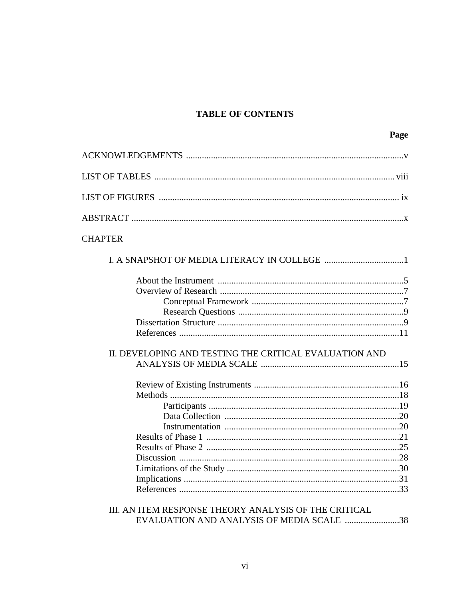## **TABLE OF CONTENTS**

| II. DEVELOPING AND TESTING THE CRITICAL EVALUATION AND |  |
|--------------------------------------------------------|--|
|                                                        |  |
|                                                        |  |

## III. AN ITEM RESPONSE THEORY ANALYSIS OF THE CRITICAL EVALUATION AND ANALYSIS OF MEDIA SCALE .........................38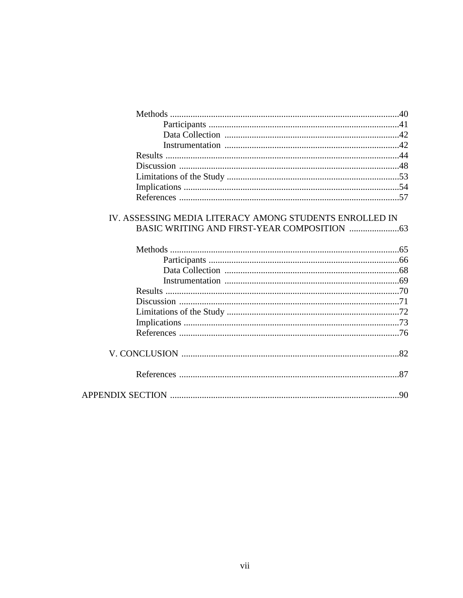| IV. ASSESSING MEDIA LITERACY AMONG STUDENTS ENROLLED IN |  |
|---------------------------------------------------------|--|
|                                                         |  |
|                                                         |  |
|                                                         |  |
|                                                         |  |
|                                                         |  |
|                                                         |  |
|                                                         |  |
|                                                         |  |
|                                                         |  |
|                                                         |  |
|                                                         |  |
|                                                         |  |
|                                                         |  |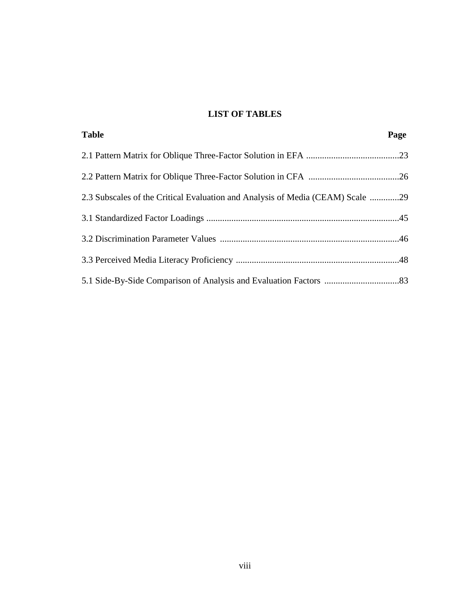## **LIST OF TABLES**

| <b>Table</b>                                                                   | Page |
|--------------------------------------------------------------------------------|------|
|                                                                                |      |
|                                                                                |      |
| 2.3 Subscales of the Critical Evaluation and Analysis of Media (CEAM) Scale 29 |      |
|                                                                                |      |
|                                                                                |      |
|                                                                                |      |
|                                                                                |      |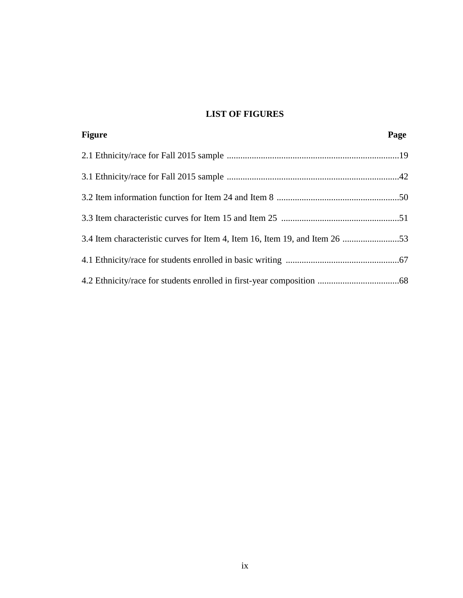# **LIST OF FIGURES**

| <b>Figure</b>                                                               | Page |
|-----------------------------------------------------------------------------|------|
|                                                                             |      |
|                                                                             |      |
|                                                                             |      |
|                                                                             |      |
| 3.4 Item characteristic curves for Item 4, Item 16, Item 19, and Item 26 53 |      |
|                                                                             |      |
|                                                                             |      |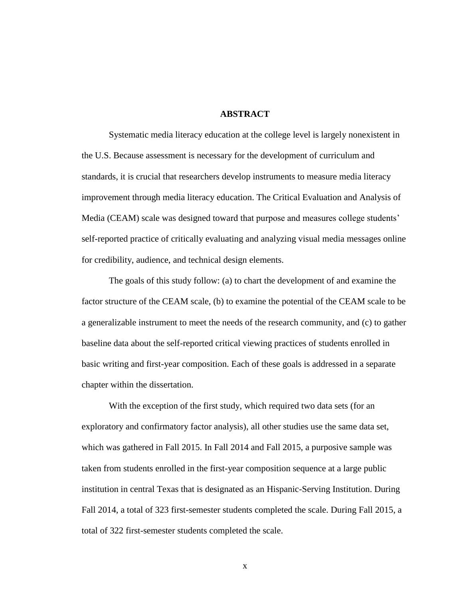#### **ABSTRACT**

Systematic media literacy education at the college level is largely nonexistent in the U.S. Because assessment is necessary for the development of curriculum and standards, it is crucial that researchers develop instruments to measure media literacy improvement through media literacy education. The Critical Evaluation and Analysis of Media (CEAM) scale was designed toward that purpose and measures college students' self-reported practice of critically evaluating and analyzing visual media messages online for credibility, audience, and technical design elements.

The goals of this study follow: (a) to chart the development of and examine the factor structure of the CEAM scale, (b) to examine the potential of the CEAM scale to be a generalizable instrument to meet the needs of the research community, and (c) to gather baseline data about the self-reported critical viewing practices of students enrolled in basic writing and first-year composition. Each of these goals is addressed in a separate chapter within the dissertation.

With the exception of the first study, which required two data sets (for an exploratory and confirmatory factor analysis), all other studies use the same data set, which was gathered in Fall 2015. In Fall 2014 and Fall 2015, a purposive sample was taken from students enrolled in the first-year composition sequence at a large public institution in central Texas that is designated as an Hispanic-Serving Institution. During Fall 2014, a total of 323 first-semester students completed the scale. During Fall 2015, a total of 322 first-semester students completed the scale.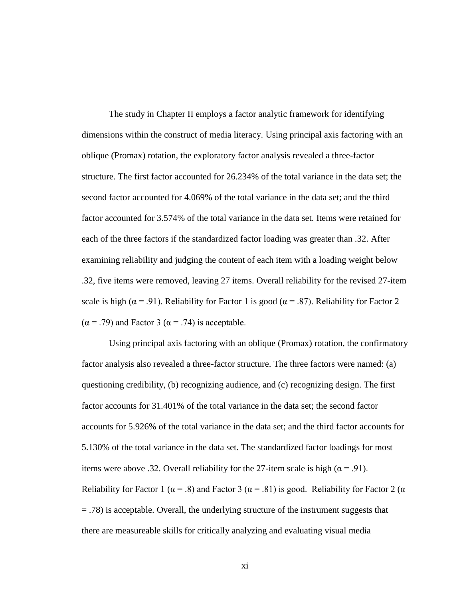The study in Chapter II employs a factor analytic framework for identifying dimensions within the construct of media literacy. Using principal axis factoring with an oblique (Promax) rotation, the exploratory factor analysis revealed a three-factor structure. The first factor accounted for 26.234% of the total variance in the data set; the second factor accounted for 4.069% of the total variance in the data set; and the third factor accounted for 3.574% of the total variance in the data set. Items were retained for each of the three factors if the standardized factor loading was greater than .32. After examining reliability and judging the content of each item with a loading weight below .32, five items were removed, leaving 27 items. Overall reliability for the revised 27-item scale is high ( $\alpha$  = .91). Reliability for Factor 1 is good ( $\alpha$  = .87). Reliability for Factor 2  $(\alpha = .79)$  and Factor 3 ( $\alpha = .74$ ) is acceptable.

Using principal axis factoring with an oblique (Promax) rotation, the confirmatory factor analysis also revealed a three-factor structure. The three factors were named: (a) questioning credibility, (b) recognizing audience, and (c) recognizing design. The first factor accounts for 31.401% of the total variance in the data set; the second factor accounts for 5.926% of the total variance in the data set; and the third factor accounts for 5.130% of the total variance in the data set. The standardized factor loadings for most items were above .32. Overall reliability for the 27-item scale is high ( $\alpha$  = .91). Reliability for Factor 1 ( $\alpha = .8$ ) and Factor 3 ( $\alpha = .81$ ) is good. Reliability for Factor 2 ( $\alpha$ = .78) is acceptable. Overall, the underlying structure of the instrument suggests that there are measureable skills for critically analyzing and evaluating visual media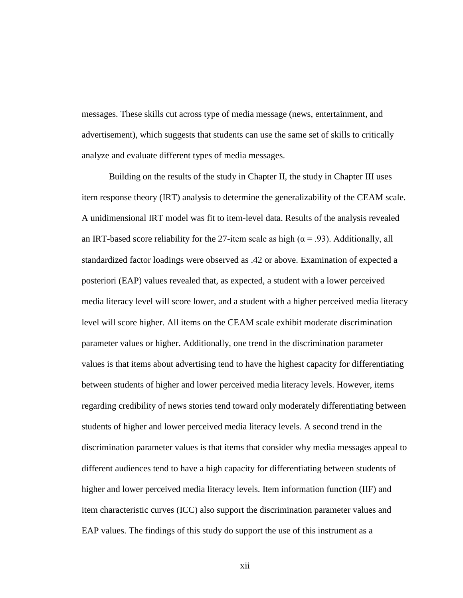messages. These skills cut across type of media message (news, entertainment, and advertisement), which suggests that students can use the same set of skills to critically analyze and evaluate different types of media messages.

Building on the results of the study in Chapter II, the study in Chapter III uses item response theory (IRT) analysis to determine the generalizability of the CEAM scale. A unidimensional IRT model was fit to item-level data. Results of the analysis revealed an IRT-based score reliability for the 27-item scale as high ( $\alpha$  = .93). Additionally, all standardized factor loadings were observed as .42 or above. Examination of expected a posteriori (EAP) values revealed that, as expected, a student with a lower perceived media literacy level will score lower, and a student with a higher perceived media literacy level will score higher. All items on the CEAM scale exhibit moderate discrimination parameter values or higher. Additionally, one trend in the discrimination parameter values is that items about advertising tend to have the highest capacity for differentiating between students of higher and lower perceived media literacy levels. However, items regarding credibility of news stories tend toward only moderately differentiating between students of higher and lower perceived media literacy levels. A second trend in the discrimination parameter values is that items that consider why media messages appeal to different audiences tend to have a high capacity for differentiating between students of higher and lower perceived media literacy levels. Item information function (IIF) and item characteristic curves (ICC) also support the discrimination parameter values and EAP values. The findings of this study do support the use of this instrument as a

xii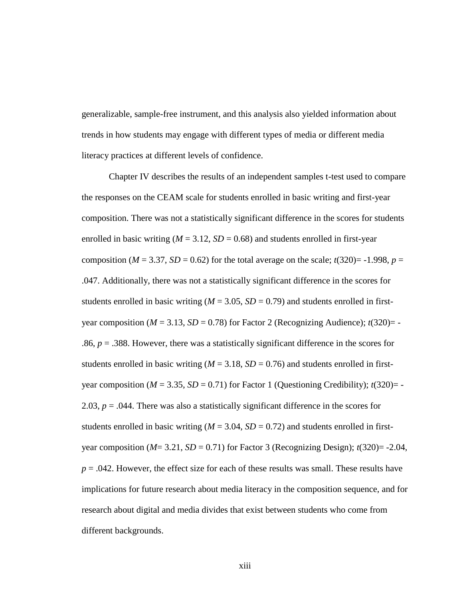generalizable, sample-free instrument, and this analysis also yielded information about trends in how students may engage with different types of media or different media literacy practices at different levels of confidence.

Chapter IV describes the results of an independent samples t-test used to compare the responses on the CEAM scale for students enrolled in basic writing and first-year composition. There was not a statistically significant difference in the scores for students enrolled in basic writing  $(M = 3.12, SD = 0.68)$  and students enrolled in first-year composition ( $M = 3.37$ ,  $SD = 0.62$ ) for the total average on the scale;  $t(320)= -1.998$ ,  $p =$ .047. Additionally, there was not a statistically significant difference in the scores for students enrolled in basic writing  $(M = 3.05, SD = 0.79)$  and students enrolled in firstyear composition ( $M = 3.13$ ,  $SD = 0.78$ ) for Factor 2 (Recognizing Audience);  $t(320) = -$ .86,  $p = 0.388$ . However, there was a statistically significant difference in the scores for students enrolled in basic writing  $(M = 3.18, SD = 0.76)$  and students enrolled in firstyear composition  $(M = 3.35, SD = 0.71)$  for Factor 1 (Questioning Credibility);  $t(320) = -$ 2.03,  $p = 0.044$ . There was also a statistically significant difference in the scores for students enrolled in basic writing  $(M = 3.04, SD = 0.72)$  and students enrolled in firstyear composition  $(M=3.21, SD=0.71)$  for Factor 3 (Recognizing Design);  $t(320) = -2.04$ , *p* = .042. However, the effect size for each of these results was small. These results have implications for future research about media literacy in the composition sequence, and for research about digital and media divides that exist between students who come from different backgrounds.

xiii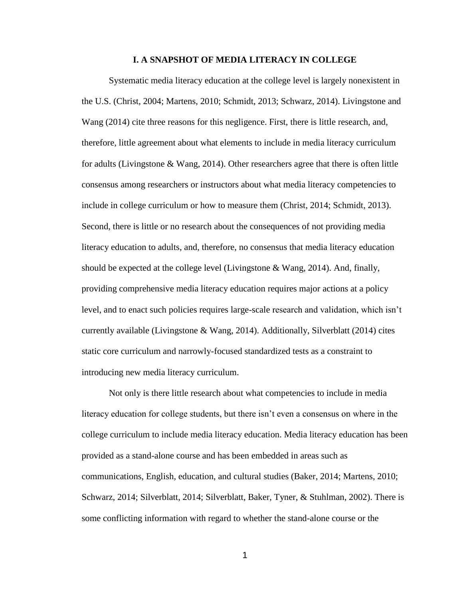#### **I. A SNAPSHOT OF MEDIA LITERACY IN COLLEGE**

Systematic media literacy education at the college level is largely nonexistent in the U.S. (Christ, 2004; Martens, 2010; Schmidt, 2013; Schwarz, 2014). Livingstone and Wang (2014) cite three reasons for this negligence. First, there is little research, and, therefore, little agreement about what elements to include in media literacy curriculum for adults (Livingstone & Wang, 2014). Other researchers agree that there is often little consensus among researchers or instructors about what media literacy competencies to include in college curriculum or how to measure them (Christ, 2014; Schmidt, 2013). Second, there is little or no research about the consequences of not providing media literacy education to adults, and, therefore, no consensus that media literacy education should be expected at the college level (Livingstone  $\&$  Wang, 2014). And, finally, providing comprehensive media literacy education requires major actions at a policy level, and to enact such policies requires large-scale research and validation, which isn't currently available (Livingstone & Wang, 2014). Additionally, Silverblatt (2014) cites static core curriculum and narrowly-focused standardized tests as a constraint to introducing new media literacy curriculum.

Not only is there little research about what competencies to include in media literacy education for college students, but there isn't even a consensus on where in the college curriculum to include media literacy education. Media literacy education has been provided as a stand-alone course and has been embedded in areas such as communications, English, education, and cultural studies (Baker, 2014; Martens, 2010; Schwarz, 2014; Silverblatt, 2014; Silverblatt, Baker, Tyner, & Stuhlman, 2002). There is some conflicting information with regard to whether the stand-alone course or the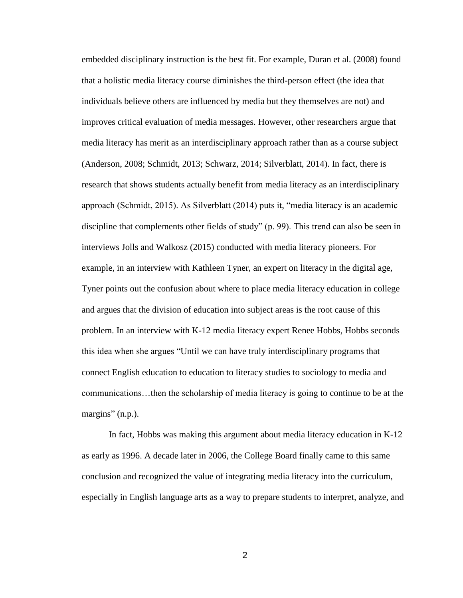embedded disciplinary instruction is the best fit. For example, Duran et al. (2008) found that a holistic media literacy course diminishes the third-person effect (the idea that individuals believe others are influenced by media but they themselves are not) and improves critical evaluation of media messages. However, other researchers argue that media literacy has merit as an interdisciplinary approach rather than as a course subject (Anderson, 2008; Schmidt, 2013; Schwarz, 2014; Silverblatt, 2014). In fact, there is research that shows students actually benefit from media literacy as an interdisciplinary approach (Schmidt, 2015). As Silverblatt (2014) puts it, "media literacy is an academic discipline that complements other fields of study" (p. 99). This trend can also be seen in interviews Jolls and Walkosz (2015) conducted with media literacy pioneers. For example, in an interview with Kathleen Tyner, an expert on literacy in the digital age, Tyner points out the confusion about where to place media literacy education in college and argues that the division of education into subject areas is the root cause of this problem. In an interview with K-12 media literacy expert Renee Hobbs, Hobbs seconds this idea when she argues "Until we can have truly interdisciplinary programs that connect English education to education to literacy studies to sociology to media and communications…then the scholarship of media literacy is going to continue to be at the margins" (n.p.).

In fact, Hobbs was making this argument about media literacy education in K-12 as early as 1996. A decade later in 2006, the College Board finally came to this same conclusion and recognized the value of integrating media literacy into the curriculum, especially in English language arts as a way to prepare students to interpret, analyze, and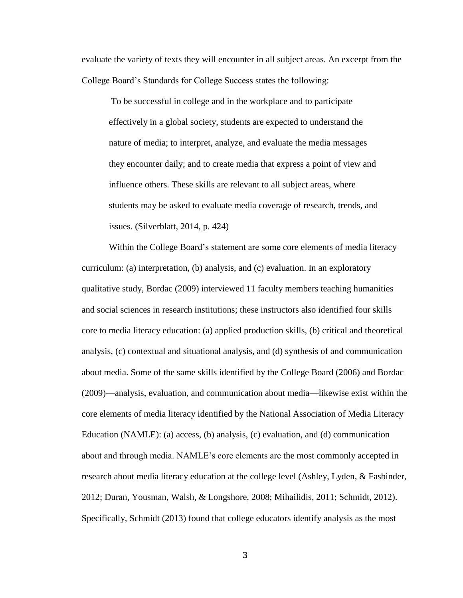evaluate the variety of texts they will encounter in all subject areas. An excerpt from the College Board's Standards for College Success states the following:

To be successful in college and in the workplace and to participate effectively in a global society, students are expected to understand the nature of media; to interpret, analyze, and evaluate the media messages they encounter daily; and to create media that express a point of view and influence others. These skills are relevant to all subject areas, where students may be asked to evaluate media coverage of research, trends, and issues. (Silverblatt, 2014, p. 424)

Within the College Board's statement are some core elements of media literacy curriculum: (a) interpretation, (b) analysis, and (c) evaluation. In an exploratory qualitative study, Bordac (2009) interviewed 11 faculty members teaching humanities and social sciences in research institutions; these instructors also identified four skills core to media literacy education: (a) applied production skills, (b) critical and theoretical analysis, (c) contextual and situational analysis, and (d) synthesis of and communication about media. Some of the same skills identified by the College Board (2006) and Bordac (2009)—analysis, evaluation, and communication about media—likewise exist within the core elements of media literacy identified by the National Association of Media Literacy Education (NAMLE): (a) access, (b) analysis, (c) evaluation, and (d) communication about and through media. NAMLE's core elements are the most commonly accepted in research about media literacy education at the college level (Ashley, Lyden, & Fasbinder, 2012; Duran, Yousman, Walsh, & Longshore, 2008; Mihailidis, 2011; Schmidt, 2012). Specifically, Schmidt (2013) found that college educators identify analysis as the most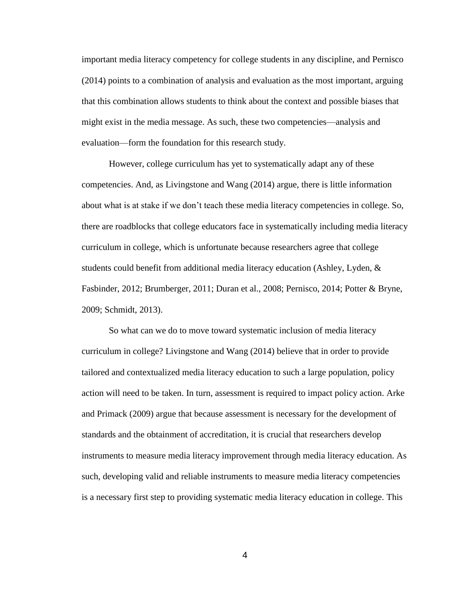important media literacy competency for college students in any discipline, and Pernisco (2014) points to a combination of analysis and evaluation as the most important, arguing that this combination allows students to think about the context and possible biases that might exist in the media message. As such, these two competencies—analysis and evaluation—form the foundation for this research study.

However, college curriculum has yet to systematically adapt any of these competencies. And, as Livingstone and Wang (2014) argue, there is little information about what is at stake if we don't teach these media literacy competencies in college. So, there are roadblocks that college educators face in systematically including media literacy curriculum in college, which is unfortunate because researchers agree that college students could benefit from additional media literacy education (Ashley, Lyden, & Fasbinder, 2012; Brumberger, 2011; Duran et al., 2008; Pernisco, 2014; Potter & Bryne, 2009; Schmidt, 2013).

So what can we do to move toward systematic inclusion of media literacy curriculum in college? Livingstone and Wang (2014) believe that in order to provide tailored and contextualized media literacy education to such a large population, policy action will need to be taken. In turn, assessment is required to impact policy action. Arke and Primack (2009) argue that because assessment is necessary for the development of standards and the obtainment of accreditation, it is crucial that researchers develop instruments to measure media literacy improvement through media literacy education. As such, developing valid and reliable instruments to measure media literacy competencies is a necessary first step to providing systematic media literacy education in college. This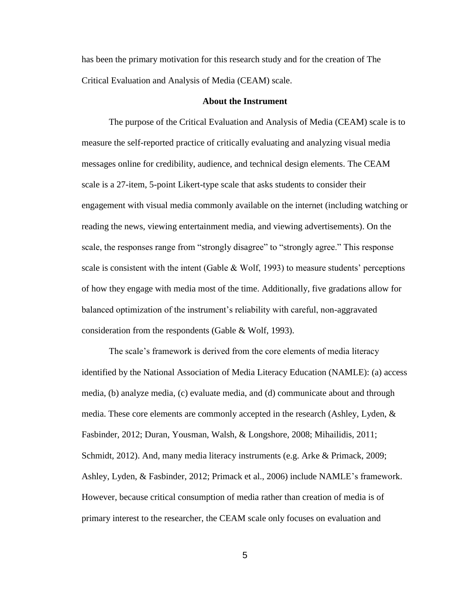has been the primary motivation for this research study and for the creation of The Critical Evaluation and Analysis of Media (CEAM) scale.

#### **About the Instrument**

The purpose of the Critical Evaluation and Analysis of Media (CEAM) scale is to measure the self-reported practice of critically evaluating and analyzing visual media messages online for credibility, audience, and technical design elements. The CEAM scale is a 27-item, 5-point Likert-type scale that asks students to consider their engagement with visual media commonly available on the internet (including watching or reading the news, viewing entertainment media, and viewing advertisements). On the scale, the responses range from "strongly disagree" to "strongly agree." This response scale is consistent with the intent (Gable  $& Wolf, 1993$ ) to measure students' perceptions of how they engage with media most of the time. Additionally, five gradations allow for balanced optimization of the instrument's reliability with careful, non-aggravated consideration from the respondents (Gable & Wolf, 1993).

The scale's framework is derived from the core elements of media literacy identified by the National Association of Media Literacy Education (NAMLE): (a) access media, (b) analyze media, (c) evaluate media, and (d) communicate about and through media. These core elements are commonly accepted in the research (Ashley, Lyden, & Fasbinder, 2012; Duran, Yousman, Walsh, & Longshore, 2008; Mihailidis, 2011; Schmidt, 2012). And, many media literacy instruments (e.g. Arke & Primack, 2009; Ashley, Lyden, & Fasbinder, 2012; Primack et al., 2006) include NAMLE's framework. However, because critical consumption of media rather than creation of media is of primary interest to the researcher, the CEAM scale only focuses on evaluation and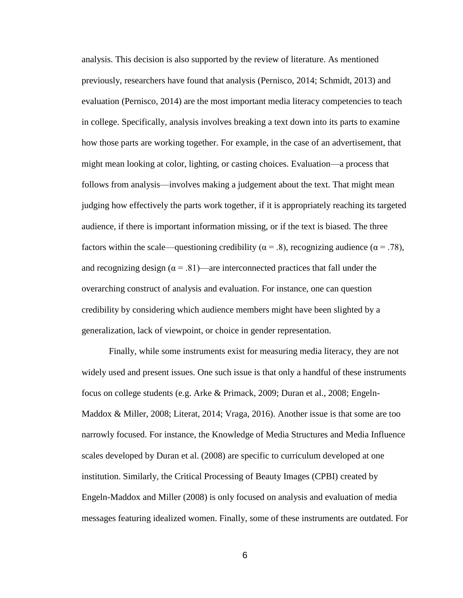analysis. This decision is also supported by the review of literature. As mentioned previously, researchers have found that analysis (Pernisco, 2014; Schmidt, 2013) and evaluation (Pernisco, 2014) are the most important media literacy competencies to teach in college. Specifically, analysis involves breaking a text down into its parts to examine how those parts are working together. For example, in the case of an advertisement, that might mean looking at color, lighting, or casting choices. Evaluation—a process that follows from analysis—involves making a judgement about the text. That might mean judging how effectively the parts work together, if it is appropriately reaching its targeted audience, if there is important information missing, or if the text is biased. The three factors within the scale—questioning credibility ( $\alpha = .8$ ), recognizing audience ( $\alpha = .78$ ), and recognizing design ( $\alpha = .81$ )—are interconnected practices that fall under the overarching construct of analysis and evaluation. For instance, one can question credibility by considering which audience members might have been slighted by a generalization, lack of viewpoint, or choice in gender representation.

Finally, while some instruments exist for measuring media literacy, they are not widely used and present issues. One such issue is that only a handful of these instruments focus on college students (e.g. Arke & Primack, 2009; Duran et al., 2008; Engeln-Maddox & Miller, 2008; Literat, 2014; Vraga, 2016). Another issue is that some are too narrowly focused. For instance, the Knowledge of Media Structures and Media Influence scales developed by Duran et al. (2008) are specific to curriculum developed at one institution. Similarly, the Critical Processing of Beauty Images (CPBI) created by Engeln-Maddox and Miller (2008) is only focused on analysis and evaluation of media messages featuring idealized women. Finally, some of these instruments are outdated. For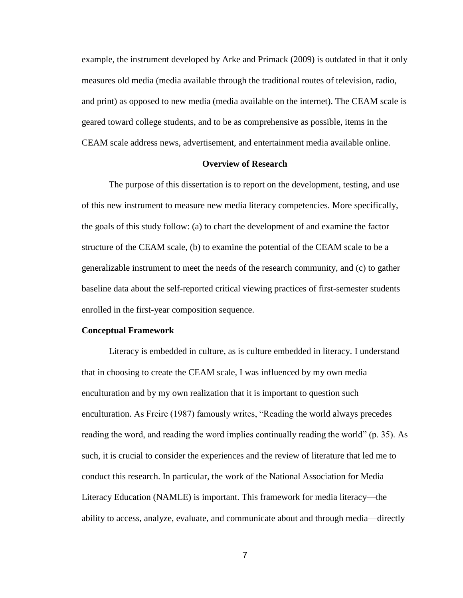example, the instrument developed by Arke and Primack (2009) is outdated in that it only measures old media (media available through the traditional routes of television, radio, and print) as opposed to new media (media available on the internet). The CEAM scale is geared toward college students, and to be as comprehensive as possible, items in the CEAM scale address news, advertisement, and entertainment media available online.

#### **Overview of Research**

The purpose of this dissertation is to report on the development, testing, and use of this new instrument to measure new media literacy competencies. More specifically, the goals of this study follow: (a) to chart the development of and examine the factor structure of the CEAM scale, (b) to examine the potential of the CEAM scale to be a generalizable instrument to meet the needs of the research community, and (c) to gather baseline data about the self-reported critical viewing practices of first-semester students enrolled in the first-year composition sequence.

#### **Conceptual Framework**

Literacy is embedded in culture, as is culture embedded in literacy. I understand that in choosing to create the CEAM scale, I was influenced by my own media enculturation and by my own realization that it is important to question such enculturation. As Freire (1987) famously writes, "Reading the world always precedes reading the word, and reading the word implies continually reading the world" (p. 35). As such, it is crucial to consider the experiences and the review of literature that led me to conduct this research. In particular, the work of the National Association for Media Literacy Education (NAMLE) is important. This framework for media literacy—the ability to access, analyze, evaluate, and communicate about and through media—directly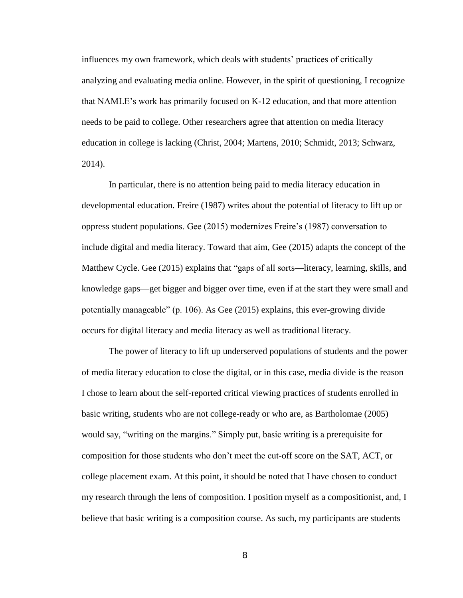influences my own framework, which deals with students' practices of critically analyzing and evaluating media online. However, in the spirit of questioning, I recognize that NAMLE's work has primarily focused on K-12 education, and that more attention needs to be paid to college. Other researchers agree that attention on media literacy education in college is lacking (Christ, 2004; Martens, 2010; Schmidt, 2013; Schwarz, 2014).

In particular, there is no attention being paid to media literacy education in developmental education. Freire (1987) writes about the potential of literacy to lift up or oppress student populations. Gee (2015) modernizes Freire's (1987) conversation to include digital and media literacy. Toward that aim, Gee (2015) adapts the concept of the Matthew Cycle. Gee (2015) explains that "gaps of all sorts—literacy, learning, skills, and knowledge gaps—get bigger and bigger over time, even if at the start they were small and potentially manageable" (p. 106). As Gee (2015) explains, this ever-growing divide occurs for digital literacy and media literacy as well as traditional literacy.

The power of literacy to lift up underserved populations of students and the power of media literacy education to close the digital, or in this case, media divide is the reason I chose to learn about the self-reported critical viewing practices of students enrolled in basic writing, students who are not college-ready or who are, as Bartholomae (2005) would say, "writing on the margins." Simply put, basic writing is a prerequisite for composition for those students who don't meet the cut-off score on the SAT, ACT, or college placement exam. At this point, it should be noted that I have chosen to conduct my research through the lens of composition. I position myself as a compositionist, and, I believe that basic writing is a composition course. As such, my participants are students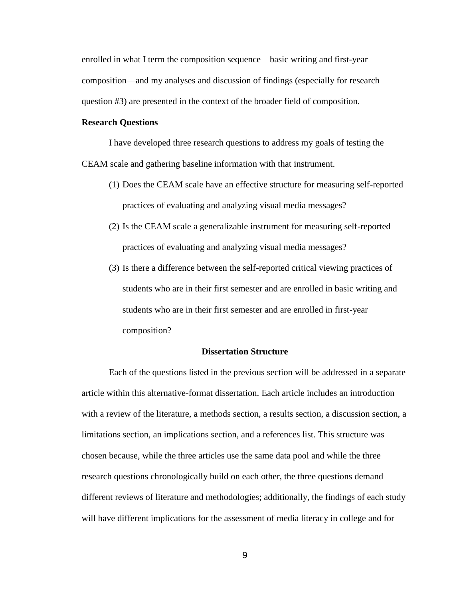enrolled in what I term the composition sequence—basic writing and first-year composition—and my analyses and discussion of findings (especially for research question #3) are presented in the context of the broader field of composition.

#### **Research Questions**

I have developed three research questions to address my goals of testing the CEAM scale and gathering baseline information with that instrument.

- (1) Does the CEAM scale have an effective structure for measuring self-reported practices of evaluating and analyzing visual media messages?
- (2) Is the CEAM scale a generalizable instrument for measuring self-reported practices of evaluating and analyzing visual media messages?
- (3) Is there a difference between the self-reported critical viewing practices of students who are in their first semester and are enrolled in basic writing and students who are in their first semester and are enrolled in first-year composition?

#### **Dissertation Structure**

Each of the questions listed in the previous section will be addressed in a separate article within this alternative-format dissertation. Each article includes an introduction with a review of the literature, a methods section, a results section, a discussion section, a limitations section, an implications section, and a references list. This structure was chosen because, while the three articles use the same data pool and while the three research questions chronologically build on each other, the three questions demand different reviews of literature and methodologies; additionally, the findings of each study will have different implications for the assessment of media literacy in college and for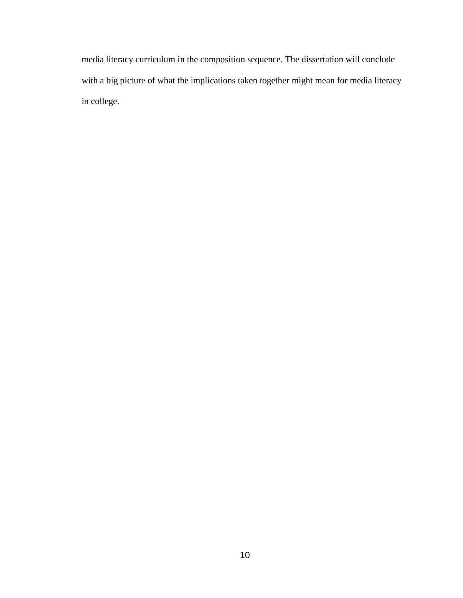media literacy curriculum in the composition sequence. The dissertation will conclude with a big picture of what the implications taken together might mean for media literacy in college.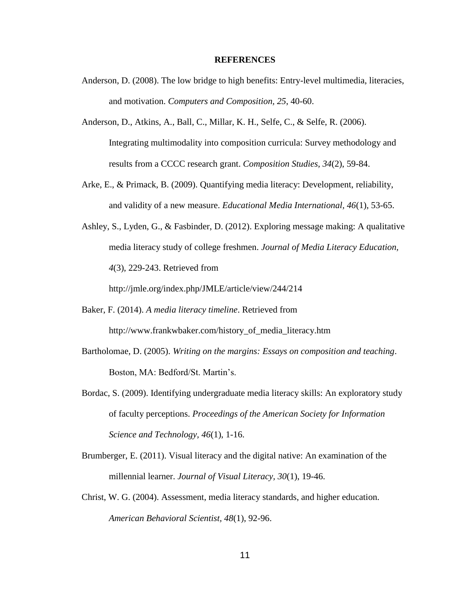#### **REFERENCES**

- Anderson, D. (2008). The low bridge to high benefits: Entry-level multimedia, literacies, and motivation. *Computers and Composition, 25*, 40-60.
- Anderson, D., Atkins, A., Ball, C., Millar, K. H., Selfe, C., & Selfe, R. (2006). Integrating multimodality into composition curricula: Survey methodology and results from a CCCC research grant. *Composition Studies, 34*(2), 59-84.
- Arke, E., & Primack, B. (2009). Quantifying media literacy: Development, reliability, and validity of a new measure. *Educational Media International, 46*(1), 53-65.
- Ashley, S., Lyden, G., & Fasbinder, D. (2012). Exploring message making: A qualitative media literacy study of college freshmen. *Journal of Media Literacy Education, 4*(3), 229-243. Retrieved from

http://jmle.org/index.php/JMLE/article/view/244/214

- Baker, F. (2014). *A media literacy timeline*. Retrieved from http://www.frankwbaker.com/history\_of\_media\_literacy.htm
- Bartholomae, D. (2005). *Writing on the margins: Essays on composition and teaching*. Boston, MA: Bedford/St. Martin's.
- Bordac, S. (2009). Identifying undergraduate media literacy skills: An exploratory study of faculty perceptions. *Proceedings of the American Society for Information Science and Technology, 46*(1), 1-16.
- Brumberger, E. (2011). Visual literacy and the digital native: An examination of the millennial learner. *Journal of Visual Literacy, 30*(1), 19-46.
- Christ, W. G. (2004). Assessment, media literacy standards, and higher education. *American Behavioral Scientist, 48*(1), 92-96.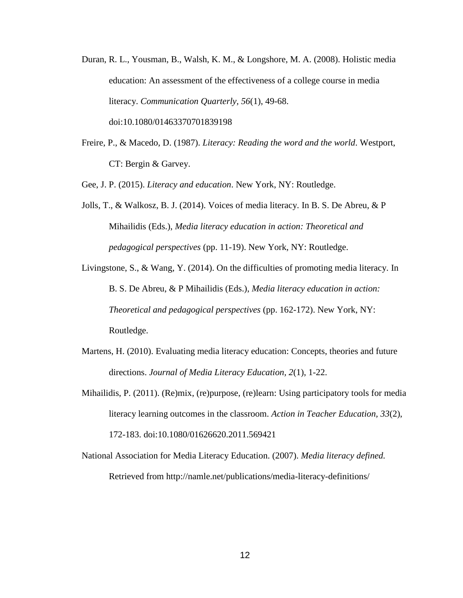- Duran, R. L., Yousman, B., Walsh, K. M., & Longshore, M. A. (2008). Holistic media education: An assessment of the effectiveness of a college course in media literacy. *Communication Quarterly, 56*(1), 49-68. doi:10.1080/01463370701839198
- Freire, P., & Macedo, D. (1987). *Literacy: Reading the word and the world*. Westport, CT: Bergin & Garvey.

Gee, J. P. (2015). *Literacy and education*. New York, NY: Routledge.

- Jolls, T., & Walkosz, B. J. (2014). Voices of media literacy. In B. S. De Abreu, & P Mihailidis (Eds.), *Media literacy education in action: Theoretical and pedagogical perspectives* (pp. 11-19). New York, NY: Routledge.
- Livingstone, S., & Wang, Y. (2014). On the difficulties of promoting media literacy. In B. S. De Abreu, & P Mihailidis (Eds.), *Media literacy education in action: Theoretical and pedagogical perspectives* (pp. 162-172). New York, NY: Routledge.
- Martens, H. (2010). Evaluating media literacy education: Concepts, theories and future directions. *Journal of Media Literacy Education, 2*(1), 1-22.
- Mihailidis, P. (2011). (Re)mix, (re)purpose, (re)learn: Using participatory tools for media literacy learning outcomes in the classroom. *Action in Teacher Education, 33*(2), 172-183. doi:10.1080/01626620.2011.569421
- National Association for Media Literacy Education. (2007). *Media literacy defined.* Retrieved from http://namle.net/publications/media-literacy-definitions/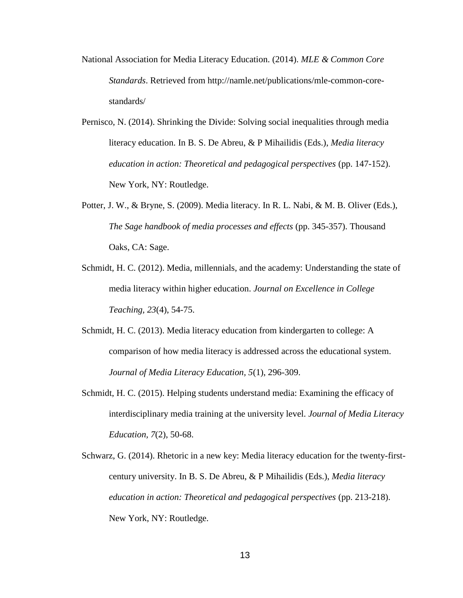- National Association for Media Literacy Education. (2014). *MLE & Common Core Standards*. Retrieved from http://namle.net/publications/mle-common-corestandards/
- Pernisco, N. (2014). Shrinking the Divide: Solving social inequalities through media literacy education. In B. S. De Abreu, & P Mihailidis (Eds.), *Media literacy education in action: Theoretical and pedagogical perspectives* (pp. 147-152). New York, NY: Routledge.
- Potter, J. W., & Bryne, S. (2009). Media literacy. In R. L. Nabi, & M. B. Oliver (Eds.), *The Sage handbook of media processes and effects* (pp. 345-357). Thousand Oaks, CA: Sage.
- Schmidt, H. C. (2012). Media, millennials, and the academy: Understanding the state of media literacy within higher education. *Journal on Excellence in College Teaching, 23*(4), 54-75.
- Schmidt, H. C. (2013). Media literacy education from kindergarten to college: A comparison of how media literacy is addressed across the educational system. *Journal of Media Literacy Education, 5*(1), 296-309.
- Schmidt, H. C. (2015). Helping students understand media: Examining the efficacy of interdisciplinary media training at the university level. *Journal of Media Literacy Education, 7*(2), 50-68.
- Schwarz, G. (2014). Rhetoric in a new key: Media literacy education for the twenty-firstcentury university. In B. S. De Abreu, & P Mihailidis (Eds.), *Media literacy education in action: Theoretical and pedagogical perspectives* (pp. 213-218). New York, NY: Routledge.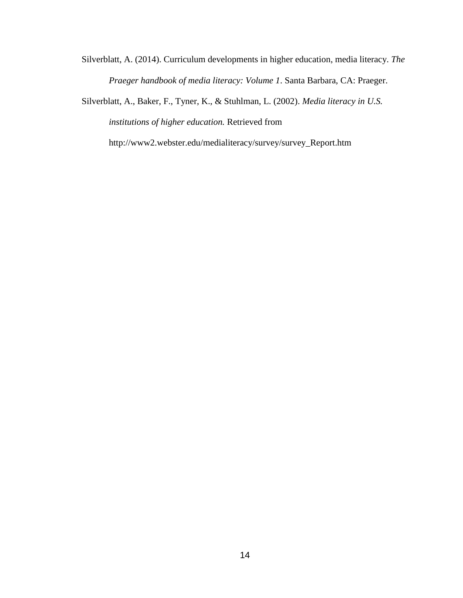Silverblatt, A. (2014). Curriculum developments in higher education, media literacy. *The Praeger handbook of media literacy: Volume 1*. Santa Barbara, CA: Praeger.

Silverblatt, A., Baker, F., Tyner, K., & Stuhlman, L. (2002). *Media literacy in U.S. institutions of higher education.* Retrieved from

http://www2.webster.edu/medialiteracy/survey/survey\_Report.htm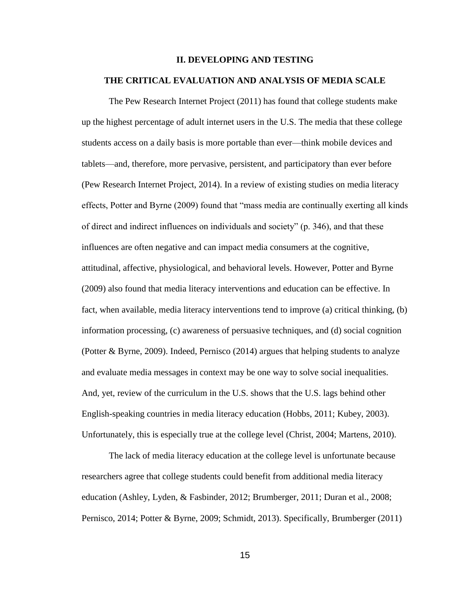#### **II. DEVELOPING AND TESTING**

#### **THE CRITICAL EVALUATION AND ANALYSIS OF MEDIA SCALE**

The Pew Research Internet Project (2011) has found that college students make up the highest percentage of adult internet users in the U.S. The media that these college students access on a daily basis is more portable than ever—think mobile devices and tablets—and, therefore, more pervasive, persistent, and participatory than ever before (Pew Research Internet Project, 2014). In a review of existing studies on media literacy effects, Potter and Byrne (2009) found that "mass media are continually exerting all kinds of direct and indirect influences on individuals and society" (p. 346), and that these influences are often negative and can impact media consumers at the cognitive, attitudinal, affective, physiological, and behavioral levels. However, Potter and Byrne (2009) also found that media literacy interventions and education can be effective. In fact, when available, media literacy interventions tend to improve (a) critical thinking, (b) information processing, (c) awareness of persuasive techniques, and (d) social cognition (Potter & Byrne, 2009). Indeed, Pernisco (2014) argues that helping students to analyze and evaluate media messages in context may be one way to solve social inequalities. And, yet, review of the curriculum in the U.S. shows that the U.S. lags behind other English-speaking countries in media literacy education (Hobbs, 2011; Kubey, 2003). Unfortunately, this is especially true at the college level (Christ, 2004; Martens, 2010).

The lack of media literacy education at the college level is unfortunate because researchers agree that college students could benefit from additional media literacy education (Ashley, Lyden, & Fasbinder, 2012; Brumberger, 2011; Duran et al., 2008; Pernisco, 2014; Potter & Byrne, 2009; Schmidt, 2013). Specifically, Brumberger (2011)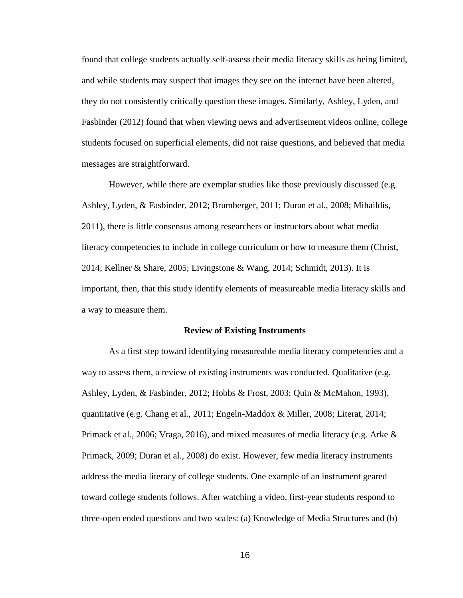found that college students actually self-assess their media literacy skills as being limited, and while students may suspect that images they see on the internet have been altered, they do not consistently critically question these images. Similarly, Ashley, Lyden, and Fasbinder (2012) found that when viewing news and advertisement videos online, college students focused on superficial elements, did not raise questions, and believed that media messages are straightforward.

However, while there are exemplar studies like those previously discussed (e.g. Ashley, Lyden, & Fasbinder, 2012; Brumberger, 2011; Duran et al., 2008; Mihaildis, 2011), there is little consensus among researchers or instructors about what media literacy competencies to include in college curriculum or how to measure them (Christ, 2014; Kellner & Share, 2005; Livingstone & Wang, 2014; Schmidt, 2013). It is important, then, that this study identify elements of measureable media literacy skills and a way to measure them.

#### **Review of Existing Instruments**

As a first step toward identifying measureable media literacy competencies and a way to assess them, a review of existing instruments was conducted. Qualitative (e.g. Ashley, Lyden, & Fasbinder, 2012; Hobbs & Frost, 2003; Quin & McMahon, 1993), quantitative (e.g. Chang et al., 2011; Engeln-Maddox & Miller, 2008; Literat, 2014; Primack et al., 2006; Vraga, 2016), and mixed measures of media literacy (e.g. Arke  $\&$ Primack, 2009; Duran et al., 2008) do exist. However, few media literacy instruments address the media literacy of college students. One example of an instrument geared toward college students follows. After watching a video, first-year students respond to three-open ended questions and two scales: (a) Knowledge of Media Structures and (b)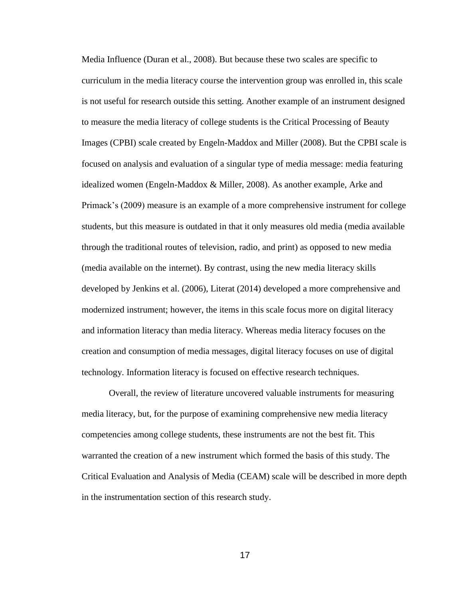Media Influence (Duran et al., 2008). But because these two scales are specific to curriculum in the media literacy course the intervention group was enrolled in, this scale is not useful for research outside this setting. Another example of an instrument designed to measure the media literacy of college students is the Critical Processing of Beauty Images (CPBI) scale created by Engeln-Maddox and Miller (2008). But the CPBI scale is focused on analysis and evaluation of a singular type of media message: media featuring idealized women (Engeln-Maddox & Miller, 2008). As another example, Arke and Primack's (2009) measure is an example of a more comprehensive instrument for college students, but this measure is outdated in that it only measures old media (media available through the traditional routes of television, radio, and print) as opposed to new media (media available on the internet). By contrast, using the new media literacy skills developed by Jenkins et al. (2006), Literat (2014) developed a more comprehensive and modernized instrument; however, the items in this scale focus more on digital literacy and information literacy than media literacy. Whereas media literacy focuses on the creation and consumption of media messages, digital literacy focuses on use of digital technology. Information literacy is focused on effective research techniques.

Overall, the review of literature uncovered valuable instruments for measuring media literacy, but, for the purpose of examining comprehensive new media literacy competencies among college students, these instruments are not the best fit. This warranted the creation of a new instrument which formed the basis of this study. The Critical Evaluation and Analysis of Media (CEAM) scale will be described in more depth in the instrumentation section of this research study.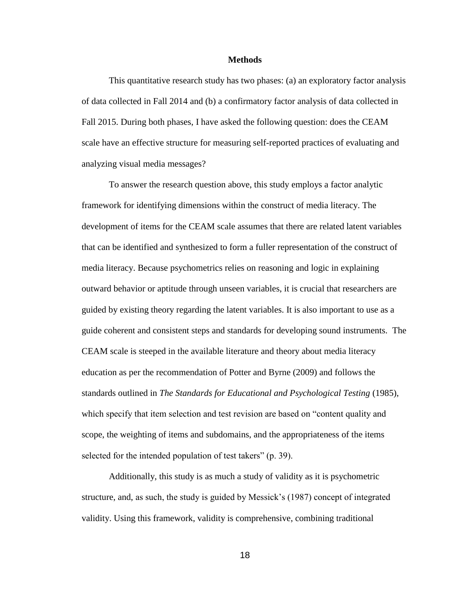#### **Methods**

This quantitative research study has two phases: (a) an exploratory factor analysis of data collected in Fall 2014 and (b) a confirmatory factor analysis of data collected in Fall 2015. During both phases, I have asked the following question: does the CEAM scale have an effective structure for measuring self-reported practices of evaluating and analyzing visual media messages?

To answer the research question above, this study employs a factor analytic framework for identifying dimensions within the construct of media literacy. The development of items for the CEAM scale assumes that there are related latent variables that can be identified and synthesized to form a fuller representation of the construct of media literacy. Because psychometrics relies on reasoning and logic in explaining outward behavior or aptitude through unseen variables, it is crucial that researchers are guided by existing theory regarding the latent variables. It is also important to use as a guide coherent and consistent steps and standards for developing sound instruments. The CEAM scale is steeped in the available literature and theory about media literacy education as per the recommendation of Potter and Byrne (2009) and follows the standards outlined in *The Standards for Educational and Psychological Testing* (1985), which specify that item selection and test revision are based on "content quality and scope, the weighting of items and subdomains, and the appropriateness of the items selected for the intended population of test takers" (p. 39).

Additionally, this study is as much a study of validity as it is psychometric structure, and, as such, the study is guided by Messick's (1987) concept of integrated validity. Using this framework, validity is comprehensive, combining traditional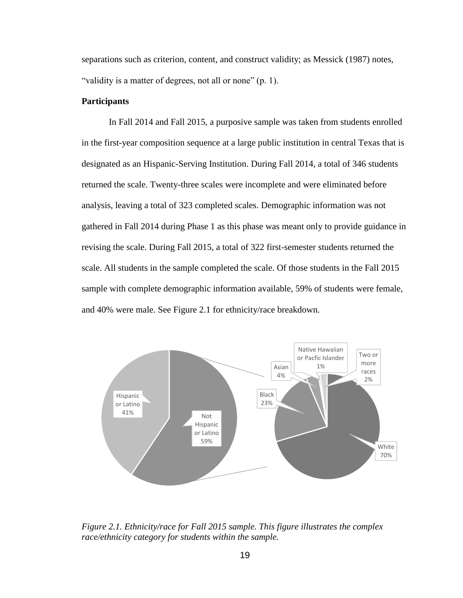separations such as criterion, content, and construct validity; as Messick (1987) notes, "validity is a matter of degrees, not all or none" (p. 1).

### **Participants**

In Fall 2014 and Fall 2015, a purposive sample was taken from students enrolled in the first-year composition sequence at a large public institution in central Texas that is designated as an Hispanic-Serving Institution. During Fall 2014, a total of 346 students returned the scale. Twenty-three scales were incomplete and were eliminated before analysis, leaving a total of 323 completed scales. Demographic information was not gathered in Fall 2014 during Phase 1 as this phase was meant only to provide guidance in revising the scale. During Fall 2015, a total of 322 first-semester students returned the scale. All students in the sample completed the scale. Of those students in the Fall 2015 sample with complete demographic information available, 59% of students were female, and 40% were male. See Figure 2.1 for ethnicity/race breakdown.



*Figure 2.1. Ethnicity/race for Fall 2015 sample. This figure illustrates the complex race/ethnicity category for students within the sample.*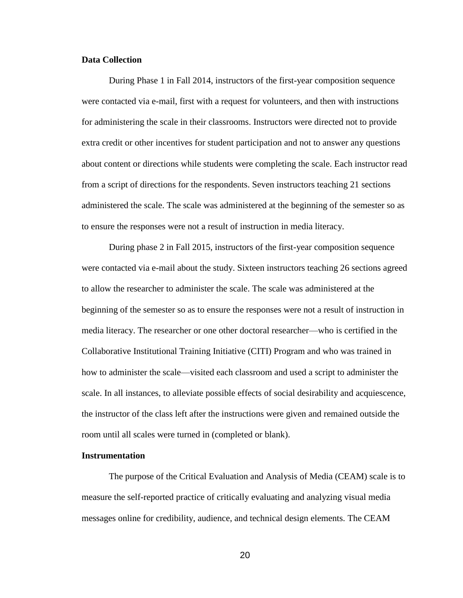#### **Data Collection**

During Phase 1 in Fall 2014, instructors of the first-year composition sequence were contacted via e-mail, first with a request for volunteers, and then with instructions for administering the scale in their classrooms. Instructors were directed not to provide extra credit or other incentives for student participation and not to answer any questions about content or directions while students were completing the scale. Each instructor read from a script of directions for the respondents. Seven instructors teaching 21 sections administered the scale. The scale was administered at the beginning of the semester so as to ensure the responses were not a result of instruction in media literacy.

During phase 2 in Fall 2015, instructors of the first-year composition sequence were contacted via e-mail about the study. Sixteen instructors teaching 26 sections agreed to allow the researcher to administer the scale. The scale was administered at the beginning of the semester so as to ensure the responses were not a result of instruction in media literacy. The researcher or one other doctoral researcher—who is certified in the Collaborative Institutional Training Initiative (CITI) Program and who was trained in how to administer the scale—visited each classroom and used a script to administer the scale. In all instances, to alleviate possible effects of social desirability and acquiescence, the instructor of the class left after the instructions were given and remained outside the room until all scales were turned in (completed or blank).

#### **Instrumentation**

The purpose of the Critical Evaluation and Analysis of Media (CEAM) scale is to measure the self-reported practice of critically evaluating and analyzing visual media messages online for credibility, audience, and technical design elements. The CEAM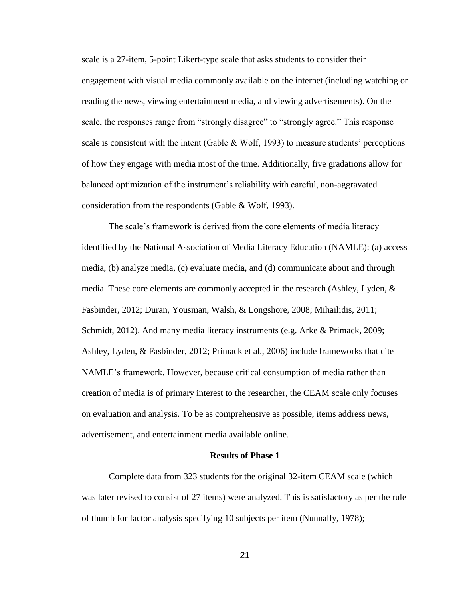scale is a 27-item, 5-point Likert-type scale that asks students to consider their engagement with visual media commonly available on the internet (including watching or reading the news, viewing entertainment media, and viewing advertisements). On the scale, the responses range from "strongly disagree" to "strongly agree." This response scale is consistent with the intent (Gable  $\&$  Wolf, 1993) to measure students' perceptions of how they engage with media most of the time. Additionally, five gradations allow for balanced optimization of the instrument's reliability with careful, non-aggravated consideration from the respondents (Gable & Wolf, 1993).

The scale's framework is derived from the core elements of media literacy identified by the National Association of Media Literacy Education (NAMLE): (a) access media, (b) analyze media, (c) evaluate media, and (d) communicate about and through media. These core elements are commonly accepted in the research (Ashley, Lyden, & Fasbinder, 2012; Duran, Yousman, Walsh, & Longshore, 2008; Mihailidis, 2011; Schmidt, 2012). And many media literacy instruments (e.g. Arke & Primack, 2009; Ashley, Lyden, & Fasbinder, 2012; Primack et al., 2006) include frameworks that cite NAMLE's framework. However, because critical consumption of media rather than creation of media is of primary interest to the researcher, the CEAM scale only focuses on evaluation and analysis. To be as comprehensive as possible, items address news, advertisement, and entertainment media available online.

#### **Results of Phase 1**

Complete data from 323 students for the original 32-item CEAM scale (which was later revised to consist of 27 items) were analyzed. This is satisfactory as per the rule of thumb for factor analysis specifying 10 subjects per item (Nunnally, 1978);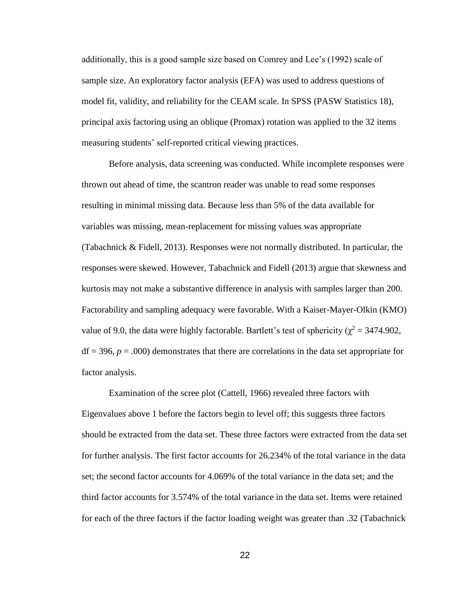additionally, this is a good sample size based on Comrey and Lee's (1992) scale of sample size. An exploratory factor analysis (EFA) was used to address questions of model fit, validity, and reliability for the CEAM scale. In SPSS (PASW Statistics 18), principal axis factoring using an oblique (Promax) rotation was applied to the 32 items measuring students' self-reported critical viewing practices.

Before analysis, data screening was conducted. While incomplete responses were thrown out ahead of time, the scantron reader was unable to read some responses resulting in minimal missing data. Because less than 5% of the data available for variables was missing, mean-replacement for missing values was appropriate (Tabachnick & Fidell, 2013). Responses were not normally distributed. In particular, the responses were skewed. However, Tabachnick and Fidell (2013) argue that skewness and kurtosis may not make a substantive difference in analysis with samples larger than 200. Factorability and sampling adequacy were favorable. With a Kaiser-Mayer-Olkin (KMO) value of 9.0, the data were highly factorable. Bartlett's test of sphericity ( $\chi^2$  = 3474.902,  $df = 396$ ,  $p = .000$ ) demonstrates that there are correlations in the data set appropriate for factor analysis.

Examination of the scree plot (Cattell, 1966) revealed three factors with Eigenvalues above 1 before the factors begin to level off; this suggests three factors should be extracted from the data set. These three factors were extracted from the data set for further analysis. The first factor accounts for 26.234% of the total variance in the data set; the second factor accounts for 4.069% of the total variance in the data set; and the third factor accounts for 3.574% of the total variance in the data set. Items were retained for each of the three factors if the factor loading weight was greater than .32 (Tabachnick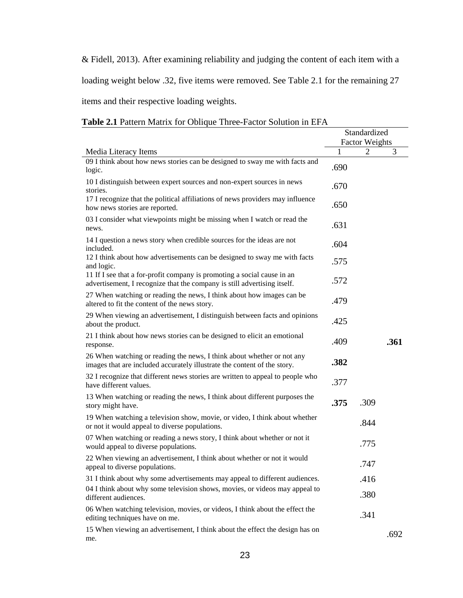& Fidell, 2013). After examining reliability and judging the content of each item with a

loading weight below .32, five items were removed. See Table 2.1 for the remaining 27

items and their respective loading weights.

| <b>Table 2.1</b> Talletti Matrix for Obtique Timee Tactor bolderon in Et $\Lambda$                                                                  | Standardized<br><b>Factor Weights</b> |                |      |
|-----------------------------------------------------------------------------------------------------------------------------------------------------|---------------------------------------|----------------|------|
| Media Literacy Items                                                                                                                                | 1                                     | $\overline{2}$ | 3    |
| 09 I think about how news stories can be designed to sway me with facts and<br>logic.                                                               | .690                                  |                |      |
| 10 I distinguish between expert sources and non-expert sources in news<br>stories.                                                                  | .670                                  |                |      |
| 17 I recognize that the political affiliations of news providers may influence<br>how news stories are reported.                                    | .650                                  |                |      |
| 03 I consider what viewpoints might be missing when I watch or read the<br>news.                                                                    | .631                                  |                |      |
| 14 I question a news story when credible sources for the ideas are not<br>included.                                                                 | .604                                  |                |      |
| 12 I think about how advertisements can be designed to sway me with facts<br>and logic.                                                             | .575                                  |                |      |
| 11 If I see that a for-profit company is promoting a social cause in an<br>advertisement, I recognize that the company is still advertising itself. | .572                                  |                |      |
| 27 When watching or reading the news, I think about how images can be<br>altered to fit the content of the news story.                              | .479                                  |                |      |
| 29 When viewing an advertisement, I distinguish between facts and opinions<br>about the product.                                                    | .425                                  |                |      |
| 21 I think about how news stories can be designed to elicit an emotional<br>response.                                                               | .409                                  |                | .361 |
| 26 When watching or reading the news, I think about whether or not any<br>images that are included accurately illustrate the content of the story.  | .382                                  |                |      |
| 32 I recognize that different news stories are written to appeal to people who<br>have different values.                                            | .377                                  |                |      |
| 13 When watching or reading the news, I think about different purposes the<br>story might have.                                                     | .375                                  | .309           |      |
| 19 When watching a television show, movie, or video, I think about whether<br>or not it would appeal to diverse populations.                        |                                       | .844           |      |
| 07 When watching or reading a news story, I think about whether or not it<br>would appeal to diverse populations.                                   |                                       | .775           |      |
| 22 When viewing an advertisement, I think about whether or not it would<br>appeal to diverse populations.                                           |                                       | .747           |      |
| 31 I think about why some advertisements may appeal to different audiences.                                                                         |                                       | .416           |      |
| 04 I think about why some television shows, movies, or videos may appeal to<br>different audiences.                                                 |                                       | .380           |      |
| 06 When watching television, movies, or videos, I think about the effect the<br>editing techniques have on me.                                      |                                       | .341           |      |
| 15 When viewing an advertisement, I think about the effect the design has on<br>me.                                                                 |                                       |                | .692 |

## **Table 2.1** Pattern Matrix for Oblique Three-Factor Solution in EFA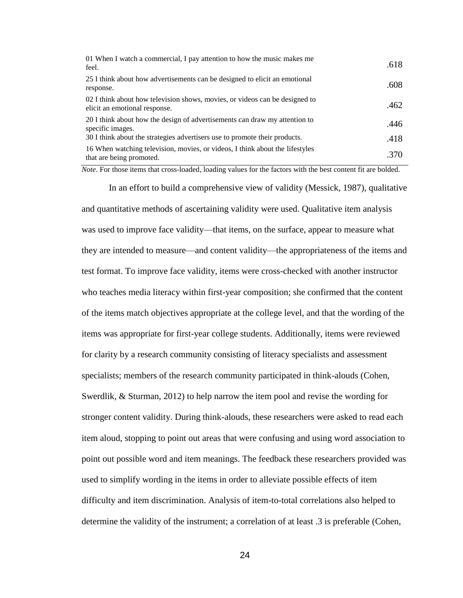| 01 When I watch a commercial, I pay attention to how the music makes me<br>feel.                             | .618 |
|--------------------------------------------------------------------------------------------------------------|------|
| 25 I think about how advertisements can be designed to elicit an emotional<br>response.                      | .608 |
| 02 I think about how television shows, movies, or videos can be designed to<br>elicit an emotional response. | .462 |
| 20 I think about how the design of advertisements can draw my attention to<br>specific images.               | .446 |
| 30 I think about the strategies advertisers use to promote their products.                                   | .418 |
| 16 When watching television, movies, or videos, I think about the lifestyles<br>that are being promoted.     | .370 |

*Note*. For those items that cross-loaded, loading values for the factors with the best content fit are bolded.

In an effort to build a comprehensive view of validity (Messick, 1987), qualitative and quantitative methods of ascertaining validity were used. Qualitative item analysis was used to improve face validity—that items, on the surface, appear to measure what they are intended to measure—and content validity—the appropriateness of the items and test format. To improve face validity, items were cross-checked with another instructor who teaches media literacy within first-year composition; she confirmed that the content of the items match objectives appropriate at the college level, and that the wording of the items was appropriate for first-year college students. Additionally, items were reviewed for clarity by a research community consisting of literacy specialists and assessment specialists; members of the research community participated in think-alouds (Cohen, Swerdlik, & Sturman, 2012) to help narrow the item pool and revise the wording for stronger content validity. During think-alouds, these researchers were asked to read each item aloud, stopping to point out areas that were confusing and using word association to point out possible word and item meanings. The feedback these researchers provided was used to simplify wording in the items in order to alleviate possible effects of item difficulty and item discrimination. Analysis of item-to-total correlations also helped to determine the validity of the instrument; a correlation of at least .3 is preferable (Cohen,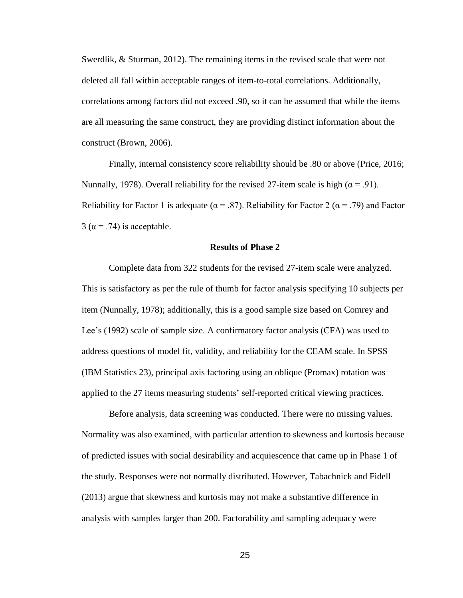Swerdlik, & Sturman, 2012). The remaining items in the revised scale that were not deleted all fall within acceptable ranges of item-to-total correlations. Additionally, correlations among factors did not exceed .90, so it can be assumed that while the items are all measuring the same construct, they are providing distinct information about the construct (Brown, 2006).

Finally, internal consistency score reliability should be .80 or above (Price, 2016; Nunnally, 1978). Overall reliability for the revised 27-item scale is high ( $\alpha$  = .91). Reliability for Factor 1 is adequate ( $\alpha = .87$ ). Reliability for Factor 2 ( $\alpha = .79$ ) and Factor  $3(\alpha = .74)$  is acceptable.

## **Results of Phase 2**

Complete data from 322 students for the revised 27-item scale were analyzed. This is satisfactory as per the rule of thumb for factor analysis specifying 10 subjects per item (Nunnally, 1978); additionally, this is a good sample size based on Comrey and Lee's (1992) scale of sample size. A confirmatory factor analysis (CFA) was used to address questions of model fit, validity, and reliability for the CEAM scale. In SPSS (IBM Statistics 23), principal axis factoring using an oblique (Promax) rotation was applied to the 27 items measuring students' self-reported critical viewing practices.

Before analysis, data screening was conducted. There were no missing values. Normality was also examined, with particular attention to skewness and kurtosis because of predicted issues with social desirability and acquiescence that came up in Phase 1 of the study. Responses were not normally distributed. However, Tabachnick and Fidell (2013) argue that skewness and kurtosis may not make a substantive difference in analysis with samples larger than 200. Factorability and sampling adequacy were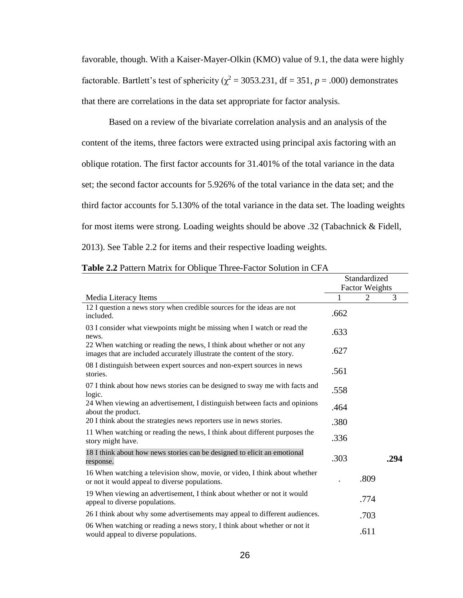favorable, though. With a Kaiser-Mayer-Olkin (KMO) value of 9.1, the data were highly factorable. Bartlett's test of sphericity ( $\chi^2$  = 3053.231, df = 351, *p* = .000) demonstrates that there are correlations in the data set appropriate for factor analysis.

Based on a review of the bivariate correlation analysis and an analysis of the content of the items, three factors were extracted using principal axis factoring with an oblique rotation. The first factor accounts for 31.401% of the total variance in the data set; the second factor accounts for 5.926% of the total variance in the data set; and the third factor accounts for 5.130% of the total variance in the data set. The loading weights for most items were strong. Loading weights should be above .32 (Tabachnick & Fidell, 2013). See Table 2.2 for items and their respective loading weights.

|                                                                                                                                                    |      | Standardized<br><b>Factor Weights</b> |      |
|----------------------------------------------------------------------------------------------------------------------------------------------------|------|---------------------------------------|------|
| Media Literacy Items                                                                                                                               |      | 2                                     | 3    |
| 12 I question a news story when credible sources for the ideas are not<br>included.                                                                | .662 |                                       |      |
| 03 I consider what viewpoints might be missing when I watch or read the<br>news.                                                                   | .633 |                                       |      |
| 22 When watching or reading the news, I think about whether or not any<br>images that are included accurately illustrate the content of the story. | .627 |                                       |      |
| 08 I distinguish between expert sources and non-expert sources in news<br>stories.                                                                 | .561 |                                       |      |
| 07 I think about how news stories can be designed to sway me with facts and<br>logic.                                                              | .558 |                                       |      |
| 24 When viewing an advertisement, I distinguish between facts and opinions<br>about the product.                                                   | .464 |                                       |      |
| 20 I think about the strategies news reporters use in news stories.                                                                                | .380 |                                       |      |
| 11 When watching or reading the news, I think about different purposes the<br>story might have.                                                    | .336 |                                       |      |
| 18 I think about how news stories can be designed to elicit an emotional<br>response.                                                              | .303 |                                       | .294 |
| 16 When watching a television show, movie, or video, I think about whether<br>or not it would appeal to diverse populations.                       |      | .809                                  |      |
| 19 When viewing an advertisement, I think about whether or not it would<br>appeal to diverse populations.                                          |      | .774                                  |      |
| 26 I think about why some advertisements may appeal to different audiences.                                                                        |      | .703                                  |      |
| 06 When watching or reading a news story, I think about whether or not it<br>would appeal to diverse populations.                                  |      | .611                                  |      |

| <b>Table 2.2</b> Pattern Matrix for Oblique Three-Factor Solution in CFA |  |  |  |  |  |
|--------------------------------------------------------------------------|--|--|--|--|--|
|--------------------------------------------------------------------------|--|--|--|--|--|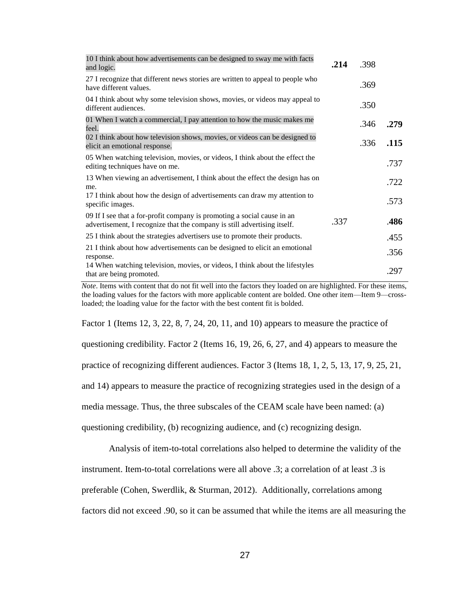| 10 I think about how advertisements can be designed to sway me with facts<br>and logic.                                                             | .214 | .398 |      |
|-----------------------------------------------------------------------------------------------------------------------------------------------------|------|------|------|
| 27 I recognize that different news stories are written to appeal to people who<br>have different values.                                            |      | .369 |      |
| 04 I think about why some television shows, movies, or videos may appeal to<br>different audiences.                                                 |      | .350 |      |
| 01 When I watch a commercial, I pay attention to how the music makes me<br>feel.                                                                    |      | .346 | .279 |
| 02 I think about how television shows, movies, or videos can be designed to<br>elicit an emotional response.                                        |      | .336 | .115 |
| 05 When watching television, movies, or videos, I think about the effect the<br>editing techniques have on me.                                      |      |      | .737 |
| 13 When viewing an advertisement, I think about the effect the design has on<br>me.                                                                 |      |      | .722 |
| 17 I think about how the design of advertisements can draw my attention to<br>specific images.                                                      |      |      | .573 |
| 09 If I see that a for-profit company is promoting a social cause in an<br>advertisement, I recognize that the company is still advertising itself. | .337 |      | .486 |
| 25 I think about the strategies advertisers use to promote their products.                                                                          |      |      | .455 |
| 21 I think about how advertisements can be designed to elicit an emotional<br>response.                                                             |      |      | .356 |
| 14 When watching television, movies, or videos, I think about the lifestyles<br>that are being promoted.                                            |      |      | .297 |

*Note*. Items with content that do not fit well into the factors they loaded on are highlighted. For these items, the loading values for the factors with more applicable content are bolded. One other item—Item 9—crossloaded; the loading value for the factor with the best content fit is bolded.

Factor 1 (Items 12, 3, 22, 8, 7, 24, 20, 11, and 10) appears to measure the practice of

questioning credibility. Factor 2 (Items 16, 19, 26, 6, 27, and 4) appears to measure the

practice of recognizing different audiences. Factor 3 (Items 18, 1, 2, 5, 13, 17, 9, 25, 21,

and 14) appears to measure the practice of recognizing strategies used in the design of a

media message. Thus, the three subscales of the CEAM scale have been named: (a)

questioning credibility, (b) recognizing audience, and (c) recognizing design.

Analysis of item-to-total correlations also helped to determine the validity of the

instrument. Item-to-total correlations were all above .3; a correlation of at least .3 is

preferable (Cohen, Swerdlik, & Sturman, 2012). Additionally, correlations among

factors did not exceed .90, so it can be assumed that while the items are all measuring the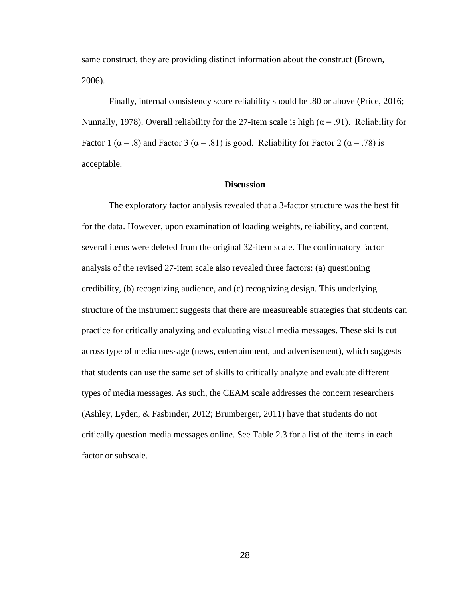same construct, they are providing distinct information about the construct (Brown, 2006).

Finally, internal consistency score reliability should be .80 or above (Price, 2016; Nunnally, 1978). Overall reliability for the 27-item scale is high ( $\alpha$  = .91). Reliability for Factor 1 ( $\alpha$  = .8) and Factor 3 ( $\alpha$  = .81) is good. Reliability for Factor 2 ( $\alpha$  = .78) is acceptable.

### **Discussion**

The exploratory factor analysis revealed that a 3-factor structure was the best fit for the data. However, upon examination of loading weights, reliability, and content, several items were deleted from the original 32-item scale. The confirmatory factor analysis of the revised 27-item scale also revealed three factors: (a) questioning credibility, (b) recognizing audience, and (c) recognizing design. This underlying structure of the instrument suggests that there are measureable strategies that students can practice for critically analyzing and evaluating visual media messages. These skills cut across type of media message (news, entertainment, and advertisement), which suggests that students can use the same set of skills to critically analyze and evaluate different types of media messages. As such, the CEAM scale addresses the concern researchers (Ashley, Lyden, & Fasbinder, 2012; Brumberger, 2011) have that students do not critically question media messages online. See Table 2.3 for a list of the items in each factor or subscale.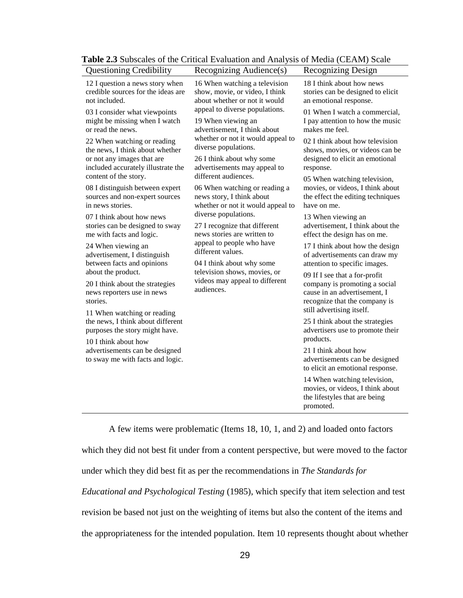| <b>Questioning Credibility</b>                                                                                                     | Recognizing Audience(s)                                                                                                                                             | Recognizing Design                                                                                                              |  |                                                                                        |
|------------------------------------------------------------------------------------------------------------------------------------|---------------------------------------------------------------------------------------------------------------------------------------------------------------------|---------------------------------------------------------------------------------------------------------------------------------|--|----------------------------------------------------------------------------------------|
| 12 I question a news story when<br>credible sources for the ideas are<br>not included.                                             | 16 When watching a television<br>show, movie, or video, I think<br>about whether or not it would                                                                    | 18 I think about how news<br>stories can be designed to elicit<br>an emotional response.                                        |  |                                                                                        |
| 03 I consider what viewpoints<br>might be missing when I watch<br>or read the news.                                                | appeal to diverse populations.<br>19 When viewing an<br>advertisement, I think about                                                                                | 01 When I watch a commercial,<br>I pay attention to how the music<br>makes me feel.                                             |  |                                                                                        |
| 22 When watching or reading<br>the news, I think about whether<br>or not any images that are<br>included accurately illustrate the | whether or not it would appeal to<br>diverse populations.<br>26 I think about why some<br>advertisements may appeal to                                              | 02 I think about how television<br>shows, movies, or videos can be<br>designed to elicit an emotional<br>response.              |  |                                                                                        |
| content of the story.<br>08 I distinguish between expert<br>sources and non-expert sources<br>in news stories.                     | different audiences.<br>06 When watching or reading a<br>news story, I think about<br>whether or not it would appeal to                                             | 05 When watching television,<br>movies, or videos, I think about<br>the effect the editing techniques<br>have on me.            |  |                                                                                        |
| 07 I think about how news<br>stories can be designed to sway<br>me with facts and logic.                                           | diverse populations.<br>27 I recognize that different<br>news stories are written to<br>appeal to people who have<br>different values.<br>04 I think about why some |                                                                                                                                 |  | 13 When viewing an<br>advertisement, I think about the<br>effect the design has on me. |
| 24 When viewing an<br>advertisement, I distinguish<br>between facts and opinions                                                   |                                                                                                                                                                     | 17 I think about how the design<br>of advertisements can draw my<br>attention to specific images.                               |  |                                                                                        |
| about the product.<br>20 I think about the strategies<br>news reporters use in news<br>stories.                                    | television shows, movies, or<br>videos may appeal to different<br>audiences.                                                                                        | 09 If I see that a for-profit<br>company is promoting a social<br>cause in an advertisement, I<br>recognize that the company is |  |                                                                                        |
| 11 When watching or reading<br>the news, I think about different<br>purposes the story might have.                                 |                                                                                                                                                                     | still advertising itself.<br>25 I think about the strategies<br>advertisers use to promote their<br>products.                   |  |                                                                                        |
| 10 I think about how<br>advertisements can be designed<br>to sway me with facts and logic.                                         |                                                                                                                                                                     | 21 I think about how<br>advertisements can be designed<br>to elicit an emotional response.                                      |  |                                                                                        |
|                                                                                                                                    |                                                                                                                                                                     | 14 When watching television,<br>movies, or videos, I think about<br>the lifestyles that are being<br>promoted.                  |  |                                                                                        |

**Table 2.3** Subscales of the Critical Evaluation and Analysis of Media (CEAM) Scale

A few items were problematic (Items 18, 10, 1, and 2) and loaded onto factors which they did not best fit under from a content perspective, but were moved to the factor

under which they did best fit as per the recommendations in *The Standards for* 

*Educational and Psychological Testing* (1985), which specify that item selection and test revision be based not just on the weighting of items but also the content of the items and

the appropriateness for the intended population. Item 10 represents thought about whether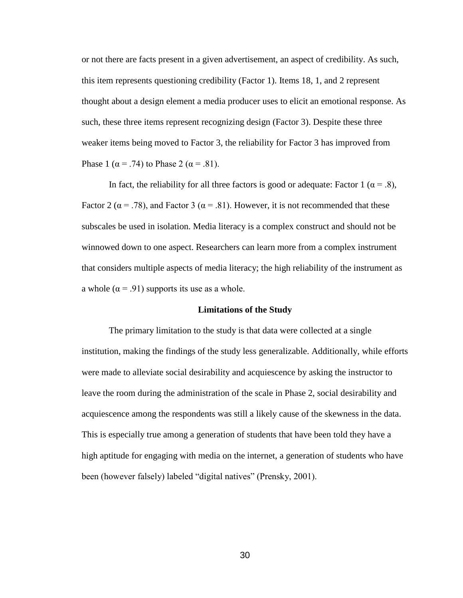or not there are facts present in a given advertisement, an aspect of credibility. As such, this item represents questioning credibility (Factor 1). Items 18, 1, and 2 represent thought about a design element a media producer uses to elicit an emotional response. As such, these three items represent recognizing design (Factor 3). Despite these three weaker items being moved to Factor 3, the reliability for Factor 3 has improved from Phase 1 ( $\alpha$  = .74) to Phase 2 ( $\alpha$  = .81).

In fact, the reliability for all three factors is good or adequate: Factor 1 ( $\alpha$  = .8), Factor 2 ( $\alpha$  = .78), and Factor 3 ( $\alpha$  = .81). However, it is not recommended that these subscales be used in isolation. Media literacy is a complex construct and should not be winnowed down to one aspect. Researchers can learn more from a complex instrument that considers multiple aspects of media literacy; the high reliability of the instrument as a whole ( $\alpha$  = .91) supports its use as a whole.

# **Limitations of the Study**

The primary limitation to the study is that data were collected at a single institution, making the findings of the study less generalizable. Additionally, while efforts were made to alleviate social desirability and acquiescence by asking the instructor to leave the room during the administration of the scale in Phase 2, social desirability and acquiescence among the respondents was still a likely cause of the skewness in the data. This is especially true among a generation of students that have been told they have a high aptitude for engaging with media on the internet, a generation of students who have been (however falsely) labeled "digital natives" (Prensky, 2001).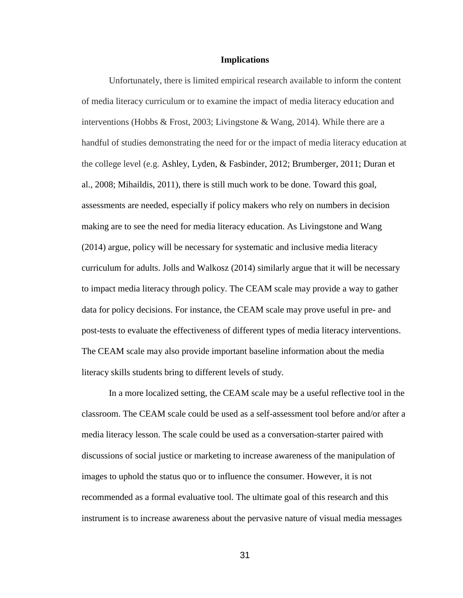#### **Implications**

Unfortunately, there is limited empirical research available to inform the content of media literacy curriculum or to examine the impact of media literacy education and interventions (Hobbs & Frost, 2003; Livingstone & Wang, 2014). While there are a handful of studies demonstrating the need for or the impact of media literacy education at the college level (e.g. Ashley, Lyden, & Fasbinder, 2012; Brumberger, 2011; Duran et al., 2008; Mihaildis, 2011), there is still much work to be done. Toward this goal, assessments are needed, especially if policy makers who rely on numbers in decision making are to see the need for media literacy education. As Livingstone and Wang (2014) argue, policy will be necessary for systematic and inclusive media literacy curriculum for adults. Jolls and Walkosz (2014) similarly argue that it will be necessary to impact media literacy through policy. The CEAM scale may provide a way to gather data for policy decisions. For instance, the CEAM scale may prove useful in pre- and post-tests to evaluate the effectiveness of different types of media literacy interventions. The CEAM scale may also provide important baseline information about the media literacy skills students bring to different levels of study.

In a more localized setting, the CEAM scale may be a useful reflective tool in the classroom. The CEAM scale could be used as a self-assessment tool before and/or after a media literacy lesson. The scale could be used as a conversation-starter paired with discussions of social justice or marketing to increase awareness of the manipulation of images to uphold the status quo or to influence the consumer. However, it is not recommended as a formal evaluative tool. The ultimate goal of this research and this instrument is to increase awareness about the pervasive nature of visual media messages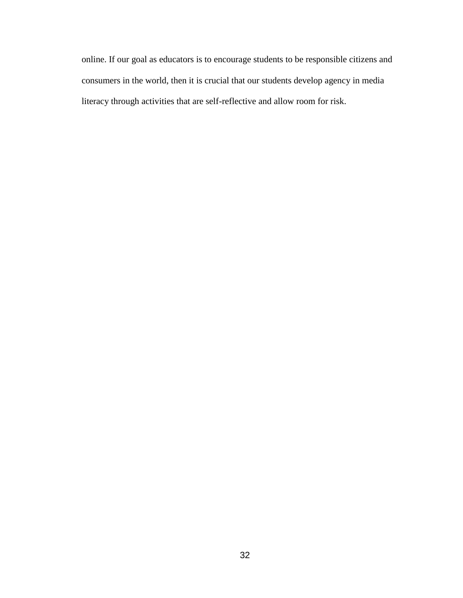online. If our goal as educators is to encourage students to be responsible citizens and consumers in the world, then it is crucial that our students develop agency in media literacy through activities that are self-reflective and allow room for risk.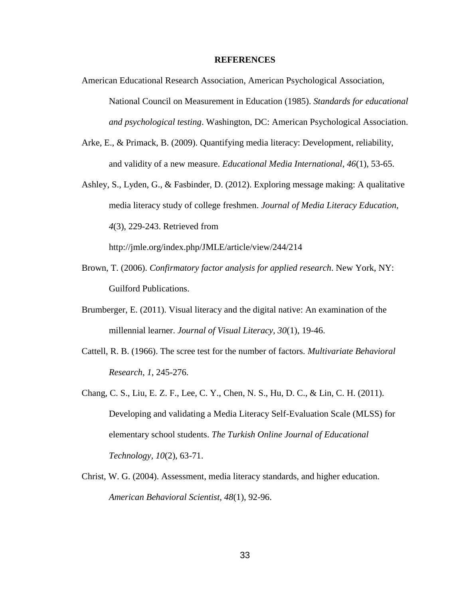#### **REFERENCES**

- American Educational Research Association, American Psychological Association, National Council on Measurement in Education (1985). *Standards for educational and psychological testing*. Washington, DC: American Psychological Association.
- Arke, E., & Primack, B. (2009). Quantifying media literacy: Development, reliability, and validity of a new measure. *Educational Media International, 46*(1), 53-65.
- Ashley, S., Lyden, G., & Fasbinder, D. (2012). Exploring message making: A qualitative media literacy study of college freshmen. *Journal of Media Literacy Education, 4*(3), 229-243. Retrieved from

http://jmle.org/index.php/JMLE/article/view/244/214

- Brown, T. (2006). *Confirmatory factor analysis for applied research*. New York, NY: Guilford Publications.
- Brumberger, E. (2011). Visual literacy and the digital native: An examination of the millennial learner. *Journal of Visual Literacy, 30*(1), 19-46.
- Cattell, R. B. (1966). The scree test for the number of factors. *Multivariate Behavioral Research*, *1*, 245-276.
- Chang, C. S., Liu, E. Z. F., Lee, C. Y., Chen, N. S., Hu, D. C., & Lin, C. H. (2011). Developing and validating a Media Literacy Self-Evaluation Scale (MLSS) for elementary school students. *The Turkish Online Journal of Educational Technology, 10*(2), 63-71.
- Christ, W. G. (2004). Assessment, media literacy standards, and higher education. *American Behavioral Scientist, 48*(1), 92-96.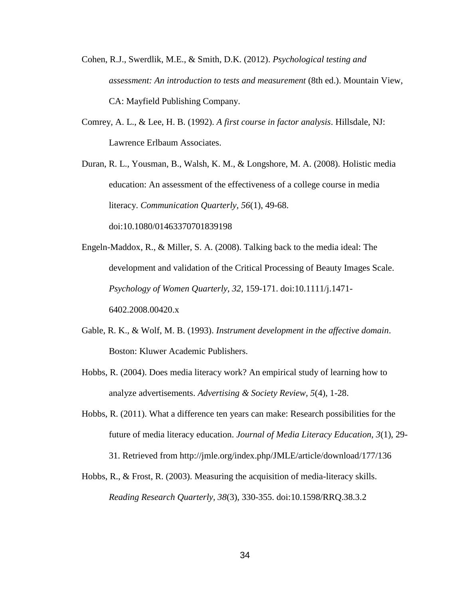- Cohen, R.J., Swerdlik, M.E., & Smith, D.K. (2012). *Psychological testing and assessment: An introduction to tests and measurement* (8th ed.). Mountain View, CA: Mayfield Publishing Company.
- Comrey, A. L., & Lee, H. B. (1992). *A first course in factor analysis*. Hillsdale, NJ: Lawrence Erlbaum Associates.

Duran, R. L., Yousman, B., Walsh, K. M., & Longshore, M. A. (2008). Holistic media education: An assessment of the effectiveness of a college course in media literacy. *Communication Quarterly, 56*(1), 49-68. doi:10.1080/01463370701839198

- Engeln-Maddox, R., & Miller, S. A. (2008). Talking back to the media ideal: The development and validation of the Critical Processing of Beauty Images Scale. *Psychology of Women Quarterly, 32*, 159-171. doi:10.1111/j.1471- 6402.2008.00420.x
- Gable, R. K., & Wolf, M. B. (1993). *Instrument development in the affective domain*. Boston: Kluwer Academic Publishers.
- Hobbs, R. (2004). Does media literacy work? An empirical study of learning how to analyze advertisements. *Advertising & Society Review, 5*(4), 1-28.
- Hobbs, R. (2011). What a difference ten years can make: Research possibilities for the future of media literacy education. *Journal of Media Literacy Education, 3*(1), 29- 31. Retrieved from http://jmle.org/index.php/JMLE/article/download/177/136
- Hobbs, R., & Frost, R. (2003). Measuring the acquisition of media-literacy skills. *Reading Research Quarterly, 38*(3), 330-355. doi:10.1598/RRQ.38.3.2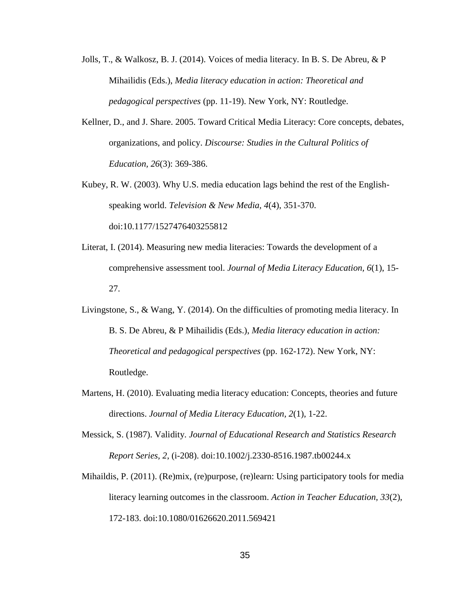- Jolls, T., & Walkosz, B. J. (2014). Voices of media literacy. In B. S. De Abreu, & P Mihailidis (Eds.), *Media literacy education in action: Theoretical and pedagogical perspectives* (pp. 11-19). New York, NY: Routledge.
- Kellner, D., and J. Share. 2005. Toward Critical Media Literacy: Core concepts, debates, organizations, and policy. *Discourse: Studies in the Cultural Politics of Education, 26*(3): 369-386.
- Kubey, R. W. (2003). Why U.S. media education lags behind the rest of the Englishspeaking world. *Television & New Media, 4*(4), 351-370. doi:10.1177/1527476403255812
- Literat, I. (2014). Measuring new media literacies: Towards the development of a comprehensive assessment tool. *Journal of Media Literacy Education, 6*(1), 15- 27.
- Livingstone, S., & Wang, Y. (2014). On the difficulties of promoting media literacy. In B. S. De Abreu, & P Mihailidis (Eds.), *Media literacy education in action: Theoretical and pedagogical perspectives* (pp. 162-172). New York, NY: Routledge.
- Martens, H. (2010). Evaluating media literacy education: Concepts, theories and future directions. *Journal of Media Literacy Education, 2*(1), 1-22.
- Messick, S. (1987). Validity. *Journal of Educational Research and Statistics Research Report Series, 2*, (i-208). doi:10.1002/j.2330-8516.1987.tb00244.x
- Mihaildis, P. (2011). (Re)mix, (re)purpose, (re)learn: Using participatory tools for media literacy learning outcomes in the classroom. *Action in Teacher Education, 33*(2), 172-183. doi:10.1080/01626620.2011.569421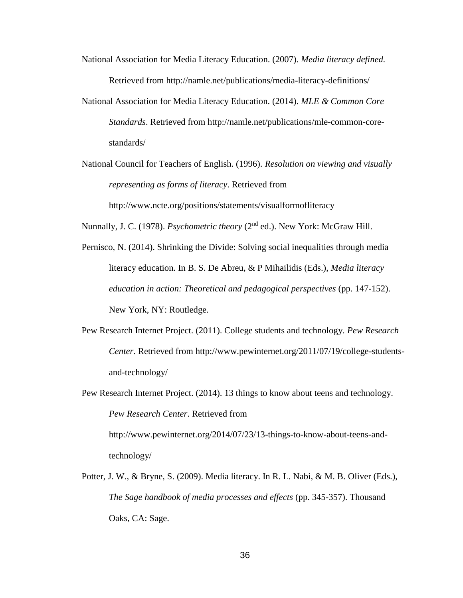- National Association for Media Literacy Education. (2007). *Media literacy defined.* Retrieved from http://namle.net/publications/media-literacy-definitions/
- National Association for Media Literacy Education. (2014). *MLE & Common Core Standards*. Retrieved from http://namle.net/publications/mle-common-corestandards/
- National Council for Teachers of English. (1996). *Resolution on viewing and visually representing as forms of literacy*. Retrieved from http://www.ncte.org/positions/statements/visualformofliteracy

Nunnally, J. C. (1978). *Psychometric theory* (2nd ed.). New York: McGraw Hill.

- Pernisco, N. (2014). Shrinking the Divide: Solving social inequalities through media literacy education. In B. S. De Abreu, & P Mihailidis (Eds.), *Media literacy education in action: Theoretical and pedagogical perspectives* (pp. 147-152). New York, NY: Routledge.
- Pew Research Internet Project. (2011). College students and technology. *Pew Research Center*. Retrieved from http://www.pewinternet.org/2011/07/19/college-studentsand-technology/
- Pew Research Internet Project. (2014). 13 things to know about teens and technology. *Pew Research Center*. Retrieved from http://www.pewinternet.org/2014/07/23/13-things-to-know-about-teens-andtechnology/
- Potter, J. W., & Bryne, S. (2009). Media literacy. In R. L. Nabi, & M. B. Oliver (Eds.), *The Sage handbook of media processes and effects* (pp. 345-357). Thousand Oaks, CA: Sage.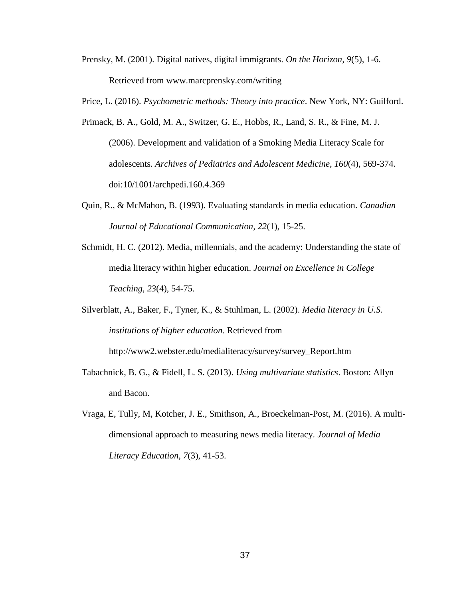Prensky, M. (2001). Digital natives, digital immigrants. *On the Horizon, 9*(5), 1-6. Retrieved from www.marcprensky.com/writing

Price, L. (2016). *Psychometric methods: Theory into practice*. New York, NY: Guilford.

- Primack, B. A., Gold, M. A., Switzer, G. E., Hobbs, R., Land, S. R., & Fine, M. J. (2006). Development and validation of a Smoking Media Literacy Scale for adolescents. *Archives of Pediatrics and Adolescent Medicine, 160*(4), 569-374. doi:10/1001/archpedi.160.4.369
- Quin, R., & McMahon, B. (1993). Evaluating standards in media education. *Canadian Journal of Educational Communication, 22*(1), 15-25.
- Schmidt, H. C. (2012). Media, millennials, and the academy: Understanding the state of media literacy within higher education. *Journal on Excellence in College Teaching, 23*(4), 54-75.

Silverblatt, A., Baker, F., Tyner, K., & Stuhlman, L. (2002). *Media literacy in U.S. institutions of higher education.* Retrieved from http://www2.webster.edu/medialiteracy/survey/survey\_Report.htm

- Tabachnick, B. G., & Fidell, L. S. (2013). *Using multivariate statistics*. Boston: Allyn and Bacon.
- Vraga, E, Tully, M, Kotcher, J. E., Smithson, A., Broeckelman-Post, M. (2016). A multidimensional approach to measuring news media literacy. *Journal of Media Literacy Education, 7*(3), 41-53.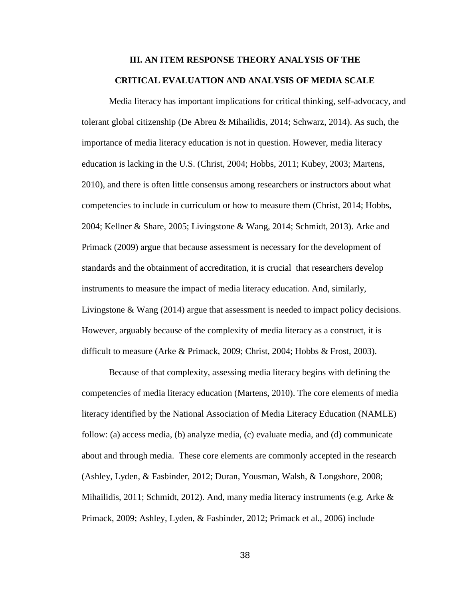# **III. AN ITEM RESPONSE THEORY ANALYSIS OF THE CRITICAL EVALUATION AND ANALYSIS OF MEDIA SCALE**

Media literacy has important implications for critical thinking, self-advocacy, and tolerant global citizenship (De Abreu & Mihailidis, 2014; Schwarz, 2014). As such, the importance of media literacy education is not in question. However, media literacy education is lacking in the U.S. (Christ, 2004; Hobbs, 2011; Kubey, 2003; Martens, 2010), and there is often little consensus among researchers or instructors about what competencies to include in curriculum or how to measure them (Christ, 2014; Hobbs, 2004; Kellner & Share, 2005; Livingstone & Wang, 2014; Schmidt, 2013). Arke and Primack (2009) argue that because assessment is necessary for the development of standards and the obtainment of accreditation, it is crucial that researchers develop instruments to measure the impact of media literacy education. And, similarly, Livingstone & Wang (2014) argue that assessment is needed to impact policy decisions. However, arguably because of the complexity of media literacy as a construct, it is difficult to measure (Arke & Primack, 2009; Christ, 2004; Hobbs & Frost, 2003).

Because of that complexity, assessing media literacy begins with defining the competencies of media literacy education (Martens, 2010). The core elements of media literacy identified by the National Association of Media Literacy Education (NAMLE) follow: (a) access media, (b) analyze media, (c) evaluate media, and (d) communicate about and through media. These core elements are commonly accepted in the research (Ashley, Lyden, & Fasbinder, 2012; Duran, Yousman, Walsh, & Longshore, 2008; Mihailidis, 2011; Schmidt, 2012). And, many media literacy instruments (e.g. Arke  $\&$ Primack, 2009; Ashley, Lyden, & Fasbinder, 2012; Primack et al., 2006) include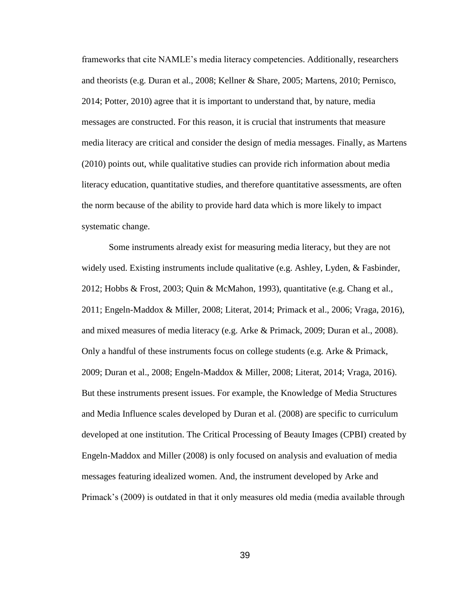frameworks that cite NAMLE's media literacy competencies. Additionally, researchers and theorists (e.g. Duran et al., 2008; Kellner & Share, 2005; Martens, 2010; Pernisco, 2014; Potter, 2010) agree that it is important to understand that, by nature, media messages are constructed. For this reason, it is crucial that instruments that measure media literacy are critical and consider the design of media messages. Finally, as Martens (2010) points out, while qualitative studies can provide rich information about media literacy education, quantitative studies, and therefore quantitative assessments, are often the norm because of the ability to provide hard data which is more likely to impact systematic change.

Some instruments already exist for measuring media literacy, but they are not widely used. Existing instruments include qualitative (e.g. Ashley, Lyden, & Fasbinder, 2012; Hobbs & Frost, 2003; Quin & McMahon, 1993), quantitative (e.g. Chang et al., 2011; Engeln-Maddox & Miller, 2008; Literat, 2014; Primack et al., 2006; Vraga, 2016), and mixed measures of media literacy (e.g. Arke & Primack, 2009; Duran et al., 2008). Only a handful of these instruments focus on college students (e.g. Arke & Primack, 2009; Duran et al., 2008; Engeln-Maddox & Miller, 2008; Literat, 2014; Vraga, 2016). But these instruments present issues. For example, the Knowledge of Media Structures and Media Influence scales developed by Duran et al. (2008) are specific to curriculum developed at one institution. The Critical Processing of Beauty Images (CPBI) created by Engeln-Maddox and Miller (2008) is only focused on analysis and evaluation of media messages featuring idealized women. And, the instrument developed by Arke and Primack's (2009) is outdated in that it only measures old media (media available through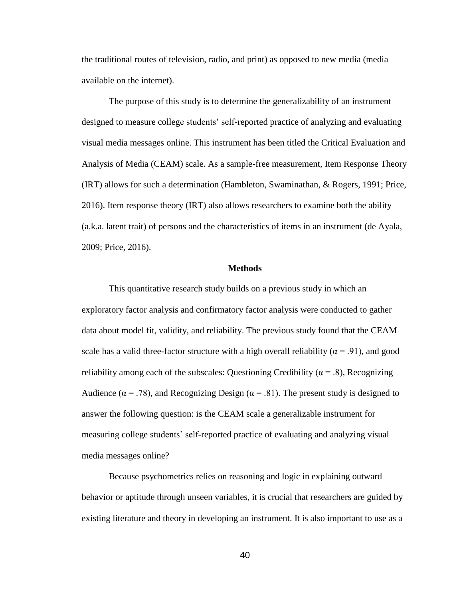the traditional routes of television, radio, and print) as opposed to new media (media available on the internet).

The purpose of this study is to determine the generalizability of an instrument designed to measure college students' self-reported practice of analyzing and evaluating visual media messages online. This instrument has been titled the Critical Evaluation and Analysis of Media (CEAM) scale. As a sample-free measurement, Item Response Theory (IRT) allows for such a determination (Hambleton, Swaminathan, & Rogers, 1991; Price, 2016). Item response theory (IRT) also allows researchers to examine both the ability (a.k.a. latent trait) of persons and the characteristics of items in an instrument (de Ayala, 2009; Price, 2016).

# **Methods**

This quantitative research study builds on a previous study in which an exploratory factor analysis and confirmatory factor analysis were conducted to gather data about model fit, validity, and reliability. The previous study found that the CEAM scale has a valid three-factor structure with a high overall reliability ( $\alpha$  = .91), and good reliability among each of the subscales: Questioning Credibility ( $\alpha$  = .8), Recognizing Audience ( $\alpha$  = .78), and Recognizing Design ( $\alpha$  = .81). The present study is designed to answer the following question: is the CEAM scale a generalizable instrument for measuring college students' self-reported practice of evaluating and analyzing visual media messages online?

Because psychometrics relies on reasoning and logic in explaining outward behavior or aptitude through unseen variables, it is crucial that researchers are guided by existing literature and theory in developing an instrument. It is also important to use as a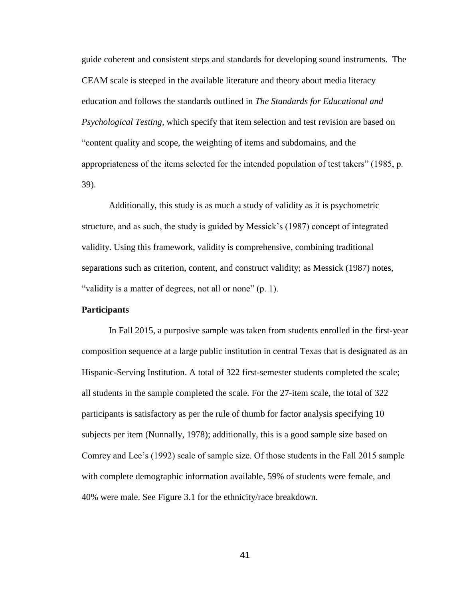guide coherent and consistent steps and standards for developing sound instruments. The CEAM scale is steeped in the available literature and theory about media literacy education and follows the standards outlined in *The Standards for Educational and Psychological Testing,* which specify that item selection and test revision are based on "content quality and scope, the weighting of items and subdomains, and the appropriateness of the items selected for the intended population of test takers" (1985, p. 39).

Additionally, this study is as much a study of validity as it is psychometric structure, and as such, the study is guided by Messick's (1987) concept of integrated validity. Using this framework, validity is comprehensive, combining traditional separations such as criterion, content, and construct validity; as Messick (1987) notes, "validity is a matter of degrees, not all or none" (p. 1).

# **Participants**

In Fall 2015, a purposive sample was taken from students enrolled in the first-year composition sequence at a large public institution in central Texas that is designated as an Hispanic-Serving Institution. A total of 322 first-semester students completed the scale; all students in the sample completed the scale. For the 27-item scale, the total of 322 participants is satisfactory as per the rule of thumb for factor analysis specifying 10 subjects per item (Nunnally, 1978); additionally, this is a good sample size based on Comrey and Lee's (1992) scale of sample size. Of those students in the Fall 2015 sample with complete demographic information available, 59% of students were female, and 40% were male. See Figure 3.1 for the ethnicity/race breakdown.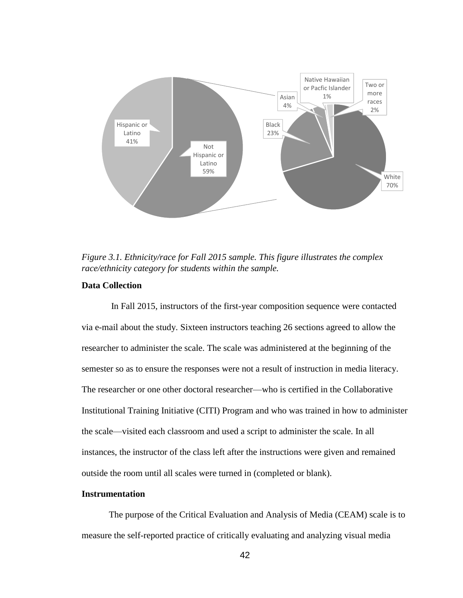

*Figure 3.1. Ethnicity/race for Fall 2015 sample. This figure illustrates the complex race/ethnicity category for students within the sample.*

# **Data Collection**

In Fall 2015, instructors of the first-year composition sequence were contacted via e-mail about the study. Sixteen instructors teaching 26 sections agreed to allow the researcher to administer the scale. The scale was administered at the beginning of the semester so as to ensure the responses were not a result of instruction in media literacy. The researcher or one other doctoral researcher—who is certified in the Collaborative Institutional Training Initiative (CITI) Program and who was trained in how to administer the scale—visited each classroom and used a script to administer the scale. In all instances, the instructor of the class left after the instructions were given and remained outside the room until all scales were turned in (completed or blank).

# **Instrumentation**

The purpose of the Critical Evaluation and Analysis of Media (CEAM) scale is to measure the self-reported practice of critically evaluating and analyzing visual media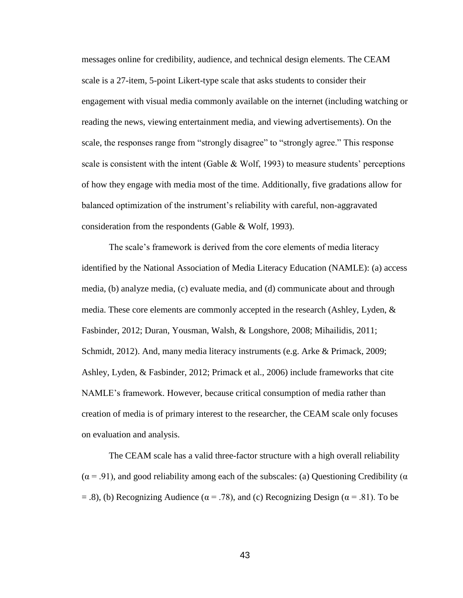messages online for credibility, audience, and technical design elements. The CEAM scale is a 27-item, 5-point Likert-type scale that asks students to consider their engagement with visual media commonly available on the internet (including watching or reading the news, viewing entertainment media, and viewing advertisements). On the scale, the responses range from "strongly disagree" to "strongly agree." This response scale is consistent with the intent (Gable  $\&$  Wolf, 1993) to measure students' perceptions of how they engage with media most of the time. Additionally, five gradations allow for balanced optimization of the instrument's reliability with careful, non-aggravated consideration from the respondents (Gable & Wolf, 1993).

The scale's framework is derived from the core elements of media literacy identified by the National Association of Media Literacy Education (NAMLE): (a) access media, (b) analyze media, (c) evaluate media, and (d) communicate about and through media. These core elements are commonly accepted in the research (Ashley, Lyden, & Fasbinder, 2012; Duran, Yousman, Walsh, & Longshore, 2008; Mihailidis, 2011; Schmidt, 2012). And, many media literacy instruments (e.g. Arke & Primack, 2009; Ashley, Lyden, & Fasbinder, 2012; Primack et al., 2006) include frameworks that cite NAMLE's framework. However, because critical consumption of media rather than creation of media is of primary interest to the researcher, the CEAM scale only focuses on evaluation and analysis.

The CEAM scale has a valid three-factor structure with a high overall reliability  $(\alpha = .91)$ , and good reliability among each of the subscales: (a) Questioning Credibility ( $\alpha$  $=$  .8), (b) Recognizing Audience ( $\alpha$  = .78), and (c) Recognizing Design ( $\alpha$  = .81). To be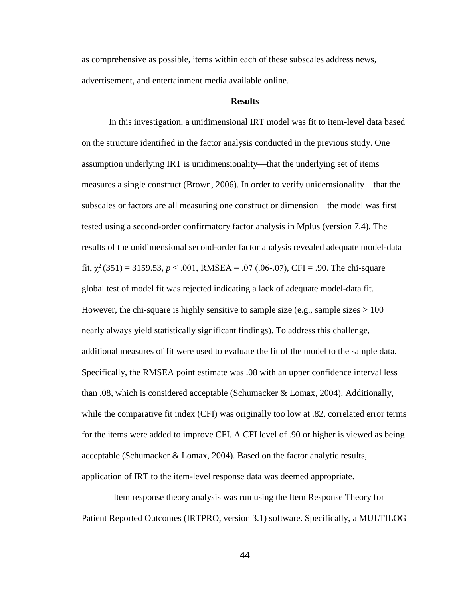as comprehensive as possible, items within each of these subscales address news, advertisement, and entertainment media available online.

# **Results**

In this investigation, a unidimensional IRT model was fit to item-level data based on the structure identified in the factor analysis conducted in the previous study. One assumption underlying IRT is unidimensionality—that the underlying set of items measures a single construct (Brown, 2006). In order to verify unidemsionality—that the subscales or factors are all measuring one construct or dimension—the model was first tested using a second-order confirmatory factor analysis in Mplus (version 7.4). The results of the unidimensional second-order factor analysis revealed adequate model-data fit,  $\chi^2$  (351) = 3159.53,  $p \le 0.001$ , RMSEA = .07 (.06-.07), CFI = .90. The chi-square global test of model fit was rejected indicating a lack of adequate model-data fit. However, the chi-square is highly sensitive to sample size (e.g., sample sizes  $> 100$ ) nearly always yield statistically significant findings). To address this challenge, additional measures of fit were used to evaluate the fit of the model to the sample data. Specifically, the RMSEA point estimate was .08 with an upper confidence interval less than .08, which is considered acceptable (Schumacker & Lomax, 2004). Additionally, while the comparative fit index (CFI) was originally too low at .82, correlated error terms for the items were added to improve CFI. A CFI level of .90 or higher is viewed as being acceptable (Schumacker & Lomax, 2004). Based on the factor analytic results, application of IRT to the item-level response data was deemed appropriate.

 Item response theory analysis was run using the Item Response Theory for Patient Reported Outcomes (IRTPRO, version 3.1) software. Specifically, a MULTILOG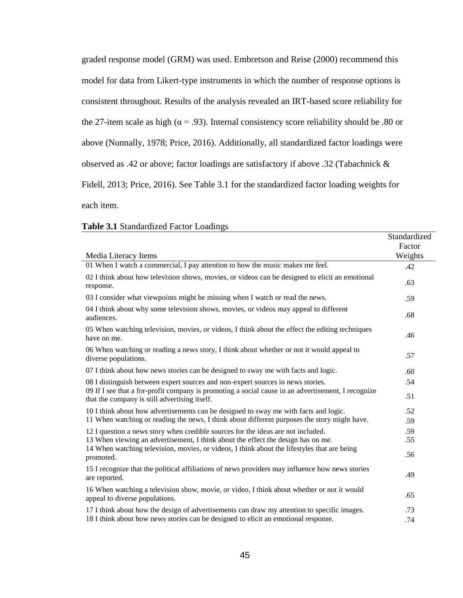graded response model (GRM) was used. Embretson and Reise (2000) recommend this model for data from Likert-type instruments in which the number of response options is consistent throughout. Results of the analysis revealed an IRT-based score reliability for the 27-item scale as high ( $\alpha$  = .93). Internal consistency score reliability should be .80 or above (Nunnally, 1978; Price, 2016). Additionally, all standardized factor loadings were observed as .42 or above; factor loadings are satisfactory if above .32 (Tabachnick & Fidell, 2013; Price, 2016). See Table 3.1 for the standardized factor loading weights for each item.

# **Table 3.1** Standardized Factor Loadings

|                                                                                                                                                     | Standardized<br>Factor |
|-----------------------------------------------------------------------------------------------------------------------------------------------------|------------------------|
| Media Literacy Items                                                                                                                                | Weights                |
| 01 When I watch a commercial, I pay attention to how the music makes me feel.                                                                       | .42                    |
| 02 I think about how television shows, movies, or videos can be designed to elicit an emotional<br>response.                                        | .63                    |
| 03 I consider what viewpoints might be missing when I watch or read the news.                                                                       | .59                    |
| 04 I think about why some television shows, movies, or videos may appeal to different<br>audiences.                                                 | .68                    |
| 05 When watching television, movies, or videos, I think about the effect the editing techniques<br>have on me.                                      | .46                    |
| 06 When watching or reading a news story, I think about whether or not it would appeal to<br>diverse populations.                                   | .57                    |
| 07 I think about how news stories can be designed to sway me with facts and logic.                                                                  | .60                    |
| 08 I distinguish between expert sources and non-expert sources in news stories.                                                                     | .54                    |
| 09 If I see that a for-profit company is promoting a social cause in an advertisement, I recognize<br>that the company is still advertising itself. | .51                    |
| 10 I think about how advertisements can be designed to sway me with facts and logic.                                                                | .52                    |
| 11 When watching or reading the news, I think about different purposes the story might have.                                                        | .59                    |
| 12 I question a news story when credible sources for the ideas are not included.                                                                    | .59                    |
| 13 When viewing an advertisement, I think about the effect the design has on me.                                                                    | .55                    |
| 14 When watching television, movies, or videos, I think about the lifestyles that are being<br>promoted.                                            | .56                    |
| 15 I recognize that the political affiliations of news providers may influence how news stories<br>are reported.                                    | .49                    |
| 16 When watching a television show, movie, or video, I think about whether or not it would<br>appeal to diverse populations.                        | .65                    |
| 17 I think about how the design of advertisements can draw my attention to specific images.                                                         | .73                    |
| 18 I think about how news stories can be designed to elicit an emotional response.                                                                  | .74                    |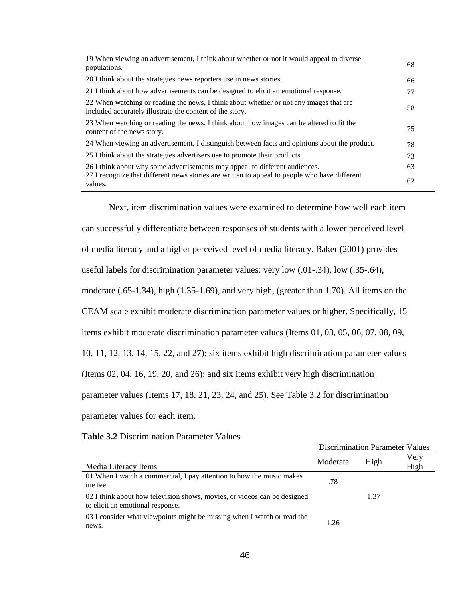| 19 When viewing an advertisement, I think about whether or not it would appeal to diverse<br>populations.                                          | .68 |
|----------------------------------------------------------------------------------------------------------------------------------------------------|-----|
| 20 I think about the strategies news reporters use in news stories.                                                                                | .66 |
| 21 I think about how advertisements can be designed to elicit an emotional response.                                                               | .77 |
| 22 When watching or reading the news, I think about whether or not any images that are<br>included accurately illustrate the content of the story. | .58 |
| 23 When watching or reading the news, I think about how images can be altered to fit the<br>content of the news story.                             | .75 |
| 24 When viewing an advertisement, I distinguish between facts and opinions about the product.                                                      | .78 |
| 25 I think about the strategies advertisers use to promote their products.                                                                         | .73 |
| 26 I think about why some advertisements may appeal to different audiences.                                                                        | .63 |
| 27 I recognize that different news stories are written to appeal to people who have different<br>values.                                           | .62 |

Next, item discrimination values were examined to determine how well each item

can successfully differentiate between responses of students with a lower perceived level

of media literacy and a higher perceived level of media literacy. Baker (2001) provides

useful labels for discrimination parameter values: very low (.01-.34), low (.35-.64),

moderate (.65-1.34), high (1.35-1.69), and very high, (greater than 1.70). All items on the

CEAM scale exhibit moderate discrimination parameter values or higher. Specifically, 15

items exhibit moderate discrimination parameter values (Items 01, 03, 05, 06, 07, 08, 09,

10, 11, 12, 13, 14, 15, 22, and 27); six items exhibit high discrimination parameter values

(Items 02, 04, 16, 19, 20, and 26); and six items exhibit very high discrimination

parameter values (Items 17, 18, 21, 23, 24, and 25). See Table 3.2 for discrimination

parameter values for each item.

| <b>Table 3.2 Discrimination Parameter Values</b> |  |  |  |  |  |  |
|--------------------------------------------------|--|--|--|--|--|--|
|--------------------------------------------------|--|--|--|--|--|--|

|                                                                                                              | <b>Discrimination Parameter Values</b> |      |      |
|--------------------------------------------------------------------------------------------------------------|----------------------------------------|------|------|
|                                                                                                              | Moderate                               | High | Very |
| Media Literacy Items                                                                                         |                                        |      | High |
| 01 When I watch a commercial, I pay attention to how the music makes<br>me feel.                             | .78                                    |      |      |
| 02 I think about how television shows, movies, or videos can be designed<br>to elicit an emotional response. |                                        | 1.37 |      |
| 03 I consider what viewpoints might be missing when I watch or read the<br>news.                             | 1.26                                   |      |      |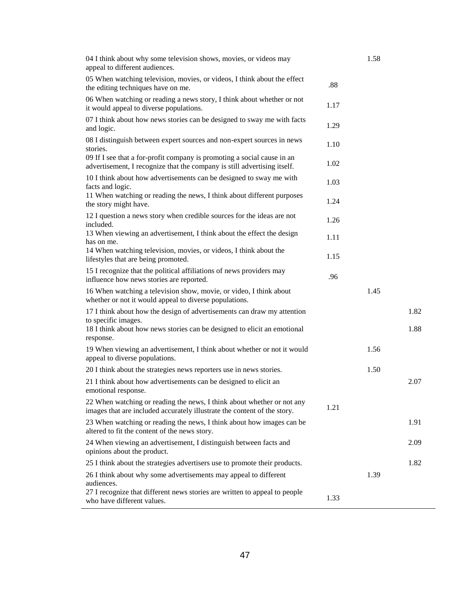| 04 I think about why some television shows, movies, or videos may<br>appeal to different audiences.                                                 |      | 1.58 |      |
|-----------------------------------------------------------------------------------------------------------------------------------------------------|------|------|------|
| 05 When watching television, movies, or videos, I think about the effect<br>the editing techniques have on me.                                      | .88  |      |      |
| 06 When watching or reading a news story, I think about whether or not<br>it would appeal to diverse populations.                                   | 1.17 |      |      |
| 07 I think about how news stories can be designed to sway me with facts<br>and logic.                                                               | 1.29 |      |      |
| 08 I distinguish between expert sources and non-expert sources in news<br>stories.                                                                  | 1.10 |      |      |
| 09 If I see that a for-profit company is promoting a social cause in an<br>advertisement, I recognize that the company is still advertising itself. | 1.02 |      |      |
| 10 I think about how advertisements can be designed to sway me with<br>facts and logic.                                                             | 1.03 |      |      |
| 11 When watching or reading the news, I think about different purposes<br>the story might have.                                                     | 1.24 |      |      |
| 12 I question a news story when credible sources for the ideas are not<br>included.                                                                 | 1.26 |      |      |
| 13 When viewing an advertisement, I think about the effect the design<br>has on me.                                                                 | 1.11 |      |      |
| 14 When watching television, movies, or videos, I think about the<br>lifestyles that are being promoted.                                            | 1.15 |      |      |
| 15 I recognize that the political affiliations of news providers may<br>influence how news stories are reported.                                    | .96  |      |      |
| 16 When watching a television show, movie, or video, I think about<br>whether or not it would appeal to diverse populations.                        |      | 1.45 |      |
| 17 I think about how the design of advertisements can draw my attention<br>to specific images.                                                      |      |      | 1.82 |
| 18 I think about how news stories can be designed to elicit an emotional<br>response.                                                               |      |      | 1.88 |
| 19 When viewing an advertisement, I think about whether or not it would<br>appeal to diverse populations.                                           |      | 1.56 |      |
| 20 I think about the strategies news reporters use in news stories.                                                                                 |      | 1.50 |      |
| 21 I think about how advertisements can be designed to elicit an<br>emotional response.                                                             |      |      | 2.07 |
| 22 When watching or reading the news, I think about whether or not any<br>images that are included accurately illustrate the content of the story.  | 1.21 |      |      |
| 23 When watching or reading the news, I think about how images can be<br>altered to fit the content of the news story.                              |      |      | 1.91 |
| 24 When viewing an advertisement, I distinguish between facts and<br>opinions about the product.                                                    |      |      | 2.09 |
| 25 I think about the strategies advertisers use to promote their products.                                                                          |      |      | 1.82 |
| 26 I think about why some advertisements may appeal to different<br>audiences.                                                                      |      | 1.39 |      |
| 27 I recognize that different news stories are written to appeal to people<br>who have different values.                                            | 1.33 |      |      |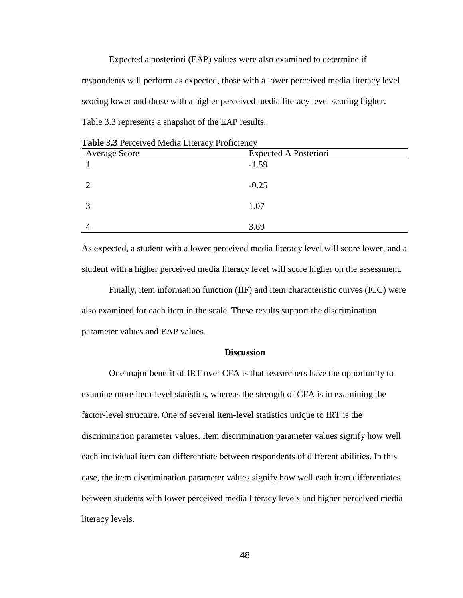Expected a posteriori (EAP) values were also examined to determine if respondents will perform as expected, those with a lower perceived media literacy level scoring lower and those with a higher perceived media literacy level scoring higher. Table 3.3 represents a snapshot of the EAP results.

| <b>Average Score</b> | <b>Expected A Posteriori</b> |  |
|----------------------|------------------------------|--|
|                      | $-1.59$                      |  |
|                      |                              |  |
|                      | $-0.25$                      |  |
|                      |                              |  |
|                      | 1.07                         |  |
|                      |                              |  |
|                      | 3.69                         |  |

**Table 3.3** Perceived Media Literacy Proficiency

As expected, a student with a lower perceived media literacy level will score lower, and a student with a higher perceived media literacy level will score higher on the assessment.

Finally, item information function (IIF) and item characteristic curves (ICC) were also examined for each item in the scale. These results support the discrimination parameter values and EAP values.

# **Discussion**

One major benefit of IRT over CFA is that researchers have the opportunity to examine more item-level statistics, whereas the strength of CFA is in examining the factor-level structure. One of several item-level statistics unique to IRT is the discrimination parameter values. Item discrimination parameter values signify how well each individual item can differentiate between respondents of different abilities. In this case, the item discrimination parameter values signify how well each item differentiates between students with lower perceived media literacy levels and higher perceived media literacy levels.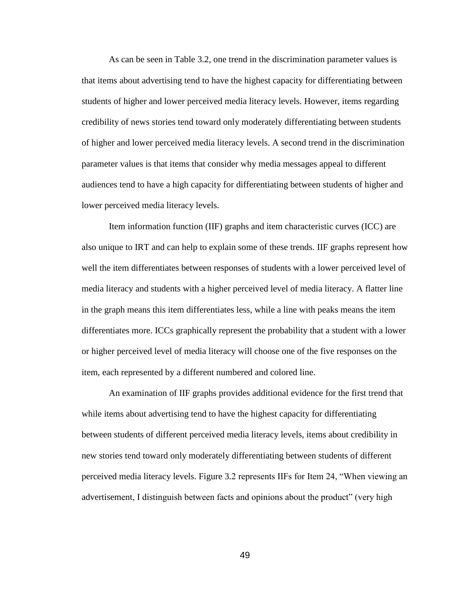As can be seen in Table 3.2, one trend in the discrimination parameter values is that items about advertising tend to have the highest capacity for differentiating between students of higher and lower perceived media literacy levels. However, items regarding credibility of news stories tend toward only moderately differentiating between students of higher and lower perceived media literacy levels. A second trend in the discrimination parameter values is that items that consider why media messages appeal to different audiences tend to have a high capacity for differentiating between students of higher and lower perceived media literacy levels.

Item information function (IIF) graphs and item characteristic curves (ICC) are also unique to IRT and can help to explain some of these trends. IIF graphs represent how well the item differentiates between responses of students with a lower perceived level of media literacy and students with a higher perceived level of media literacy. A flatter line in the graph means this item differentiates less, while a line with peaks means the item differentiates more. ICCs graphically represent the probability that a student with a lower or higher perceived level of media literacy will choose one of the five responses on the item, each represented by a different numbered and colored line.

An examination of IIF graphs provides additional evidence for the first trend that while items about advertising tend to have the highest capacity for differentiating between students of different perceived media literacy levels, items about credibility in new stories tend toward only moderately differentiating between students of different perceived media literacy levels. Figure 3.2 represents IIFs for Item 24, "When viewing an advertisement, I distinguish between facts and opinions about the product" (very high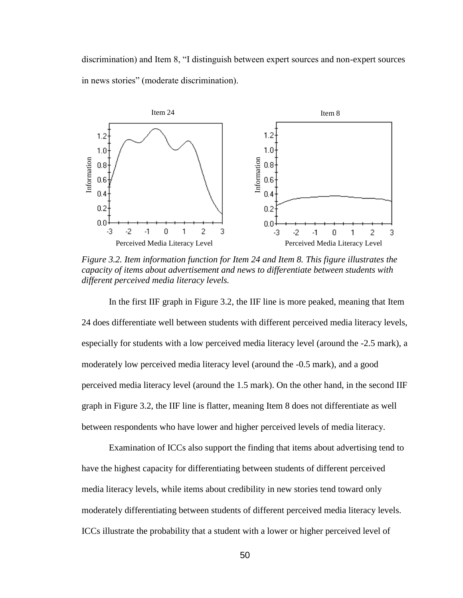discrimination) and Item 8, "I distinguish between expert sources and non-expert sources in news stories" (moderate discrimination).



*Figure 3.2. Item information function for Item 24 and Item 8. This figure illustrates the capacity of items about advertisement and news to differentiate between students with different perceived media literacy levels.* 

In the first IIF graph in Figure 3.2, the IIF line is more peaked, meaning that Item 24 does differentiate well between students with different perceived media literacy levels, especially for students with a low perceived media literacy level (around the -2.5 mark), a moderately low perceived media literacy level (around the -0.5 mark), and a good perceived media literacy level (around the 1.5 mark). On the other hand, in the second IIF graph in Figure 3.2, the IIF line is flatter, meaning Item 8 does not differentiate as well between respondents who have lower and higher perceived levels of media literacy.  $\frac{3}{2}$  and<br>  $\frac{2}{3}$  and<br>  $\frac{2}{3}$  and<br>  $\frac{2}{3}$  and<br>  $\frac{2}{3}$  and<br>  $\frac{2}{3}$  and<br>  $\frac{2}{3}$  and<br>
Figure 3.2. Iten information function for Item 24 and Item 8. This figure illustrates the<br>
Figure 3.2. Iten informat

Examination of ICCs also support the finding that items about advertising tend to have the highest capacity for differentiating between students of different perceived media literacy levels, while items about credibility in new stories tend toward only moderately differentiating between students of different perceived media literacy levels.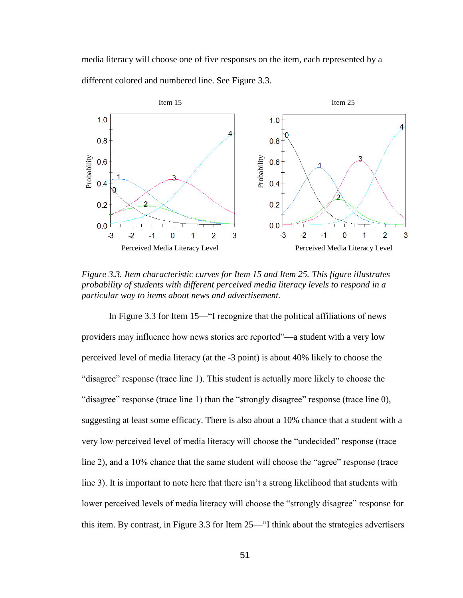media literacy will choose one of five responses on the item, each represented by a different colored and numbered line. See Figure 3.3.



*Figure 3.3. Item characteristic curves for Item 15 and Item 25. This figure illustrates probability of students with different perceived media literacy levels to respond in a particular way to items about news and advertisement.* 

In Figure 3.3 for Item 15—"I recognize that the political affiliations of news providers may influence how news stories are reported"—a student with a very low perceived level of media literacy (at the -3 point) is about 40% likely to choose the "disagree" response (trace line 1). This student is actually more likely to choose the "disagree" response (trace line 1) than the "strongly disagree" response (trace line 0), suggesting at least some efficacy. There is also about a 10% chance that a student with a very low perceived level of media literacy will choose the "undecided" response (trace line 2), and a 10% chance that the same student will choose the "agree" response (trace line 3). It is important to note here that there isn't a strong likelihood that students with lower perceived levels of media literacy will choose the "strongly disagree" response for this item. By contrast, in Figure 3.3 for Item 25—"I think about the strategies advertisers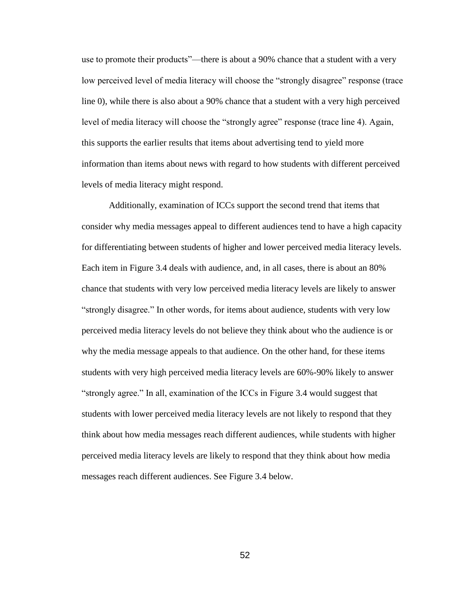use to promote their products"—there is about a 90% chance that a student with a very low perceived level of media literacy will choose the "strongly disagree" response (trace line 0), while there is also about a 90% chance that a student with a very high perceived level of media literacy will choose the "strongly agree" response (trace line 4). Again, this supports the earlier results that items about advertising tend to yield more information than items about news with regard to how students with different perceived levels of media literacy might respond.

Additionally, examination of ICCs support the second trend that items that consider why media messages appeal to different audiences tend to have a high capacity for differentiating between students of higher and lower perceived media literacy levels. Each item in Figure 3.4 deals with audience, and, in all cases, there is about an 80% chance that students with very low perceived media literacy levels are likely to answer "strongly disagree." In other words, for items about audience, students with very low perceived media literacy levels do not believe they think about who the audience is or why the media message appeals to that audience. On the other hand, for these items students with very high perceived media literacy levels are 60%-90% likely to answer "strongly agree." In all, examination of the ICCs in Figure 3.4 would suggest that students with lower perceived media literacy levels are not likely to respond that they think about how media messages reach different audiences, while students with higher perceived media literacy levels are likely to respond that they think about how media messages reach different audiences. See Figure 3.4 below.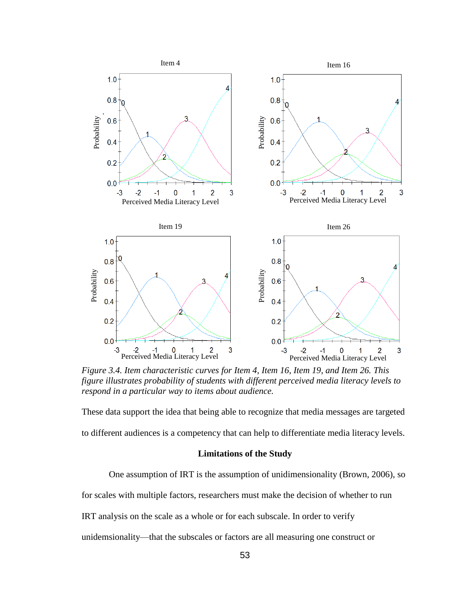

*Figure 3.4. Item characteristic curves for Item 4, Item 16, Item 19, and Item 26. This figure illustrates probability of students with different perceived media literacy levels to respond in a particular way to items about audience.*

These data support the idea that being able to recognize that media messages are targeted to different audiences is a competency that can help to differentiate media literacy levels.

# **Limitations of the Study**

One assumption of IRT is the assumption of unidimensionality (Brown, 2006), so for scales with multiple factors, researchers must make the decision of whether to run IRT analysis on the scale as a whole or for each subscale. In order to verify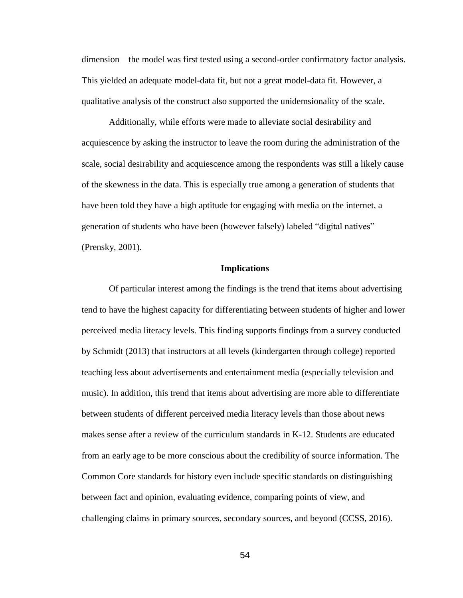dimension—the model was first tested using a second-order confirmatory factor analysis. This yielded an adequate model-data fit, but not a great model-data fit. However, a qualitative analysis of the construct also supported the unidemsionality of the scale.

Additionally, while efforts were made to alleviate social desirability and acquiescence by asking the instructor to leave the room during the administration of the scale, social desirability and acquiescence among the respondents was still a likely cause of the skewness in the data. This is especially true among a generation of students that have been told they have a high aptitude for engaging with media on the internet, a generation of students who have been (however falsely) labeled "digital natives" (Prensky, 2001).

#### **Implications**

Of particular interest among the findings is the trend that items about advertising tend to have the highest capacity for differentiating between students of higher and lower perceived media literacy levels. This finding supports findings from a survey conducted by Schmidt (2013) that instructors at all levels (kindergarten through college) reported teaching less about advertisements and entertainment media (especially television and music). In addition, this trend that items about advertising are more able to differentiate between students of different perceived media literacy levels than those about news makes sense after a review of the curriculum standards in K-12. Students are educated from an early age to be more conscious about the credibility of source information. The Common Core standards for history even include specific standards on distinguishing between fact and opinion, evaluating evidence, comparing points of view, and challenging claims in primary sources, secondary sources, and beyond (CCSS, 2016).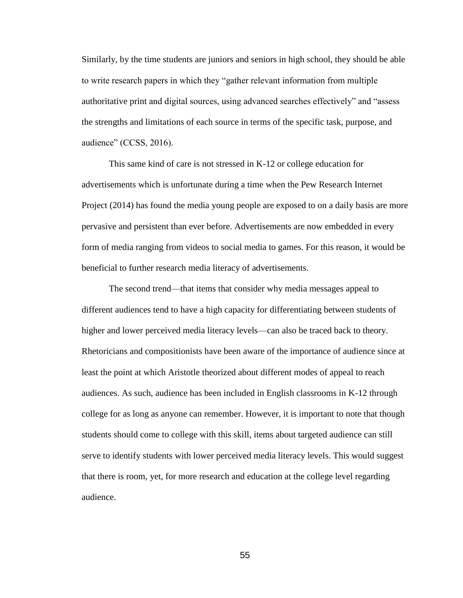Similarly, by the time students are juniors and seniors in high school, they should be able to write research papers in which they "gather relevant information from multiple authoritative print and digital sources, using advanced searches effectively" and "assess the strengths and limitations of each source in terms of the specific task, purpose, and audience" (CCSS, 2016).

This same kind of care is not stressed in K-12 or college education for advertisements which is unfortunate during a time when the Pew Research Internet Project (2014) has found the media young people are exposed to on a daily basis are more pervasive and persistent than ever before. Advertisements are now embedded in every form of media ranging from videos to social media to games. For this reason, it would be beneficial to further research media literacy of advertisements.

The second trend—that items that consider why media messages appeal to different audiences tend to have a high capacity for differentiating between students of higher and lower perceived media literacy levels—can also be traced back to theory. Rhetoricians and compositionists have been aware of the importance of audience since at least the point at which Aristotle theorized about different modes of appeal to reach audiences. As such, audience has been included in English classrooms in K-12 through college for as long as anyone can remember. However, it is important to note that though students should come to college with this skill, items about targeted audience can still serve to identify students with lower perceived media literacy levels. This would suggest that there is room, yet, for more research and education at the college level regarding audience.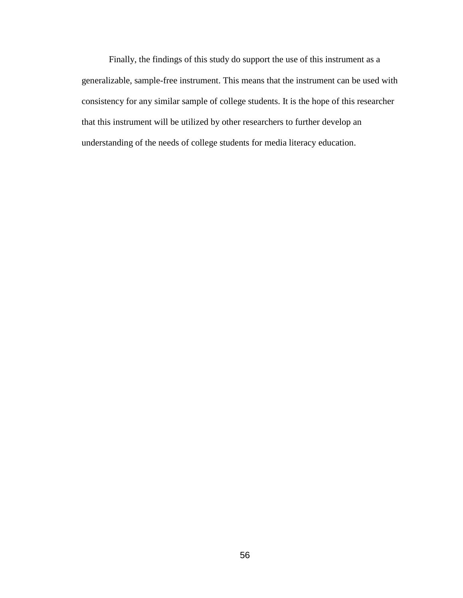Finally, the findings of this study do support the use of this instrument as a generalizable, sample-free instrument. This means that the instrument can be used with consistency for any similar sample of college students. It is the hope of this researcher that this instrument will be utilized by other researchers to further develop an understanding of the needs of college students for media literacy education.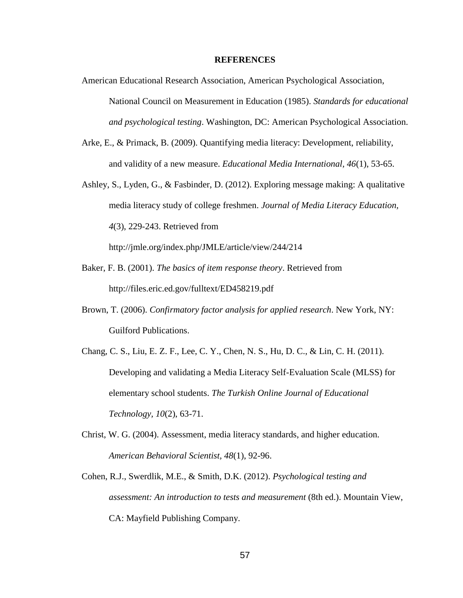#### **REFERENCES**

- American Educational Research Association, American Psychological Association, National Council on Measurement in Education (1985). *Standards for educational and psychological testing*. Washington, DC: American Psychological Association.
- Arke, E., & Primack, B. (2009). Quantifying media literacy: Development, reliability, and validity of a new measure. *Educational Media International, 46*(1), 53-65.
- Ashley, S., Lyden, G., & Fasbinder, D. (2012). Exploring message making: A qualitative media literacy study of college freshmen. *Journal of Media Literacy Education, 4*(3), 229-243. Retrieved from

http://jmle.org/index.php/JMLE/article/view/244/214

- Baker, F. B. (2001). *The basics of item response theory*. Retrieved from http://files.eric.ed.gov/fulltext/ED458219.pdf
- Brown, T. (2006). *Confirmatory factor analysis for applied research*. New York, NY: Guilford Publications.
- Chang, C. S., Liu, E. Z. F., Lee, C. Y., Chen, N. S., Hu, D. C., & Lin, C. H. (2011). Developing and validating a Media Literacy Self-Evaluation Scale (MLSS) for elementary school students. *The Turkish Online Journal of Educational Technology, 10*(2), 63-71.
- Christ, W. G. (2004). Assessment, media literacy standards, and higher education. *American Behavioral Scientist, 48*(1), 92-96.
- Cohen, R.J., Swerdlik, M.E., & Smith, D.K. (2012). *Psychological testing and assessment: An introduction to tests and measurement* (8th ed.). Mountain View, CA: Mayfield Publishing Company.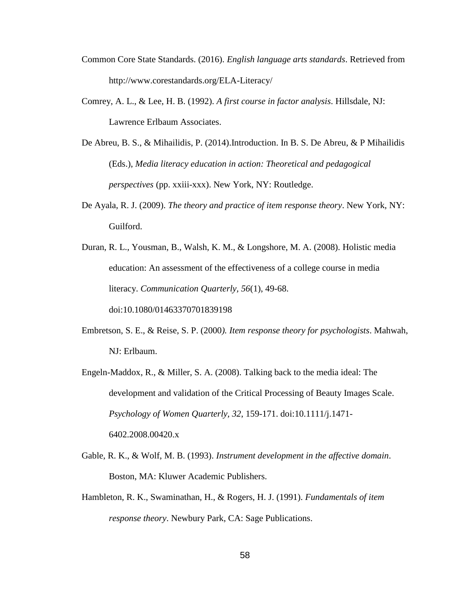- Common Core State Standards. (2016). *English language arts standards*. Retrieved from http://www.corestandards.org/ELA-Literacy/
- Comrey, A. L., & Lee, H. B. (1992). *A first course in factor analysis*. Hillsdale, NJ: Lawrence Erlbaum Associates.
- De Abreu, B. S., & Mihailidis, P. (2014).Introduction. In B. S. De Abreu, & P Mihailidis (Eds.), *Media literacy education in action: Theoretical and pedagogical perspectives* (pp. xxiii-xxx). New York, NY: Routledge.
- De Ayala, R. J. (2009). *The theory and practice of item response theory*. New York, NY: Guilford.
- Duran, R. L., Yousman, B., Walsh, K. M., & Longshore, M. A. (2008). Holistic media education: An assessment of the effectiveness of a college course in media literacy. *Communication Quarterly, 56*(1), 49-68. doi:10.1080/01463370701839198
- Embretson, S. E., & Reise, S. P. (2000*). Item response theory for psychologists*. Mahwah, NJ: Erlbaum.
- Engeln-Maddox, R., & Miller, S. A. (2008). Talking back to the media ideal: The development and validation of the Critical Processing of Beauty Images Scale. *Psychology of Women Quarterly, 32*, 159-171. doi:10.1111/j.1471- 6402.2008.00420.x
- Gable, R. K., & Wolf, M. B. (1993). *Instrument development in the affective domain*. Boston, MA: Kluwer Academic Publishers.
- Hambleton, R. K., Swaminathan, H., & Rogers, H. J. (1991). *Fundamentals of item response theory*. Newbury Park, CA: Sage Publications.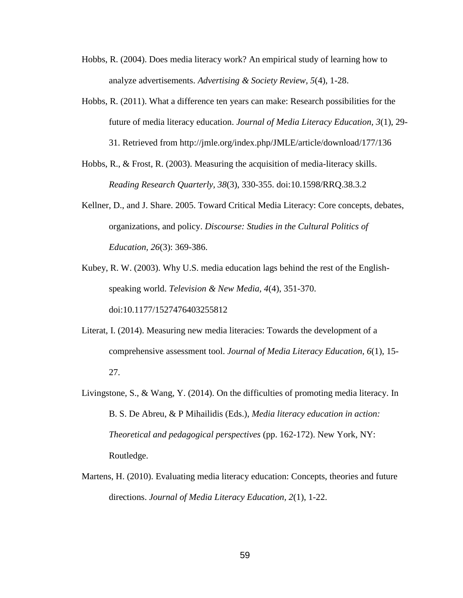- Hobbs, R. (2004). Does media literacy work? An empirical study of learning how to analyze advertisements. *Advertising & Society Review, 5*(4), 1-28.
- Hobbs, R. (2011). What a difference ten years can make: Research possibilities for the future of media literacy education. *Journal of Media Literacy Education, 3*(1), 29- 31. Retrieved from http://jmle.org/index.php/JMLE/article/download/177/136
- Hobbs, R., & Frost, R. (2003). Measuring the acquisition of media-literacy skills. *Reading Research Quarterly, 38*(3), 330-355. doi:10.1598/RRQ.38.3.2
- Kellner, D., and J. Share. 2005. Toward Critical Media Literacy: Core concepts, debates, organizations, and policy. *Discourse: Studies in the Cultural Politics of Education, 26*(3): 369-386.
- Kubey, R. W. (2003). Why U.S. media education lags behind the rest of the Englishspeaking world. *Television & New Media, 4*(4), 351-370. doi:10.1177/1527476403255812
- Literat, I. (2014). Measuring new media literacies: Towards the development of a comprehensive assessment tool. *Journal of Media Literacy Education, 6*(1), 15- 27.
- Livingstone, S., & Wang, Y. (2014). On the difficulties of promoting media literacy. In B. S. De Abreu, & P Mihailidis (Eds.), *Media literacy education in action: Theoretical and pedagogical perspectives* (pp. 162-172). New York, NY: Routledge.
- Martens, H. (2010). Evaluating media literacy education: Concepts, theories and future directions. *Journal of Media Literacy Education, 2*(1), 1-22.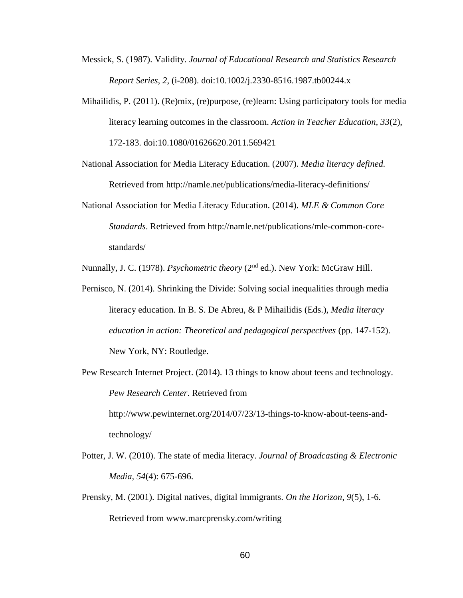- Messick, S. (1987). Validity. *Journal of Educational Research and Statistics Research Report Series, 2*, (i-208). doi:10.1002/j.2330-8516.1987.tb00244.x
- Mihailidis, P. (2011). (Re)mix, (re)purpose, (re)learn: Using participatory tools for media literacy learning outcomes in the classroom. *Action in Teacher Education, 33*(2), 172-183. doi:10.1080/01626620.2011.569421
- National Association for Media Literacy Education. (2007). *Media literacy defined.* Retrieved from http://namle.net/publications/media-literacy-definitions/
- National Association for Media Literacy Education. (2014). *MLE & Common Core Standards*. Retrieved from http://namle.net/publications/mle-common-corestandards/

Nunnally, J. C. (1978). *Psychometric theory* (2nd ed.). New York: McGraw Hill.

- Pernisco, N. (2014). Shrinking the Divide: Solving social inequalities through media literacy education. In B. S. De Abreu, & P Mihailidis (Eds.), *Media literacy education in action: Theoretical and pedagogical perspectives* (pp. 147-152). New York, NY: Routledge.
- Pew Research Internet Project. (2014). 13 things to know about teens and technology. *Pew Research Center*. Retrieved from http://www.pewinternet.org/2014/07/23/13-things-to-know-about-teens-andtechnology/
- Potter, J. W. (2010). The state of media literacy. *Journal of Broadcasting & Electronic Media, 54*(4): 675-696.
- Prensky, M. (2001). Digital natives, digital immigrants. *On the Horizon, 9*(5), 1-6. Retrieved from www.marcprensky.com/writing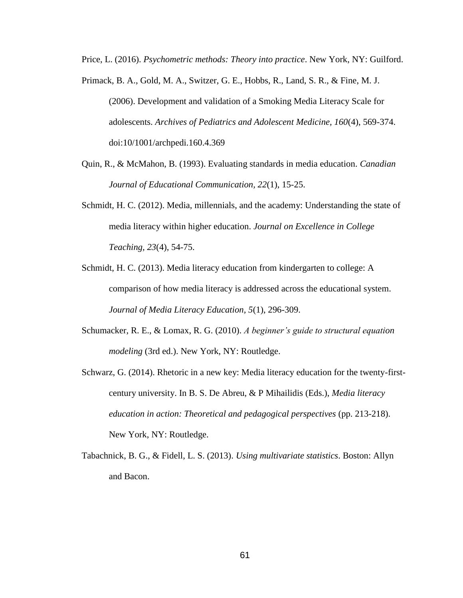Price, L. (2016). *Psychometric methods: Theory into practice*. New York, NY: Guilford.

- Primack, B. A., Gold, M. A., Switzer, G. E., Hobbs, R., Land, S. R., & Fine, M. J. (2006). Development and validation of a Smoking Media Literacy Scale for adolescents. *Archives of Pediatrics and Adolescent Medicine, 160*(4), 569-374. doi:10/1001/archpedi.160.4.369
- Quin, R., & McMahon, B. (1993). Evaluating standards in media education. *Canadian Journal of Educational Communication, 22*(1), 15-25.
- Schmidt, H. C. (2012). Media, millennials, and the academy: Understanding the state of media literacy within higher education. *Journal on Excellence in College Teaching, 23*(4), 54-75.
- Schmidt, H. C. (2013). Media literacy education from kindergarten to college: A comparison of how media literacy is addressed across the educational system. *Journal of Media Literacy Education, 5*(1), 296-309.
- Schumacker, R. E., & Lomax, R. G. (2010). *A beginner's guide to structural equation modeling* (3rd ed.). New York, NY: Routledge.
- Schwarz, G. (2014). Rhetoric in a new key: Media literacy education for the twenty-firstcentury university. In B. S. De Abreu, & P Mihailidis (Eds.), *Media literacy education in action: Theoretical and pedagogical perspectives* (pp. 213-218). New York, NY: Routledge.
- Tabachnick, B. G., & Fidell, L. S. (2013). *Using multivariate statistics*. Boston: Allyn and Bacon.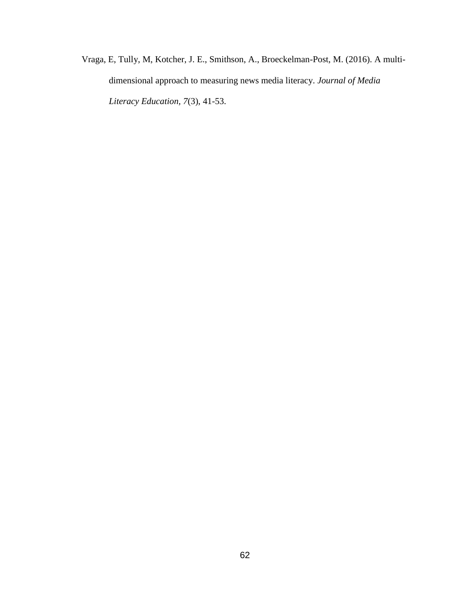Vraga, E, Tully, M, Kotcher, J. E., Smithson, A., Broeckelman-Post, M. (2016). A multidimensional approach to measuring news media literacy. *Journal of Media Literacy Education, 7*(3), 41-53.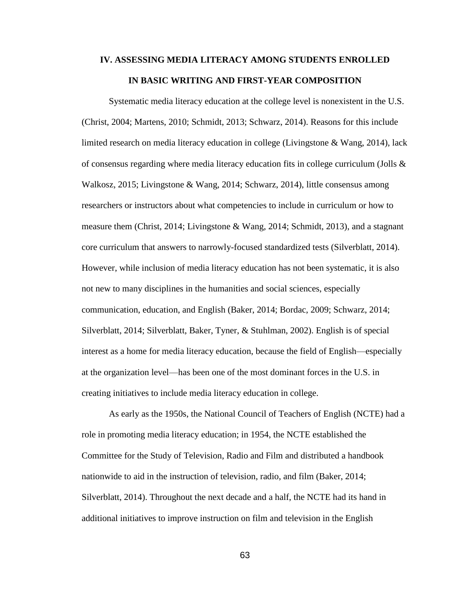# **IV. ASSESSING MEDIA LITERACY AMONG STUDENTS ENROLLED IN BASIC WRITING AND FIRST-YEAR COMPOSITION**

Systematic media literacy education at the college level is nonexistent in the U.S. (Christ, 2004; Martens, 2010; Schmidt, 2013; Schwarz, 2014). Reasons for this include limited research on media literacy education in college (Livingstone & Wang, 2014), lack of consensus regarding where media literacy education fits in college curriculum (Jolls  $\&$ Walkosz, 2015; Livingstone & Wang, 2014; Schwarz, 2014), little consensus among researchers or instructors about what competencies to include in curriculum or how to measure them (Christ, 2014; Livingstone & Wang, 2014; Schmidt, 2013), and a stagnant core curriculum that answers to narrowly-focused standardized tests (Silverblatt, 2014). However, while inclusion of media literacy education has not been systematic, it is also not new to many disciplines in the humanities and social sciences, especially communication, education, and English (Baker, 2014; Bordac, 2009; Schwarz, 2014; Silverblatt, 2014; Silverblatt, Baker, Tyner, & Stuhlman, 2002). English is of special interest as a home for media literacy education, because the field of English—especially at the organization level—has been one of the most dominant forces in the U.S. in creating initiatives to include media literacy education in college.

As early as the 1950s, the National Council of Teachers of English (NCTE) had a role in promoting media literacy education; in 1954, the NCTE established the Committee for the Study of Television, Radio and Film and distributed a handbook nationwide to aid in the instruction of television, radio, and film (Baker, 2014; Silverblatt, 2014). Throughout the next decade and a half, the NCTE had its hand in additional initiatives to improve instruction on film and television in the English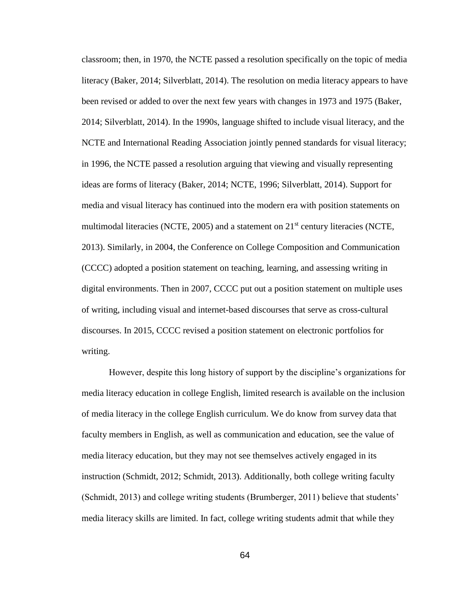classroom; then, in 1970, the NCTE passed a resolution specifically on the topic of media literacy (Baker, 2014; Silverblatt, 2014). The resolution on media literacy appears to have been revised or added to over the next few years with changes in 1973 and 1975 (Baker, 2014; Silverblatt, 2014). In the 1990s, language shifted to include visual literacy, and the NCTE and International Reading Association jointly penned standards for visual literacy; in 1996, the NCTE passed a resolution arguing that viewing and visually representing ideas are forms of literacy (Baker, 2014; NCTE, 1996; Silverblatt, 2014). Support for media and visual literacy has continued into the modern era with position statements on multimodal literacies (NCTE, 2005) and a statement on  $21<sup>st</sup>$  century literacies (NCTE, 2013). Similarly, in 2004, the Conference on College Composition and Communication (CCCC) adopted a position statement on teaching, learning, and assessing writing in digital environments. Then in 2007, CCCC put out a position statement on multiple uses of writing, including visual and internet-based discourses that serve as cross-cultural discourses. In 2015, CCCC revised a position statement on electronic portfolios for writing.

However, despite this long history of support by the discipline's organizations for media literacy education in college English, limited research is available on the inclusion of media literacy in the college English curriculum. We do know from survey data that faculty members in English, as well as communication and education, see the value of media literacy education, but they may not see themselves actively engaged in its instruction (Schmidt, 2012; Schmidt, 2013). Additionally, both college writing faculty (Schmidt, 2013) and college writing students (Brumberger, 2011) believe that students' media literacy skills are limited. In fact, college writing students admit that while they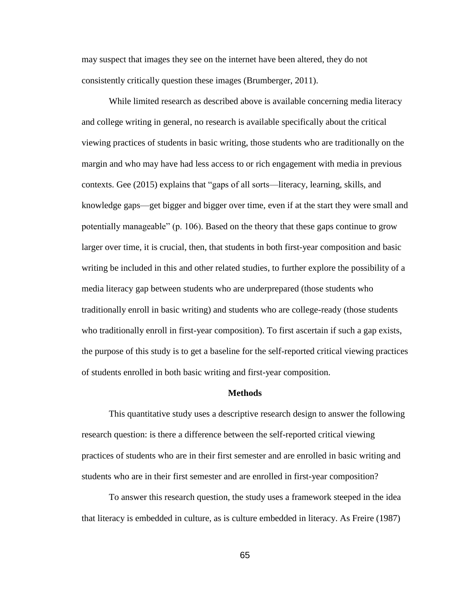may suspect that images they see on the internet have been altered, they do not consistently critically question these images (Brumberger, 2011).

While limited research as described above is available concerning media literacy and college writing in general, no research is available specifically about the critical viewing practices of students in basic writing, those students who are traditionally on the margin and who may have had less access to or rich engagement with media in previous contexts. Gee (2015) explains that "gaps of all sorts—literacy, learning, skills, and knowledge gaps—get bigger and bigger over time, even if at the start they were small and potentially manageable" (p. 106). Based on the theory that these gaps continue to grow larger over time, it is crucial, then, that students in both first-year composition and basic writing be included in this and other related studies, to further explore the possibility of a media literacy gap between students who are underprepared (those students who traditionally enroll in basic writing) and students who are college-ready (those students who traditionally enroll in first-year composition). To first ascertain if such a gap exists, the purpose of this study is to get a baseline for the self-reported critical viewing practices of students enrolled in both basic writing and first-year composition.

#### **Methods**

This quantitative study uses a descriptive research design to answer the following research question: is there a difference between the self-reported critical viewing practices of students who are in their first semester and are enrolled in basic writing and students who are in their first semester and are enrolled in first-year composition?

To answer this research question, the study uses a framework steeped in the idea that literacy is embedded in culture, as is culture embedded in literacy. As Freire (1987)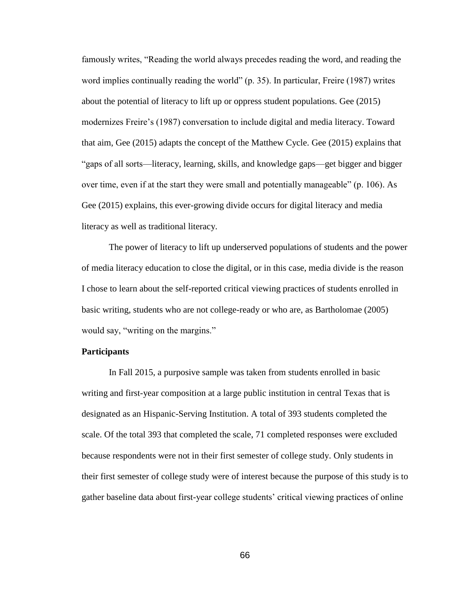famously writes, "Reading the world always precedes reading the word, and reading the word implies continually reading the world" (p. 35). In particular, Freire (1987) writes about the potential of literacy to lift up or oppress student populations. Gee (2015) modernizes Freire's (1987) conversation to include digital and media literacy. Toward that aim, Gee (2015) adapts the concept of the Matthew Cycle. Gee (2015) explains that "gaps of all sorts—literacy, learning, skills, and knowledge gaps—get bigger and bigger over time, even if at the start they were small and potentially manageable" (p. 106). As Gee (2015) explains, this ever-growing divide occurs for digital literacy and media literacy as well as traditional literacy.

The power of literacy to lift up underserved populations of students and the power of media literacy education to close the digital, or in this case, media divide is the reason I chose to learn about the self-reported critical viewing practices of students enrolled in basic writing, students who are not college-ready or who are, as Bartholomae (2005) would say, "writing on the margins."

## **Participants**

In Fall 2015, a purposive sample was taken from students enrolled in basic writing and first-year composition at a large public institution in central Texas that is designated as an Hispanic-Serving Institution. A total of 393 students completed the scale. Of the total 393 that completed the scale, 71 completed responses were excluded because respondents were not in their first semester of college study. Only students in their first semester of college study were of interest because the purpose of this study is to gather baseline data about first-year college students' critical viewing practices of online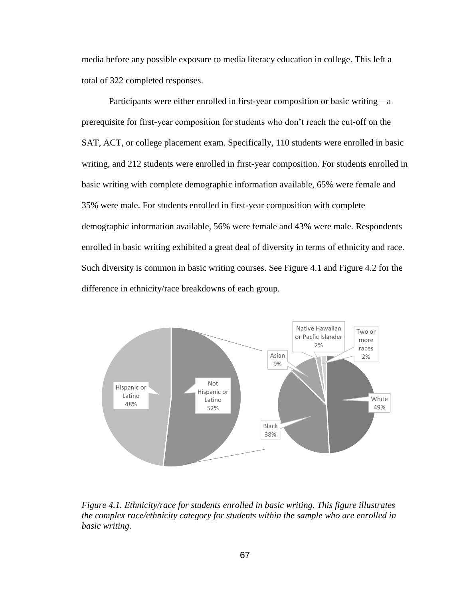media before any possible exposure to media literacy education in college. This left a total of 322 completed responses.

Participants were either enrolled in first-year composition or basic writing—a prerequisite for first-year composition for students who don't reach the cut-off on the SAT, ACT, or college placement exam. Specifically, 110 students were enrolled in basic writing, and 212 students were enrolled in first-year composition. For students enrolled in basic writing with complete demographic information available, 65% were female and 35% were male. For students enrolled in first-year composition with complete demographic information available, 56% were female and 43% were male. Respondents enrolled in basic writing exhibited a great deal of diversity in terms of ethnicity and race. Such diversity is common in basic writing courses. See Figure 4.1 and Figure 4.2 for the difference in ethnicity/race breakdowns of each group.



*Figure 4.1. Ethnicity/race for students enrolled in basic writing. This figure illustrates the complex race/ethnicity category for students within the sample who are enrolled in basic writing.*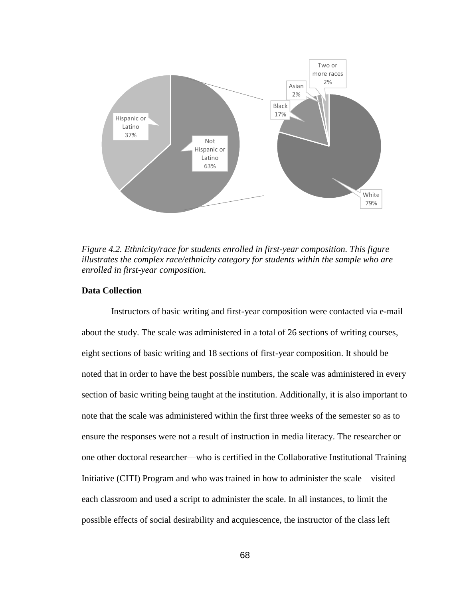

*Figure 4.2. Ethnicity/race for students enrolled in first-year composition. This figure illustrates the complex race/ethnicity category for students within the sample who are enrolled in first-year composition.*

## **Data Collection**

Instructors of basic writing and first-year composition were contacted via e-mail about the study. The scale was administered in a total of 26 sections of writing courses, eight sections of basic writing and 18 sections of first-year composition. It should be noted that in order to have the best possible numbers, the scale was administered in every section of basic writing being taught at the institution. Additionally, it is also important to note that the scale was administered within the first three weeks of the semester so as to ensure the responses were not a result of instruction in media literacy. The researcher or one other doctoral researcher—who is certified in the Collaborative Institutional Training Initiative (CITI) Program and who was trained in how to administer the scale—visited each classroom and used a script to administer the scale. In all instances, to limit the possible effects of social desirability and acquiescence, the instructor of the class left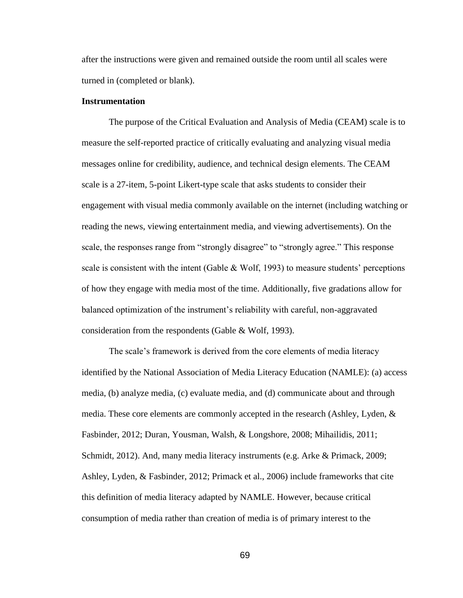after the instructions were given and remained outside the room until all scales were turned in (completed or blank).

### **Instrumentation**

The purpose of the Critical Evaluation and Analysis of Media (CEAM) scale is to measure the self-reported practice of critically evaluating and analyzing visual media messages online for credibility, audience, and technical design elements. The CEAM scale is a 27-item, 5-point Likert-type scale that asks students to consider their engagement with visual media commonly available on the internet (including watching or reading the news, viewing entertainment media, and viewing advertisements). On the scale, the responses range from "strongly disagree" to "strongly agree." This response scale is consistent with the intent (Gable  $& Wolf, 1993$ ) to measure students' perceptions of how they engage with media most of the time. Additionally, five gradations allow for balanced optimization of the instrument's reliability with careful, non-aggravated consideration from the respondents (Gable & Wolf, 1993).

The scale's framework is derived from the core elements of media literacy identified by the National Association of Media Literacy Education (NAMLE): (a) access media, (b) analyze media, (c) evaluate media, and (d) communicate about and through media. These core elements are commonly accepted in the research (Ashley, Lyden, & Fasbinder, 2012; Duran, Yousman, Walsh, & Longshore, 2008; Mihailidis, 2011; Schmidt, 2012). And, many media literacy instruments (e.g. Arke & Primack, 2009; Ashley, Lyden, & Fasbinder, 2012; Primack et al., 2006) include frameworks that cite this definition of media literacy adapted by NAMLE. However, because critical consumption of media rather than creation of media is of primary interest to the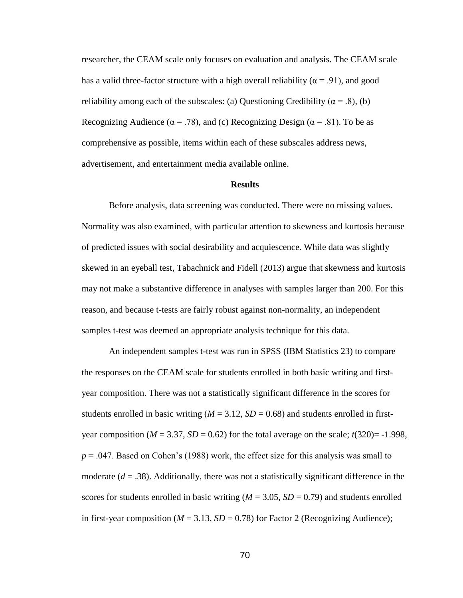researcher, the CEAM scale only focuses on evaluation and analysis. The CEAM scale has a valid three-factor structure with a high overall reliability ( $\alpha$  = .91), and good reliability among each of the subscales: (a) Questioning Credibility ( $\alpha = .8$ ), (b) Recognizing Audience ( $\alpha = .78$ ), and (c) Recognizing Design ( $\alpha = .81$ ). To be as comprehensive as possible, items within each of these subscales address news, advertisement, and entertainment media available online.

#### **Results**

Before analysis, data screening was conducted. There were no missing values. Normality was also examined, with particular attention to skewness and kurtosis because of predicted issues with social desirability and acquiescence. While data was slightly skewed in an eyeball test, Tabachnick and Fidell (2013) argue that skewness and kurtosis may not make a substantive difference in analyses with samples larger than 200. For this reason, and because t-tests are fairly robust against non-normality, an independent samples t-test was deemed an appropriate analysis technique for this data.

An independent samples t-test was run in SPSS (IBM Statistics 23) to compare the responses on the CEAM scale for students enrolled in both basic writing and firstyear composition. There was not a statistically significant difference in the scores for students enrolled in basic writing  $(M = 3.12, SD = 0.68)$  and students enrolled in firstyear composition ( $M = 3.37$ ,  $SD = 0.62$ ) for the total average on the scale;  $t(320) = -1.998$ , *p* = .047. Based on Cohen's (1988) work, the effect size for this analysis was small to moderate  $(d = .38)$ . Additionally, there was not a statistically significant difference in the scores for students enrolled in basic writing  $(M = 3.05, SD = 0.79)$  and students enrolled in first-year composition ( $M = 3.13$ ,  $SD = 0.78$ ) for Factor 2 (Recognizing Audience);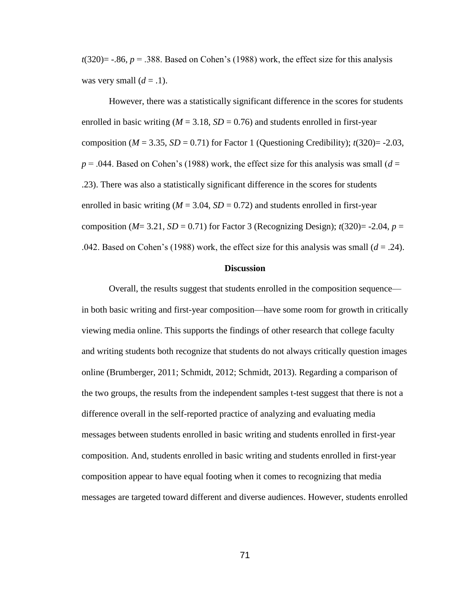$t(320)$ = -.86,  $p = 0.388$ . Based on Cohen's (1988) work, the effect size for this analysis was very small  $(d = .1)$ .

However, there was a statistically significant difference in the scores for students enrolled in basic writing  $(M = 3.18, SD = 0.76)$  and students enrolled in first-year composition ( $M = 3.35$ ,  $SD = 0.71$ ) for Factor 1 (Questioning Credibility);  $t(320) = -2.03$ ,  $p = 0.044$ . Based on Cohen's (1988) work, the effect size for this analysis was small ( $d =$ .23). There was also a statistically significant difference in the scores for students enrolled in basic writing  $(M = 3.04, SD = 0.72)$  and students enrolled in first-year composition ( $M=3.21$ ,  $SD = 0.71$ ) for Factor 3 (Recognizing Design);  $t(320)= -2.04$ ,  $p=$ .042. Based on Cohen's (1988) work, the effect size for this analysis was small  $(d = .24)$ .

#### **Discussion**

Overall, the results suggest that students enrolled in the composition sequence in both basic writing and first-year composition—have some room for growth in critically viewing media online. This supports the findings of other research that college faculty and writing students both recognize that students do not always critically question images online (Brumberger, 2011; Schmidt, 2012; Schmidt, 2013). Regarding a comparison of the two groups, the results from the independent samples t-test suggest that there is not a difference overall in the self-reported practice of analyzing and evaluating media messages between students enrolled in basic writing and students enrolled in first-year composition. And, students enrolled in basic writing and students enrolled in first-year composition appear to have equal footing when it comes to recognizing that media messages are targeted toward different and diverse audiences. However, students enrolled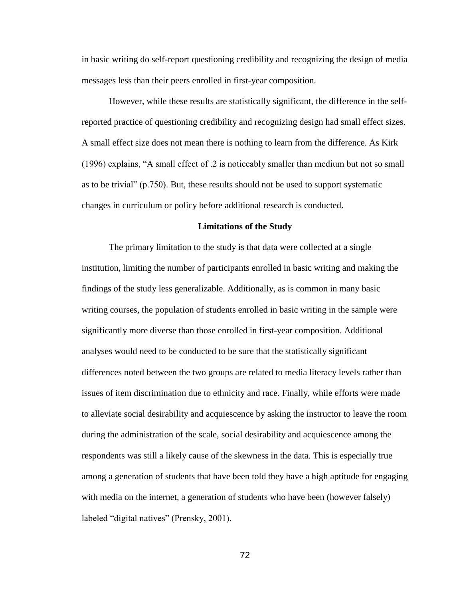in basic writing do self-report questioning credibility and recognizing the design of media messages less than their peers enrolled in first-year composition.

However, while these results are statistically significant, the difference in the selfreported practice of questioning credibility and recognizing design had small effect sizes. A small effect size does not mean there is nothing to learn from the difference. As Kirk (1996) explains, "A small effect of .2 is noticeably smaller than medium but not so small as to be trivial" (p.750). But, these results should not be used to support systematic changes in curriculum or policy before additional research is conducted.

#### **Limitations of the Study**

The primary limitation to the study is that data were collected at a single institution, limiting the number of participants enrolled in basic writing and making the findings of the study less generalizable. Additionally, as is common in many basic writing courses, the population of students enrolled in basic writing in the sample were significantly more diverse than those enrolled in first-year composition. Additional analyses would need to be conducted to be sure that the statistically significant differences noted between the two groups are related to media literacy levels rather than issues of item discrimination due to ethnicity and race. Finally, while efforts were made to alleviate social desirability and acquiescence by asking the instructor to leave the room during the administration of the scale, social desirability and acquiescence among the respondents was still a likely cause of the skewness in the data. This is especially true among a generation of students that have been told they have a high aptitude for engaging with media on the internet, a generation of students who have been (however falsely) labeled "digital natives" (Prensky, 2001).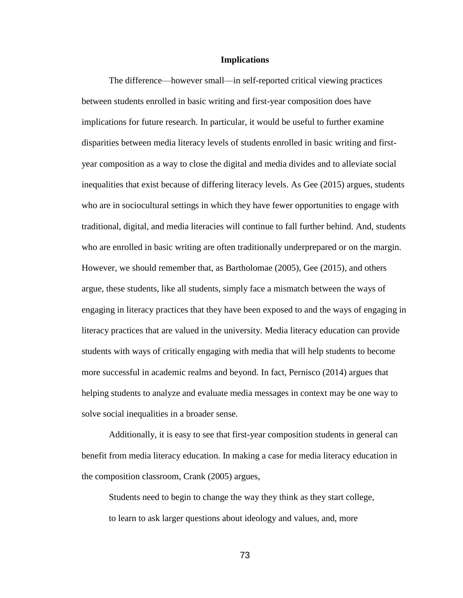#### **Implications**

The difference—however small—in self-reported critical viewing practices between students enrolled in basic writing and first-year composition does have implications for future research. In particular, it would be useful to further examine disparities between media literacy levels of students enrolled in basic writing and firstyear composition as a way to close the digital and media divides and to alleviate social inequalities that exist because of differing literacy levels. As Gee (2015) argues, students who are in sociocultural settings in which they have fewer opportunities to engage with traditional, digital, and media literacies will continue to fall further behind. And, students who are enrolled in basic writing are often traditionally underprepared or on the margin. However, we should remember that, as Bartholomae (2005), Gee (2015), and others argue, these students, like all students, simply face a mismatch between the ways of engaging in literacy practices that they have been exposed to and the ways of engaging in literacy practices that are valued in the university. Media literacy education can provide students with ways of critically engaging with media that will help students to become more successful in academic realms and beyond. In fact, Pernisco (2014) argues that helping students to analyze and evaluate media messages in context may be one way to solve social inequalities in a broader sense.

Additionally, it is easy to see that first-year composition students in general can benefit from media literacy education. In making a case for media literacy education in the composition classroom, Crank (2005) argues,

Students need to begin to change the way they think as they start college, to learn to ask larger questions about ideology and values, and, more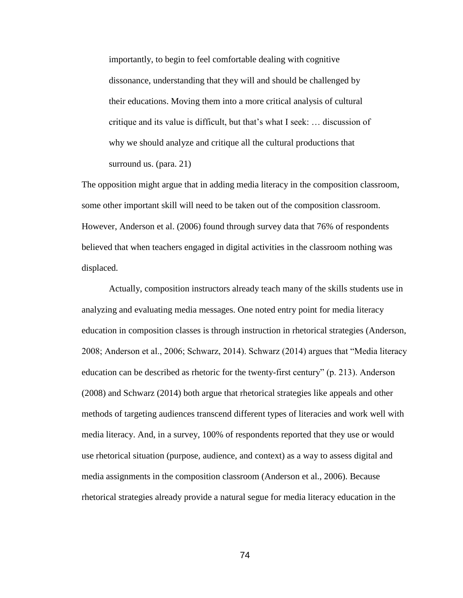importantly, to begin to feel comfortable dealing with cognitive dissonance, understanding that they will and should be challenged by their educations. Moving them into a more critical analysis of cultural critique and its value is difficult, but that's what I seek: … discussion of why we should analyze and critique all the cultural productions that surround us. (para. 21)

The opposition might argue that in adding media literacy in the composition classroom, some other important skill will need to be taken out of the composition classroom. However, Anderson et al. (2006) found through survey data that 76% of respondents believed that when teachers engaged in digital activities in the classroom nothing was displaced.

Actually, composition instructors already teach many of the skills students use in analyzing and evaluating media messages. One noted entry point for media literacy education in composition classes is through instruction in rhetorical strategies (Anderson, 2008; Anderson et al., 2006; Schwarz, 2014). Schwarz (2014) argues that "Media literacy education can be described as rhetoric for the twenty-first century" (p. 213). Anderson (2008) and Schwarz (2014) both argue that rhetorical strategies like appeals and other methods of targeting audiences transcend different types of literacies and work well with media literacy. And, in a survey, 100% of respondents reported that they use or would use rhetorical situation (purpose, audience, and context) as a way to assess digital and media assignments in the composition classroom (Anderson et al., 2006). Because rhetorical strategies already provide a natural segue for media literacy education in the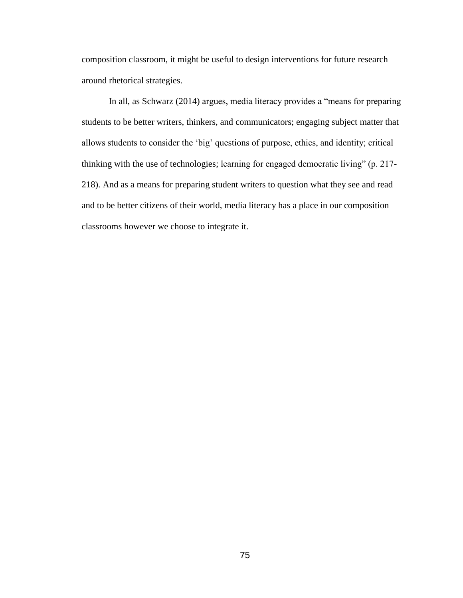composition classroom, it might be useful to design interventions for future research around rhetorical strategies.

In all, as Schwarz (2014) argues, media literacy provides a "means for preparing students to be better writers, thinkers, and communicators; engaging subject matter that allows students to consider the 'big' questions of purpose, ethics, and identity; critical thinking with the use of technologies; learning for engaged democratic living" (p. 217- 218). And as a means for preparing student writers to question what they see and read and to be better citizens of their world, media literacy has a place in our composition classrooms however we choose to integrate it.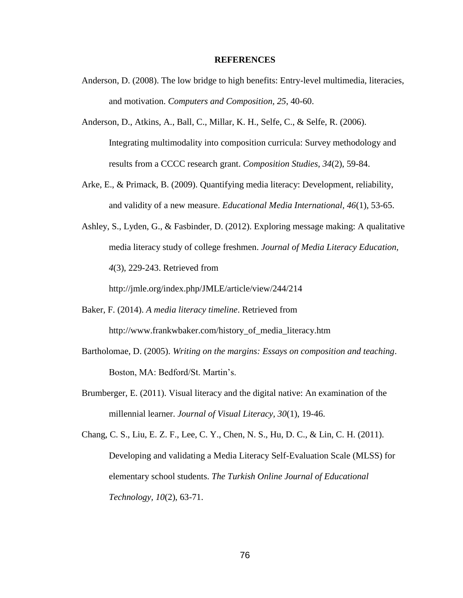#### **REFERENCES**

- Anderson, D. (2008). The low bridge to high benefits: Entry-level multimedia, literacies, and motivation. *Computers and Composition, 25*, 40-60.
- Anderson, D., Atkins, A., Ball, C., Millar, K. H., Selfe, C., & Selfe, R. (2006). Integrating multimodality into composition curricula: Survey methodology and results from a CCCC research grant. *Composition Studies, 34*(2), 59-84.
- Arke, E., & Primack, B. (2009). Quantifying media literacy: Development, reliability, and validity of a new measure. *Educational Media International, 46*(1), 53-65.
- Ashley, S., Lyden, G., & Fasbinder, D. (2012). Exploring message making: A qualitative media literacy study of college freshmen. *Journal of Media Literacy Education, 4*(3), 229-243. Retrieved from

http://jmle.org/index.php/JMLE/article/view/244/214

- Baker, F. (2014). *A media literacy timeline*. Retrieved from http://www.frankwbaker.com/history\_of\_media\_literacy.htm
- Bartholomae, D. (2005). *Writing on the margins: Essays on composition and teaching*. Boston, MA: Bedford/St. Martin's.
- Brumberger, E. (2011). Visual literacy and the digital native: An examination of the millennial learner. *Journal of Visual Literacy, 30*(1), 19-46.

Chang, C. S., Liu, E. Z. F., Lee, C. Y., Chen, N. S., Hu, D. C., & Lin, C. H. (2011). Developing and validating a Media Literacy Self-Evaluation Scale (MLSS) for elementary school students. *The Turkish Online Journal of Educational Technology, 10*(2), 63-71.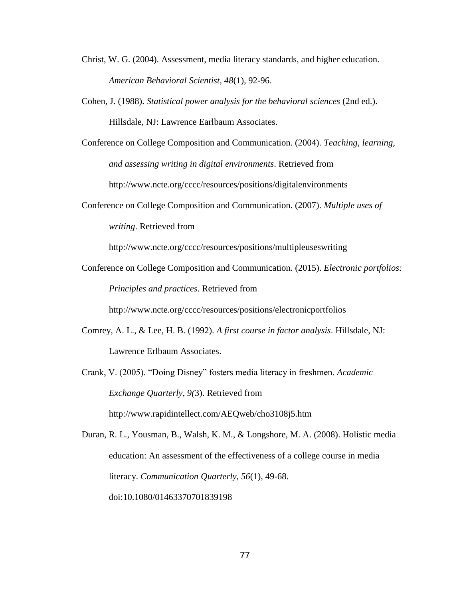- Christ, W. G. (2004). Assessment, media literacy standards, and higher education. *American Behavioral Scientist, 48*(1), 92-96.
- Cohen, J. (1988). *Statistical power analysis for the behavioral sciences* (2nd ed.). Hillsdale, NJ: Lawrence Earlbaum Associates.
- Conference on College Composition and Communication. (2004). *Teaching, learning, and assessing writing in digital environments*. Retrieved from http://www.ncte.org/cccc/resources/positions/digitalenvironments
- Conference on College Composition and Communication. (2007). *Multiple uses of writing*. Retrieved from

http://www.ncte.org/cccc/resources/positions/multipleuseswriting

Conference on College Composition and Communication. (2015). *Electronic portfolios: Principles and practices*. Retrieved from

http://www.ncte.org/cccc/resources/positions/electronicportfolios

Comrey, A. L., & Lee, H. B. (1992). *A first course in factor analysis*. Hillsdale, NJ: Lawrence Erlbaum Associates.

Crank, V. (2005). "Doing Disney" fosters media literacy in freshmen. *Academic Exchange Quarterly, 9(*3). Retrieved from http://www.rapidintellect.com/AEQweb/cho3108j5.htm

Duran, R. L., Yousman, B., Walsh, K. M., & Longshore, M. A. (2008). Holistic media education: An assessment of the effectiveness of a college course in media literacy. *Communication Quarterly, 56*(1), 49-68. doi:10.1080/01463370701839198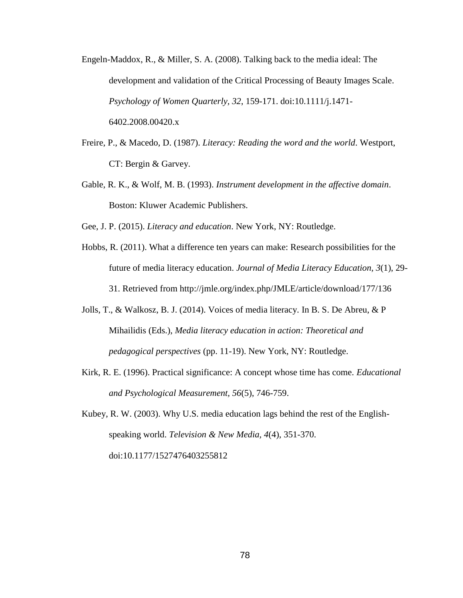- Engeln-Maddox, R., & Miller, S. A. (2008). Talking back to the media ideal: The development and validation of the Critical Processing of Beauty Images Scale. *Psychology of Women Quarterly, 32*, 159-171. doi:10.1111/j.1471- 6402.2008.00420.x
- Freire, P., & Macedo, D. (1987). *Literacy: Reading the word and the world*. Westport, CT: Bergin & Garvey.
- Gable, R. K., & Wolf, M. B. (1993). *Instrument development in the affective domain*. Boston: Kluwer Academic Publishers.
- Gee, J. P. (2015). *Literacy and education*. New York, NY: Routledge.
- Hobbs, R. (2011). What a difference ten years can make: Research possibilities for the future of media literacy education. *Journal of Media Literacy Education, 3*(1), 29- 31. Retrieved from http://jmle.org/index.php/JMLE/article/download/177/136
- Jolls, T., & Walkosz, B. J. (2014). Voices of media literacy. In B. S. De Abreu, & P Mihailidis (Eds.), *Media literacy education in action: Theoretical and pedagogical perspectives* (pp. 11-19). New York, NY: Routledge.
- Kirk, R. E. (1996). Practical significance: A concept whose time has come. *Educational and Psychological Measurement, 56*(5), 746-759.

Kubey, R. W. (2003). Why U.S. media education lags behind the rest of the Englishspeaking world. *Television & New Media, 4*(4), 351-370. doi:10.1177/1527476403255812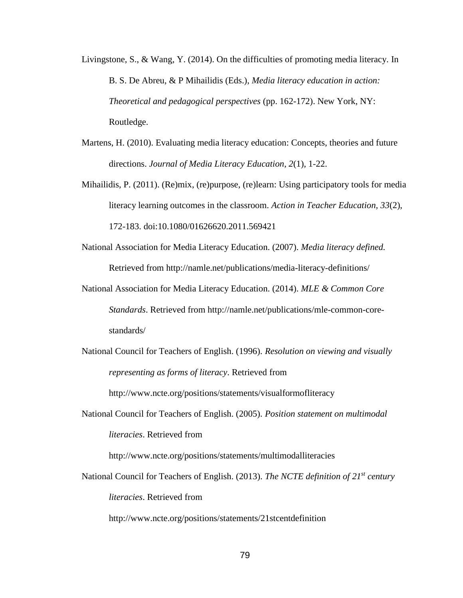- Livingstone, S., & Wang, Y. (2014). On the difficulties of promoting media literacy. In B. S. De Abreu, & P Mihailidis (Eds.), *Media literacy education in action: Theoretical and pedagogical perspectives* (pp. 162-172). New York, NY: Routledge.
- Martens, H. (2010). Evaluating media literacy education: Concepts, theories and future directions. *Journal of Media Literacy Education, 2*(1), 1-22.
- Mihailidis, P. (2011). (Re)mix, (re)purpose, (re)learn: Using participatory tools for media literacy learning outcomes in the classroom. *Action in Teacher Education, 33*(2), 172-183. doi:10.1080/01626620.2011.569421
- National Association for Media Literacy Education. (2007). *Media literacy defined.* Retrieved from http://namle.net/publications/media-literacy-definitions/
- National Association for Media Literacy Education. (2014). *MLE & Common Core Standards*. Retrieved from http://namle.net/publications/mle-common-corestandards/
- National Council for Teachers of English. (1996). *Resolution on viewing and visually representing as forms of literacy*. Retrieved from

http://www.ncte.org/positions/statements/visualformofliteracy

National Council for Teachers of English. (2005). *Position statement on multimodal literacies*. Retrieved from

http://www.ncte.org/positions/statements/multimodalliteracies

National Council for Teachers of English. (2013). *The NCTE definition of 21st century literacies*. Retrieved from

http://www.ncte.org/positions/statements/21stcentdefinition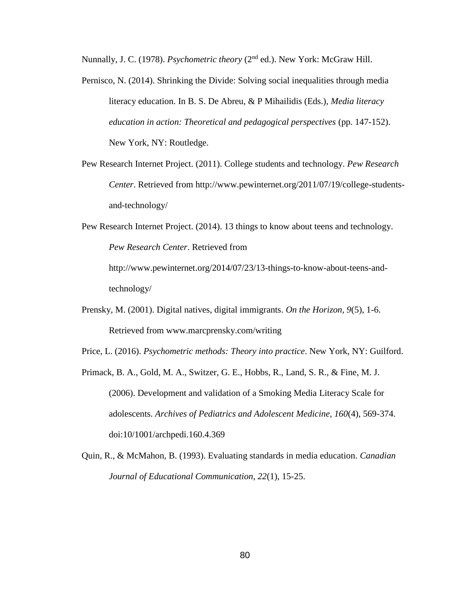Nunnally, J. C. (1978). *Psychometric theory* (2nd ed.). New York: McGraw Hill.

- Pernisco, N. (2014). Shrinking the Divide: Solving social inequalities through media literacy education. In B. S. De Abreu, & P Mihailidis (Eds.), *Media literacy education in action: Theoretical and pedagogical perspectives* (pp. 147-152). New York, NY: Routledge.
- Pew Research Internet Project. (2011). College students and technology. *Pew Research Center*. Retrieved from http://www.pewinternet.org/2011/07/19/college-studentsand-technology/

Pew Research Internet Project. (2014). 13 things to know about teens and technology. *Pew Research Center*. Retrieved from http://www.pewinternet.org/2014/07/23/13-things-to-know-about-teens-andtechnology/

Prensky, M. (2001). Digital natives, digital immigrants. *On the Horizon, 9*(5), 1-6. Retrieved from www.marcprensky.com/writing

Price, L. (2016). *Psychometric methods: Theory into practice*. New York, NY: Guilford.

- Primack, B. A., Gold, M. A., Switzer, G. E., Hobbs, R., Land, S. R., & Fine, M. J. (2006). Development and validation of a Smoking Media Literacy Scale for adolescents. *Archives of Pediatrics and Adolescent Medicine, 160*(4), 569-374. doi:10/1001/archpedi.160.4.369
- Quin, R., & McMahon, B. (1993). Evaluating standards in media education. *Canadian Journal of Educational Communication, 22*(1), 15-25.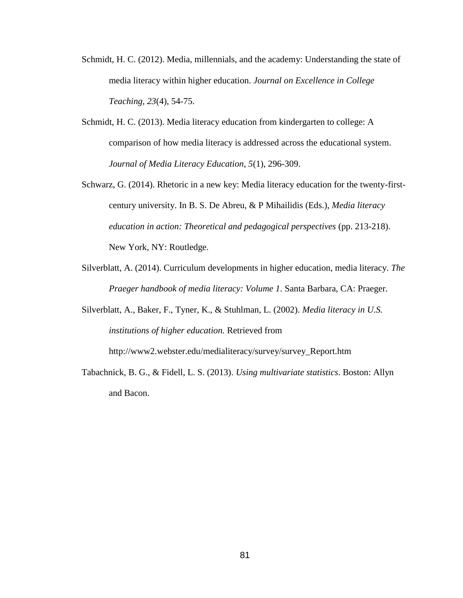- Schmidt, H. C. (2012). Media, millennials, and the academy: Understanding the state of media literacy within higher education. *Journal on Excellence in College Teaching, 23*(4), 54-75.
- Schmidt, H. C. (2013). Media literacy education from kindergarten to college: A comparison of how media literacy is addressed across the educational system. *Journal of Media Literacy Education, 5*(1), 296-309.
- Schwarz, G. (2014). Rhetoric in a new key: Media literacy education for the twenty-firstcentury university. In B. S. De Abreu, & P Mihailidis (Eds.), *Media literacy education in action: Theoretical and pedagogical perspectives* (pp. 213-218). New York, NY: Routledge.
- Silverblatt, A. (2014). Curriculum developments in higher education, media literacy. *The Praeger handbook of media literacy: Volume 1*. Santa Barbara, CA: Praeger.
- Silverblatt, A., Baker, F., Tyner, K., & Stuhlman, L. (2002). *Media literacy in U.S. institutions of higher education.* Retrieved from http://www2.webster.edu/medialiteracy/survey/survey\_Report.htm
- Tabachnick, B. G., & Fidell, L. S. (2013). *Using multivariate statistics*. Boston: Allyn and Bacon.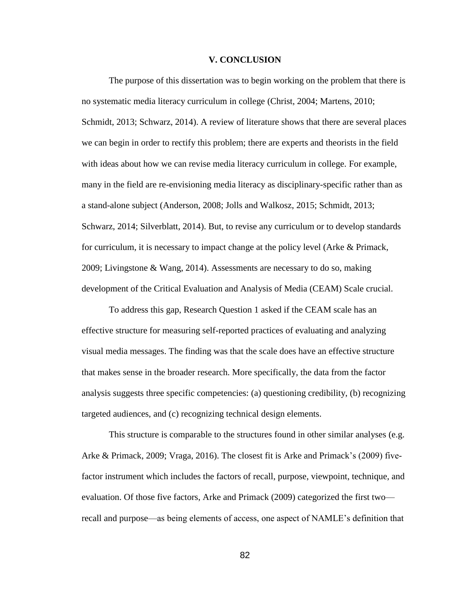#### **V. CONCLUSION**

The purpose of this dissertation was to begin working on the problem that there is no systematic media literacy curriculum in college (Christ, 2004; Martens, 2010; Schmidt, 2013; Schwarz, 2014). A review of literature shows that there are several places we can begin in order to rectify this problem; there are experts and theorists in the field with ideas about how we can revise media literacy curriculum in college. For example, many in the field are re-envisioning media literacy as disciplinary-specific rather than as a stand-alone subject (Anderson, 2008; Jolls and Walkosz, 2015; Schmidt, 2013; Schwarz, 2014; Silverblatt, 2014). But, to revise any curriculum or to develop standards for curriculum, it is necessary to impact change at the policy level (Arke & Primack, 2009; Livingstone & Wang, 2014). Assessments are necessary to do so, making development of the Critical Evaluation and Analysis of Media (CEAM) Scale crucial.

To address this gap, Research Question 1 asked if the CEAM scale has an effective structure for measuring self-reported practices of evaluating and analyzing visual media messages. The finding was that the scale does have an effective structure that makes sense in the broader research. More specifically, the data from the factor analysis suggests three specific competencies: (a) questioning credibility, (b) recognizing targeted audiences, and (c) recognizing technical design elements.

This structure is comparable to the structures found in other similar analyses (e.g. Arke & Primack, 2009; Vraga, 2016). The closest fit is Arke and Primack's (2009) fivefactor instrument which includes the factors of recall, purpose, viewpoint, technique, and evaluation. Of those five factors, Arke and Primack (2009) categorized the first two recall and purpose—as being elements of access, one aspect of NAMLE's definition that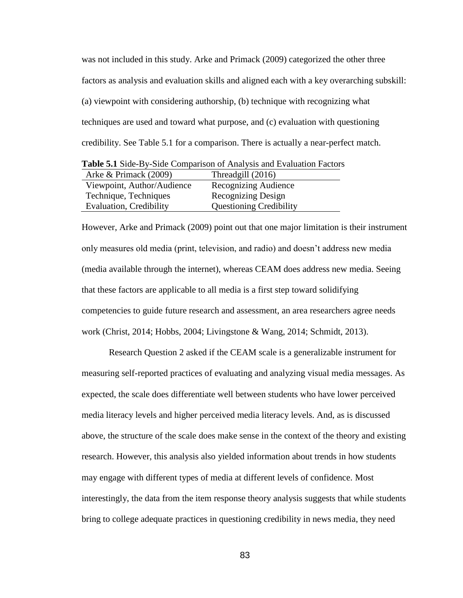was not included in this study. Arke and Primack (2009) categorized the other three factors as analysis and evaluation skills and aligned each with a key overarching subskill: (a) viewpoint with considering authorship, (b) technique with recognizing what techniques are used and toward what purpose, and (c) evaluation with questioning credibility. See Table 5.1 for a comparison. There is actually a near-perfect match.

| <b>Table 5.1</b> Drue Dy Drue Companion of Timarysis and Lyangaron I actor |                                |  |  |  |  |
|----------------------------------------------------------------------------|--------------------------------|--|--|--|--|
| Arke & Primack (2009)                                                      | Threadgill (2016)              |  |  |  |  |
| Viewpoint, Author/Audience                                                 | Recognizing Audience           |  |  |  |  |
| Technique, Techniques                                                      | Recognizing Design             |  |  |  |  |
| Evaluation, Credibility                                                    | <b>Questioning Credibility</b> |  |  |  |  |

**Table 5.1** Side-By-Side Comparison of Analysis and Evaluation Factors

However, Arke and Primack (2009) point out that one major limitation is their instrument only measures old media (print, television, and radio) and doesn't address new media (media available through the internet), whereas CEAM does address new media. Seeing that these factors are applicable to all media is a first step toward solidifying competencies to guide future research and assessment, an area researchers agree needs work (Christ, 2014; Hobbs, 2004; Livingstone & Wang, 2014; Schmidt, 2013).

Research Question 2 asked if the CEAM scale is a generalizable instrument for measuring self-reported practices of evaluating and analyzing visual media messages. As expected, the scale does differentiate well between students who have lower perceived media literacy levels and higher perceived media literacy levels. And, as is discussed above, the structure of the scale does make sense in the context of the theory and existing research. However, this analysis also yielded information about trends in how students may engage with different types of media at different levels of confidence. Most interestingly, the data from the item response theory analysis suggests that while students bring to college adequate practices in questioning credibility in news media, they need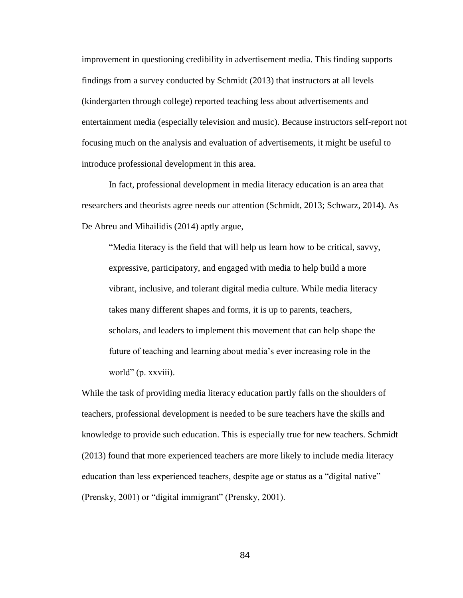improvement in questioning credibility in advertisement media. This finding supports findings from a survey conducted by Schmidt (2013) that instructors at all levels (kindergarten through college) reported teaching less about advertisements and entertainment media (especially television and music). Because instructors self-report not focusing much on the analysis and evaluation of advertisements, it might be useful to introduce professional development in this area.

In fact, professional development in media literacy education is an area that researchers and theorists agree needs our attention (Schmidt, 2013; Schwarz, 2014). As De Abreu and Mihailidis (2014) aptly argue,

"Media literacy is the field that will help us learn how to be critical, savvy, expressive, participatory, and engaged with media to help build a more vibrant, inclusive, and tolerant digital media culture. While media literacy takes many different shapes and forms, it is up to parents, teachers, scholars, and leaders to implement this movement that can help shape the future of teaching and learning about media's ever increasing role in the world" (p. xxviii).

While the task of providing media literacy education partly falls on the shoulders of teachers, professional development is needed to be sure teachers have the skills and knowledge to provide such education. This is especially true for new teachers. Schmidt (2013) found that more experienced teachers are more likely to include media literacy education than less experienced teachers, despite age or status as a "digital native" (Prensky, 2001) or "digital immigrant" (Prensky, 2001).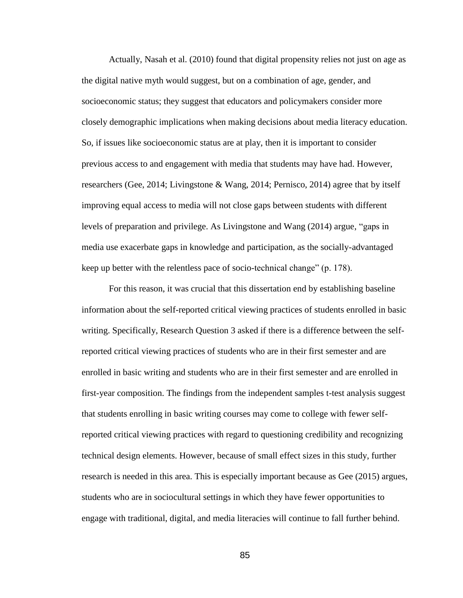Actually, Nasah et al. (2010) found that digital propensity relies not just on age as the digital native myth would suggest, but on a combination of age, gender, and socioeconomic status; they suggest that educators and policymakers consider more closely demographic implications when making decisions about media literacy education. So, if issues like socioeconomic status are at play, then it is important to consider previous access to and engagement with media that students may have had. However, researchers (Gee, 2014; Livingstone & Wang, 2014; Pernisco, 2014) agree that by itself improving equal access to media will not close gaps between students with different levels of preparation and privilege. As Livingstone and Wang (2014) argue, "gaps in media use exacerbate gaps in knowledge and participation, as the socially-advantaged keep up better with the relentless pace of socio-technical change" (p. 178).

For this reason, it was crucial that this dissertation end by establishing baseline information about the self-reported critical viewing practices of students enrolled in basic writing. Specifically, Research Question 3 asked if there is a difference between the selfreported critical viewing practices of students who are in their first semester and are enrolled in basic writing and students who are in their first semester and are enrolled in first-year composition. The findings from the independent samples t-test analysis suggest that students enrolling in basic writing courses may come to college with fewer selfreported critical viewing practices with regard to questioning credibility and recognizing technical design elements. However, because of small effect sizes in this study, further research is needed in this area. This is especially important because as Gee (2015) argues, students who are in sociocultural settings in which they have fewer opportunities to engage with traditional, digital, and media literacies will continue to fall further behind.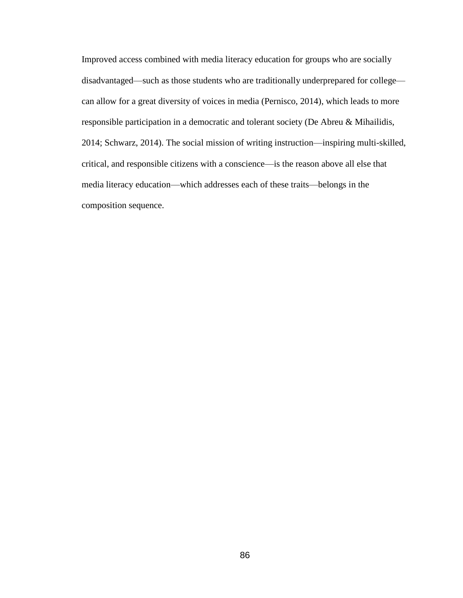Improved access combined with media literacy education for groups who are socially disadvantaged—such as those students who are traditionally underprepared for college can allow for a great diversity of voices in media (Pernisco, 2014), which leads to more responsible participation in a democratic and tolerant society (De Abreu & Mihailidis, 2014; Schwarz, 2014). The social mission of writing instruction—inspiring multi-skilled, critical, and responsible citizens with a conscience—is the reason above all else that media literacy education—which addresses each of these traits—belongs in the composition sequence.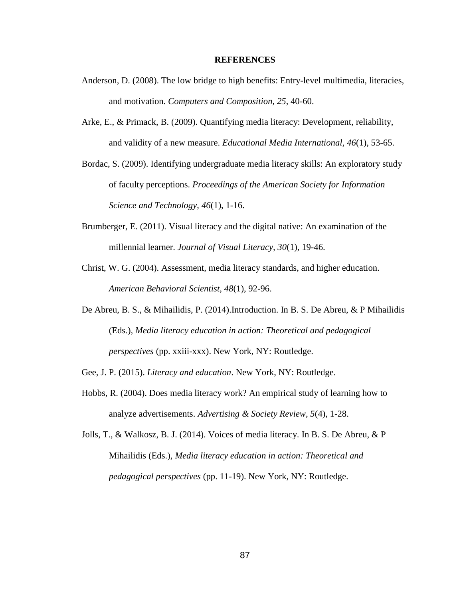#### **REFERENCES**

- Anderson, D. (2008). The low bridge to high benefits: Entry-level multimedia, literacies, and motivation. *Computers and Composition, 25*, 40-60.
- Arke, E., & Primack, B. (2009). Quantifying media literacy: Development, reliability, and validity of a new measure. *Educational Media International, 46*(1), 53-65.
- Bordac, S. (2009). Identifying undergraduate media literacy skills: An exploratory study of faculty perceptions. *Proceedings of the American Society for Information Science and Technology, 46*(1), 1-16.
- Brumberger, E. (2011). Visual literacy and the digital native: An examination of the millennial learner. *Journal of Visual Literacy, 30*(1), 19-46.
- Christ, W. G. (2004). Assessment, media literacy standards, and higher education. *American Behavioral Scientist, 48*(1), 92-96.
- De Abreu, B. S., & Mihailidis, P. (2014).Introduction. In B. S. De Abreu, & P Mihailidis (Eds.), *Media literacy education in action: Theoretical and pedagogical perspectives* (pp. xxiii-xxx). New York, NY: Routledge.
- Gee, J. P. (2015). *Literacy and education*. New York, NY: Routledge.
- Hobbs, R. (2004). Does media literacy work? An empirical study of learning how to analyze advertisements. *Advertising & Society Review, 5*(4), 1-28.
- Jolls, T., & Walkosz, B. J. (2014). Voices of media literacy. In B. S. De Abreu, & P Mihailidis (Eds.), *Media literacy education in action: Theoretical and pedagogical perspectives* (pp. 11-19). New York, NY: Routledge.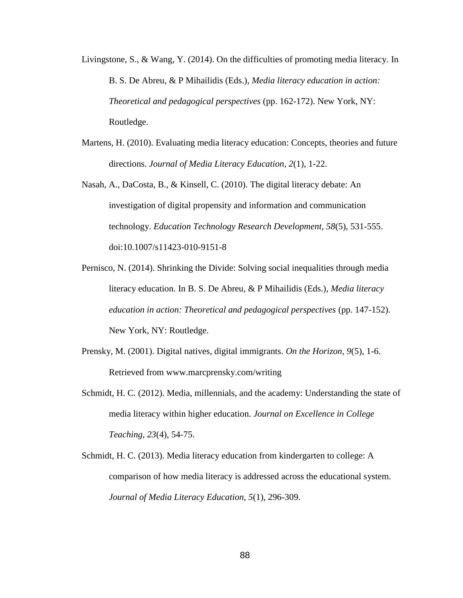- Livingstone, S., & Wang, Y. (2014). On the difficulties of promoting media literacy. In B. S. De Abreu, & P Mihailidis (Eds.), *Media literacy education in action: Theoretical and pedagogical perspectives* (pp. 162-172). New York, NY: Routledge.
- Martens, H. (2010). Evaluating media literacy education: Concepts, theories and future directions. *Journal of Media Literacy Education, 2*(1), 1-22.
- Nasah, A., DaCosta, B., & Kinsell, C. (2010). The digital literacy debate: An investigation of digital propensity and information and communication technology. *Education Technology Research Development, 58*(5), 531-555. doi:10.1007/s11423-010-9151-8
- Pernisco, N. (2014). Shrinking the Divide: Solving social inequalities through media literacy education. In B. S. De Abreu, & P Mihailidis (Eds.), *Media literacy education in action: Theoretical and pedagogical perspectives* (pp. 147-152). New York, NY: Routledge.
- Prensky, M. (2001). Digital natives, digital immigrants. *On the Horizon, 9*(5), 1-6. Retrieved from www.marcprensky.com/writing
- Schmidt, H. C. (2012). Media, millennials, and the academy: Understanding the state of media literacy within higher education. *Journal on Excellence in College Teaching, 23*(4), 54-75.
- Schmidt, H. C. (2013). Media literacy education from kindergarten to college: A comparison of how media literacy is addressed across the educational system. *Journal of Media Literacy Education, 5*(1), 296-309.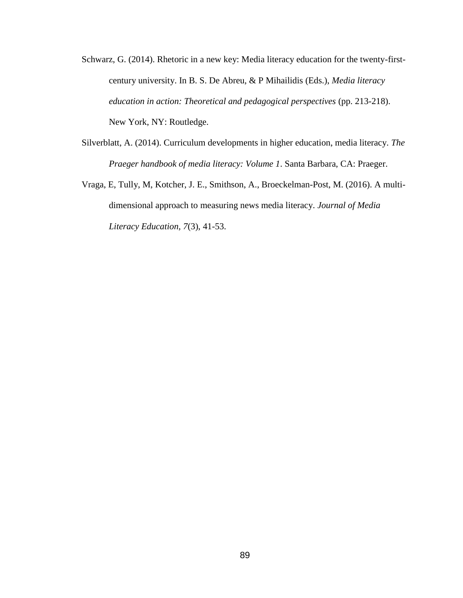- Schwarz, G. (2014). Rhetoric in a new key: Media literacy education for the twenty-firstcentury university. In B. S. De Abreu, & P Mihailidis (Eds.), *Media literacy education in action: Theoretical and pedagogical perspectives* (pp. 213-218). New York, NY: Routledge.
- Silverblatt, A. (2014). Curriculum developments in higher education, media literacy. *The Praeger handbook of media literacy: Volume 1*. Santa Barbara, CA: Praeger.
- Vraga, E, Tully, M, Kotcher, J. E., Smithson, A., Broeckelman-Post, M. (2016). A multidimensional approach to measuring news media literacy. *Journal of Media Literacy Education, 7*(3), 41-53.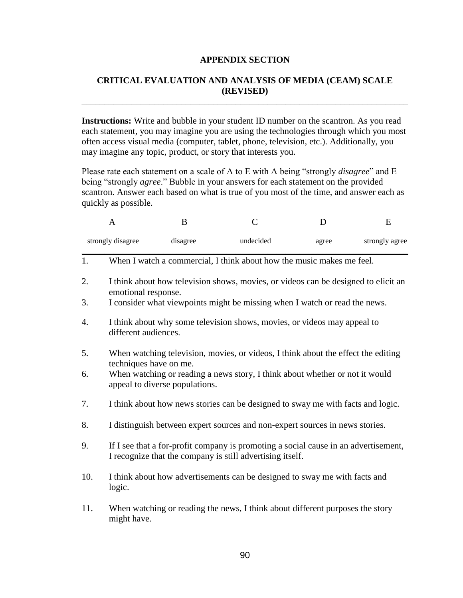## **APPENDIX SECTION**

## **CRITICAL EVALUATION AND ANALYSIS OF MEDIA (CEAM) SCALE (REVISED)**

\_\_\_\_\_\_\_\_\_\_\_\_\_\_\_\_\_\_\_\_\_\_\_\_\_\_\_\_\_\_\_\_\_\_\_\_\_\_\_\_\_\_\_\_\_\_\_\_\_\_\_\_\_\_\_\_\_\_\_\_\_\_\_\_\_\_\_\_\_\_\_\_

**Instructions:** Write and bubble in your student ID number on the scantron. As you read each statement, you may imagine you are using the technologies through which you most often access visual media (computer, tablet, phone, television, etc.). Additionally, you may imagine any topic, product, or story that interests you.

Please rate each statement on a scale of A to E with A being "strongly *disagree*" and E being "strongly *agree*." Bubble in your answers for each statement on the provided scantron. Answer each based on what is true of you most of the time, and answer each as quickly as possible.

|     | A                                                                                                                                                | B        | $\mathsf{C}$                                                                      | D     | E              |  |  |
|-----|--------------------------------------------------------------------------------------------------------------------------------------------------|----------|-----------------------------------------------------------------------------------|-------|----------------|--|--|
|     | strongly disagree                                                                                                                                | disagree | undecided                                                                         | agree | strongly agree |  |  |
| 1.  |                                                                                                                                                  |          | When I watch a commercial, I think about how the music makes me feel.             |       |                |  |  |
| 2.  | I think about how television shows, movies, or videos can be designed to elicit an<br>emotional response.                                        |          |                                                                                   |       |                |  |  |
| 3.  | I consider what viewpoints might be missing when I watch or read the news.                                                                       |          |                                                                                   |       |                |  |  |
| 4.  | I think about why some television shows, movies, or videos may appeal to<br>different audiences.                                                 |          |                                                                                   |       |                |  |  |
| 5.  | techniques have on me.                                                                                                                           |          | When watching television, movies, or videos, I think about the effect the editing |       |                |  |  |
| 6.  | When watching or reading a news story, I think about whether or not it would<br>appeal to diverse populations.                                   |          |                                                                                   |       |                |  |  |
| 7.  | I think about how news stories can be designed to sway me with facts and logic.                                                                  |          |                                                                                   |       |                |  |  |
| 8.  |                                                                                                                                                  |          | I distinguish between expert sources and non-expert sources in news stories.      |       |                |  |  |
| 9.  | If I see that a for-profit company is promoting a social cause in an advertisement,<br>I recognize that the company is still advertising itself. |          |                                                                                   |       |                |  |  |
| 10. | I think about how advertisements can be designed to sway me with facts and<br>logic.                                                             |          |                                                                                   |       |                |  |  |
| 11. | might have.                                                                                                                                      |          | When watching or reading the news, I think about different purposes the story     |       |                |  |  |